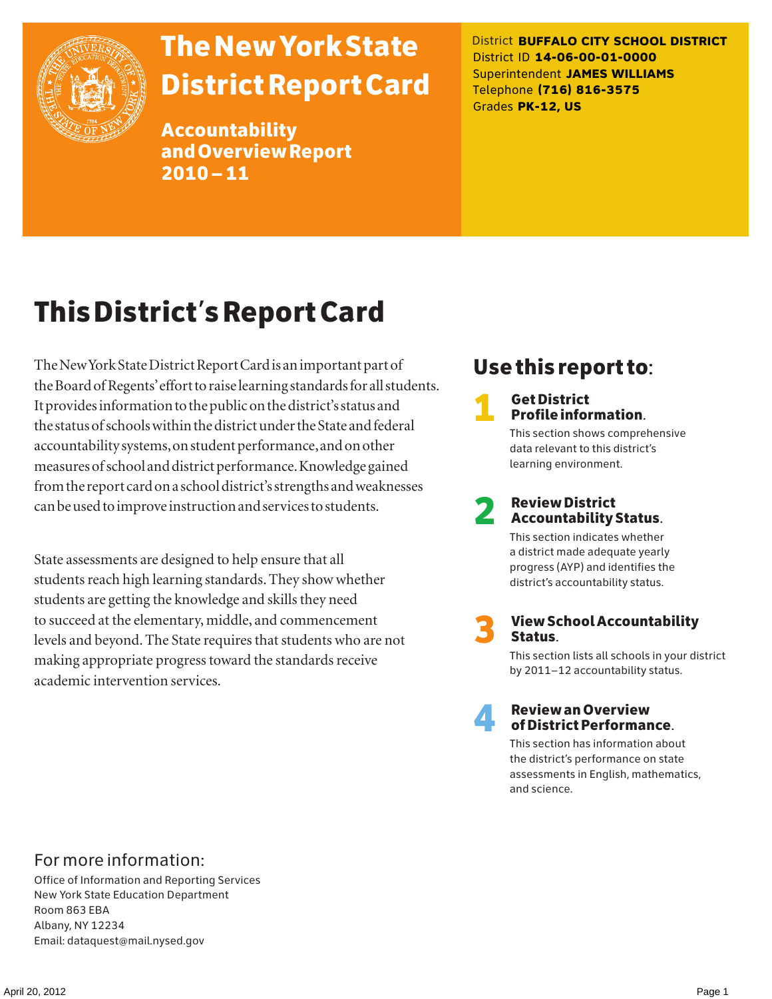

# The New York State District Report Card

Accountability and Overview Report 2010–11

District **BUFFALO CITY SCHOOL DISTRICT** District ID **14-06-00-01-0000** Superintendent **JAMES WILLIAMS** Telephone **(716) 816-3575** Grades **PK-12, US**

# This District's Report Card

The New York State District Report Card is an important part of the Board of Regents' effort to raise learning standards for all students. It provides information to the public on the district's status and the status of schools within the district under the State and federal accountability systems, on student performance, and on other measures of school and district performance. Knowledge gained from the report card on a school district's strengths and weaknesses can be used to improve instruction and services to students.

State assessments are designed to help ensure that all students reach high learning standards. They show whether students are getting the knowledge and skills they need to succeed at the elementary, middle, and commencement levels and beyond. The State requires that students who are not making appropriate progress toward the standards receive academic intervention services.

## Use this report to:

**1** Get District<br>Profile information.

This section shows comprehensive data relevant to this district's learning environment.

# 2 Review District Accountability Status.

This section indicates whether a district made adequate yearly progress (AYP) and identifies the district's accountability status.

3 View School Accountability Status.

This section lists all schools in your district by 2011–12 accountability status.



### 4 Review an Overview of District Performance.

This section has information about the district's performance on state assessments in English, mathematics, and science.

### For more information:

Office of Information and Reporting Services New York State Education Department Room 863 EBA Albany, NY 12234 Email: dataquest@mail.nysed.gov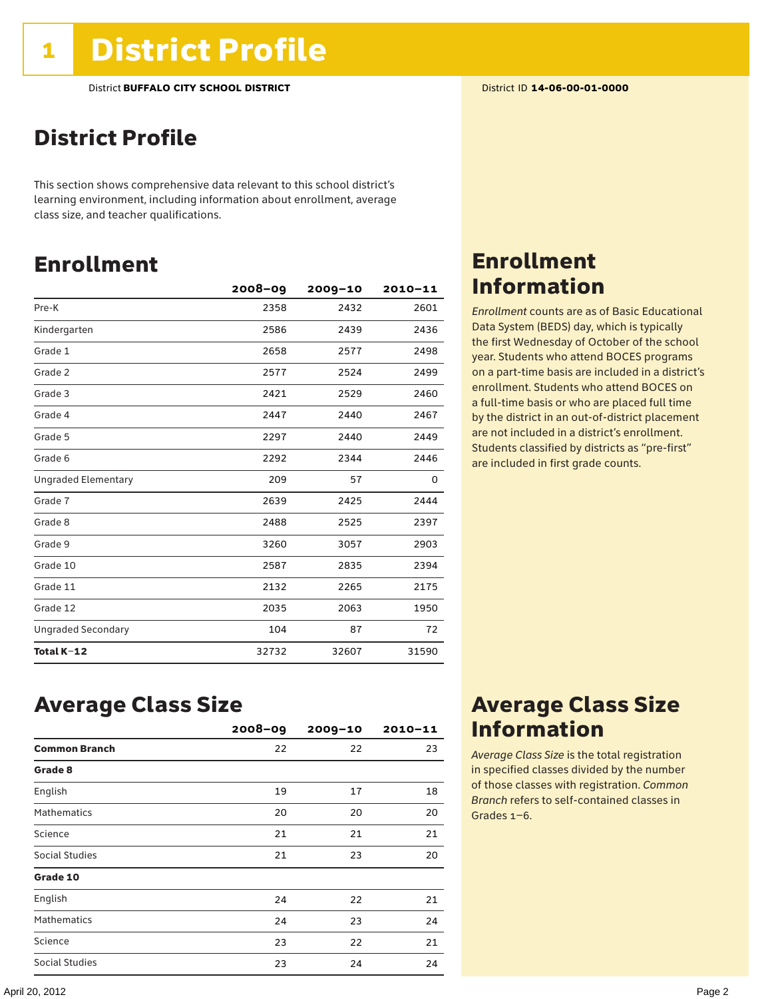## District Profile

This section shows comprehensive data relevant to this school district's learning environment, including information about enrollment, average class size, and teacher qualifications.

## Enrollment

|                            | 2008-09 | $2009 - 10$ | $2010 - 11$ |
|----------------------------|---------|-------------|-------------|
| Pre-K                      | 2358    | 2432        | 2601        |
| Kindergarten               | 2586    | 2439        | 2436        |
| Grade 1                    | 2658    | 2577        | 2498        |
| Grade 2                    | 2577    | 2524        | 2499        |
| Grade 3                    | 2421    | 2529        | 2460        |
| Grade 4                    | 2447    | 2440        | 2467        |
| Grade 5                    | 2297    | 2440        | 2449        |
| Grade 6                    | 2292    | 2344        | 2446        |
| <b>Ungraded Elementary</b> | 209     | 57          | 0           |
| Grade 7                    | 2639    | 2425        | 2444        |
| Grade 8                    | 2488    | 2525        | 2397        |
| Grade 9                    | 3260    | 3057        | 2903        |
| Grade 10                   | 2587    | 2835        | 2394        |
| Grade 11                   | 2132    | 2265        | 2175        |
| Grade 12                   | 2035    | 2063        | 1950        |
| <b>Ungraded Secondary</b>  | 104     | 87          | 72          |
| Total K-12                 | 32732   | 32607       | 31590       |

## Enrollment Information

*Enrollment* counts are as of Basic Educational Data System (BEDS) day, which is typically the first Wednesday of October of the school year. Students who attend BOCES programs on a part-time basis are included in a district's enrollment. Students who attend BOCES on a full-time basis or who are placed full time by the district in an out-of-district placement are not included in a district's enrollment. Students classified by districts as "pre-first" are included in first grade counts.

### Average Class Size

|                      | $2008 - 09$ | $2009 - 10$ | $2010 - 11$ |
|----------------------|-------------|-------------|-------------|
| <b>Common Branch</b> | 22          | 22          | 23          |
| Grade 8              |             |             |             |
| English              | 19          | 17          | 18          |
| <b>Mathematics</b>   | 20          | 20          | 20          |
| Science              | 21          | 21          | 21          |
| Social Studies       | 21          | 23          | 20          |
| Grade 10             |             |             |             |
| English              | 24          | 22          | 21          |
| <b>Mathematics</b>   | 24          | 23          | 24          |
| Science              | 23          | 22          | 21          |
| Social Studies       | 23          | 24          | 24          |

## Average Class Size Information

*Average Class Size* is the total registration in specified classes divided by the number of those classes with registration. *Common Branch* refers to self-contained classes in Grades 1–6.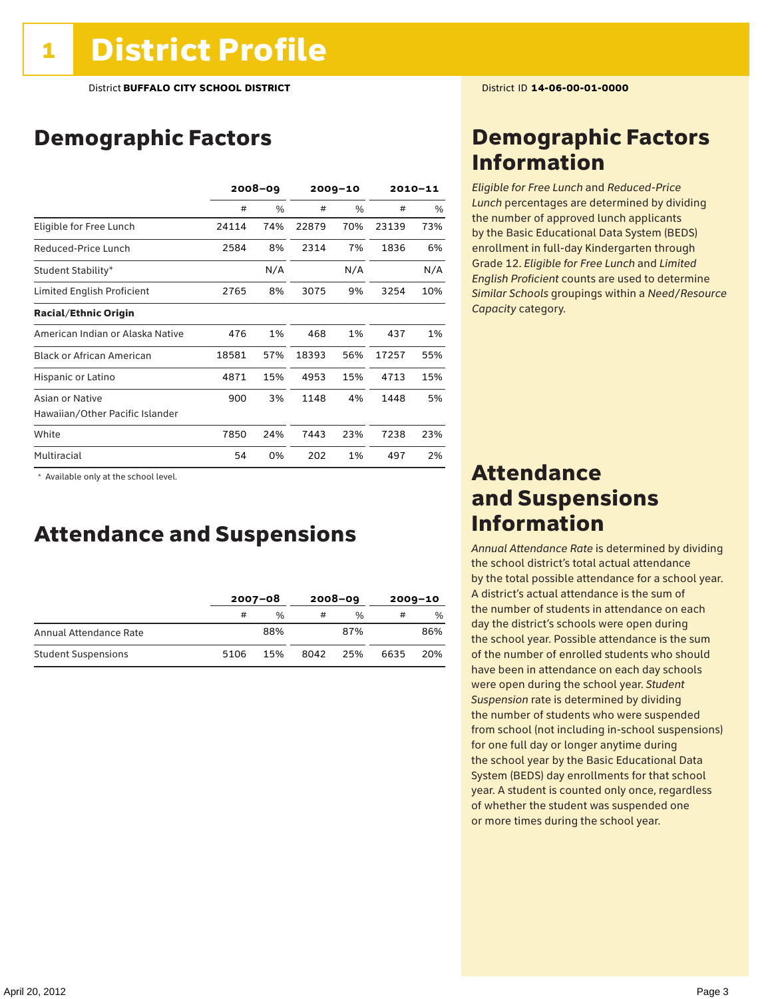## Demographic Factors

|                                  | $2008 - 09$ |     |       | $2009 - 10$ | $2010 - 11$ |     |
|----------------------------------|-------------|-----|-------|-------------|-------------|-----|
|                                  | #           | %   | #     | $\%$        | #           | %   |
| Eligible for Free Lunch          | 24114       | 74% | 22879 | 70%         | 23139       | 73% |
| Reduced-Price Lunch              | 2584        | 8%  | 2314  | 7%          | 1836        | 6%  |
| Student Stability*               |             | N/A |       | N/A         |             | N/A |
| Limited English Proficient       | 2765        | 8%  | 3075  | 9%          | 3254        | 10% |
| <b>Racial/Ethnic Origin</b>      |             |     |       |             |             |     |
| American Indian or Alaska Native | 476         | 1%  | 468   | 1%          | 437         | 1%  |
| <b>Black or African American</b> | 18581       | 57% | 18393 | 56%         | 17257       | 55% |
| Hispanic or Latino               | 4871        | 15% | 4953  | 15%         | 4713        | 15% |
| Asian or Native                  | 900         | 3%  | 1148  | 4%          | 1448        | 5%  |
| Hawaiian/Other Pacific Islander  |             |     |       |             |             |     |
| White                            | 7850        | 24% | 7443  | 23%         | 7238        | 23% |
| Multiracial                      | 54          | 0%  | 202   | 1%          | 497         | 2%  |

 \* Available only at the school level.

### Attendance and Suspensions

|                            | $2007 - 08$ |     | $2008 - 09$ |     | $2009 - 10$ |     |
|----------------------------|-------------|-----|-------------|-----|-------------|-----|
|                            | #           | %   |             | %   | #           | %   |
| Annual Attendance Rate     |             | 88% |             | 87% |             | 86% |
| <b>Student Suspensions</b> | 5106        | 15% | 8042        | 25% | 6635        | 20% |

## Demographic Factors Information

*Eligible for Free Lunch* and *Reduced*-*Price Lunch* percentages are determined by dividing the number of approved lunch applicants by the Basic Educational Data System (BEDS) enrollment in full-day Kindergarten through Grade 12. *Eligible for Free Lunch* and *Limited English Proficient* counts are used to determine *Similar Schools* groupings within a *Need*/*Resource Capacity* category.

### Attendance and Suspensions Information

*Annual Attendance Rate* is determined by dividing the school district's total actual attendance by the total possible attendance for a school year. A district's actual attendance is the sum of the number of students in attendance on each day the district's schools were open during the school year. Possible attendance is the sum of the number of enrolled students who should have been in attendance on each day schools were open during the school year. *Student Suspension* rate is determined by dividing the number of students who were suspended from school (not including in-school suspensions) for one full day or longer anytime during the school year by the Basic Educational Data System (BEDS) day enrollments for that school year. A student is counted only once, regardless of whether the student was suspended one or more times during the school year.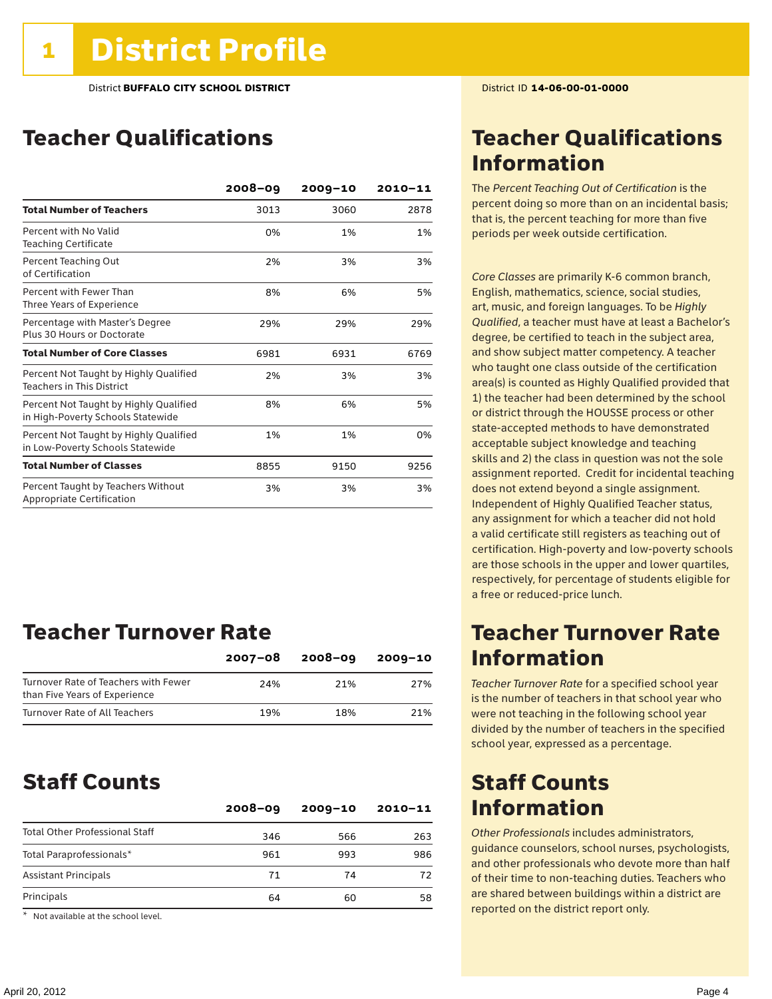## Teacher Qualifications

|                                                                             | $2008 - 09$ | $2009 - 10$ | 2010-11 |
|-----------------------------------------------------------------------------|-------------|-------------|---------|
| <b>Total Number of Teachers</b>                                             | 3013        | 3060        | 2878    |
| Percent with No Valid<br><b>Teaching Certificate</b>                        | 0%          | 1%          | 1%      |
| Percent Teaching Out<br>of Certification                                    | 2%          | 3%          | 3%      |
| Percent with Fewer Than<br>Three Years of Experience                        | 8%          | 6%          | 5%      |
| Percentage with Master's Degree<br>Plus 30 Hours or Doctorate               | 29%         | 29%         | 29%     |
| <b>Total Number of Core Classes</b>                                         | 6981        | 6931        | 6769    |
| Percent Not Taught by Highly Qualified<br><b>Teachers in This District</b>  | 2%          | 3%          | 3%      |
| Percent Not Taught by Highly Qualified<br>in High-Poverty Schools Statewide | 8%          | 6%          | 5%      |
| Percent Not Taught by Highly Qualified<br>in Low-Poverty Schools Statewide  | 1%          | 1%          | 0%      |
| <b>Total Number of Classes</b>                                              | 8855        | 9150        | 9256    |
| Percent Taught by Teachers Without<br>Appropriate Certification             | 3%          | 3%          | 3%      |

## Teacher Turnover Rate

|                                                                       | $2007 - 08$ | 2008-09 | 2009-10 |
|-----------------------------------------------------------------------|-------------|---------|---------|
| Turnover Rate of Teachers with Fewer<br>than Five Years of Experience | 24%         | 21%     | 27%     |
| Turnover Rate of All Teachers                                         | 19%         | 18%     | 21%     |

### Staff Counts

|                                       | $2008 - 09$ | $2009 - 10$ | 2010-11 |
|---------------------------------------|-------------|-------------|---------|
| <b>Total Other Professional Staff</b> | 346         | 566         | 263     |
| Total Paraprofessionals*              | 961         | 993         | 986     |
| <b>Assistant Principals</b>           | 71          | 74          | 72      |
| Principals                            | 64          | 60          | 58      |

\* Not available at the school level.

## Teacher Qualifications Information

The *Percent Teaching Out of Certification* is the percent doing so more than on an incidental basis; that is, the percent teaching for more than five periods per week outside certification.

*Core Classes* are primarily K-6 common branch, English, mathematics, science, social studies, art, music, and foreign languages. To be *Highly Qualified*, a teacher must have at least a Bachelor's degree, be certified to teach in the subject area, and show subject matter competency. A teacher who taught one class outside of the certification area(s) is counted as Highly Qualified provided that 1) the teacher had been determined by the school or district through the HOUSSE process or other state-accepted methods to have demonstrated acceptable subject knowledge and teaching skills and 2) the class in question was not the sole assignment reported. Credit for incidental teaching does not extend beyond a single assignment. Independent of Highly Qualified Teacher status, any assignment for which a teacher did not hold a valid certificate still registers as teaching out of certification. High-poverty and low-poverty schools are those schools in the upper and lower quartiles, respectively, for percentage of students eligible for a free or reduced-price lunch.

### Teacher Turnover Rate Information

*Teacher Turnover Rate* for a specified school year is the number of teachers in that school year who were not teaching in the following school year divided by the number of teachers in the specified school year, expressed as a percentage.

## Staff Counts Information

*Other Professionals* includes administrators, guidance counselors, school nurses, psychologists, and other professionals who devote more than half of their time to non-teaching duties. Teachers who are shared between buildings within a district are reported on the district report only.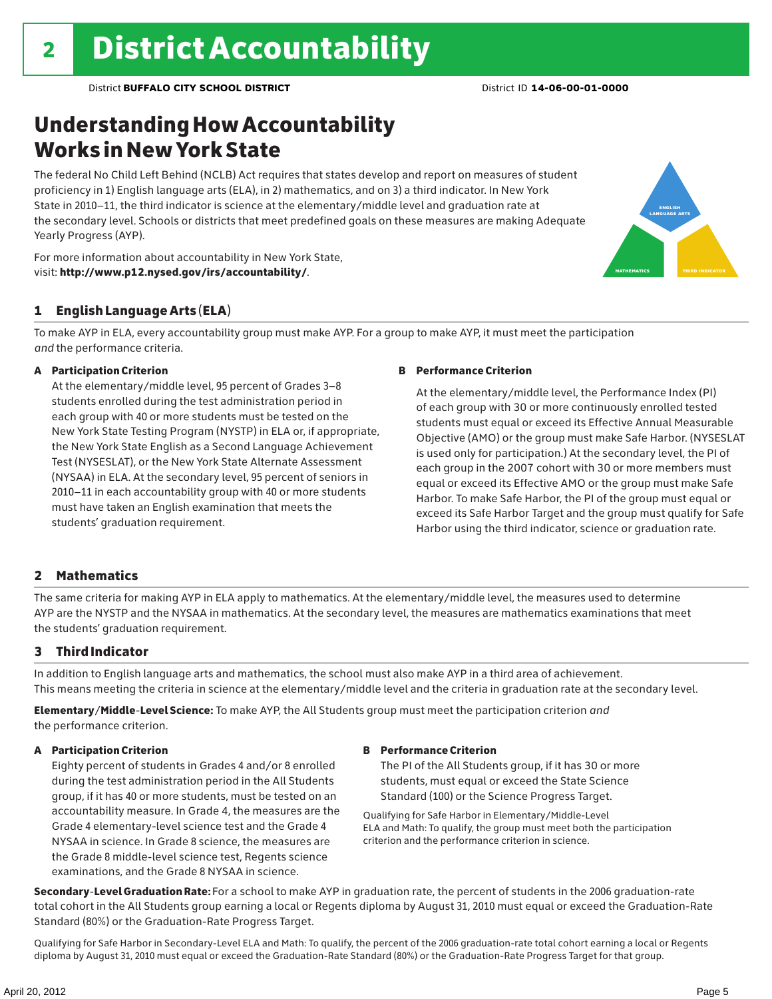## Understanding How Accountability Works in New York State

The federal No Child Left Behind (NCLB) Act requires that states develop and report on measures of student proficiency in 1) English language arts (ELA), in 2) mathematics, and on 3) a third indicator. In New York State in 2010–11, the third indicator is science at the elementary/middle level and graduation rate at the secondary level. Schools or districts that meet predefined goals on these measures are making Adequate Yearly Progress (AYP).





To make AYP in ELA, every accountability group must make AYP. For a group to make AYP, it must meet the participation *and* the performance criteria.

### A Participation Criterion

At the elementary/middle level, 95 percent of Grades 3–8 students enrolled during the test administration period in each group with 40 or more students must be tested on the New York State Testing Program (NYSTP) in ELA or, if appropriate, the New York State English as a Second Language Achievement Test (NYSESLAT), or the New York State Alternate Assessment (NYSAA) in ELA. At the secondary level, 95 percent of seniors in 2010–11 in each accountability group with 40 or more students must have taken an English examination that meets the students' graduation requirement.

### B Performance Criterion

At the elementary/middle level, the Performance Index (PI) of each group with 30 or more continuously enrolled tested students must equal or exceed its Effective Annual Measurable Objective (AMO) or the group must make Safe Harbor. (NYSESLAT is used only for participation.) At the secondary level, the PI of each group in the 2007 cohort with 30 or more members must equal or exceed its Effective AMO or the group must make Safe Harbor. To make Safe Harbor, the PI of the group must equal or exceed its Safe Harbor Target and the group must qualify for Safe Harbor using the third indicator, science or graduation rate.

english language arts

MATHEMATICS | THIRD INDICATOR

### 2 Mathematics

The same criteria for making AYP in ELA apply to mathematics. At the elementary/middle level, the measures used to determine AYP are the NYSTP and the NYSAA in mathematics. At the secondary level, the measures are mathematics examinations that meet the students' graduation requirement.

### 3 Third Indicator

In addition to English language arts and mathematics, the school must also make AYP in a third area of achievement. This means meeting the criteria in science at the elementary/middle level and the criteria in graduation rate at the secondary level.

Elementary/Middle-Level Science: To make AYP, the All Students group must meet the participation criterion *and* the performance criterion.

### A Participation Criterion

Eighty percent of students in Grades 4 and/or 8 enrolled during the test administration period in the All Students group, if it has 40 or more students, must be tested on an accountability measure. In Grade 4, the measures are the Grade 4 elementary-level science test and the Grade 4 NYSAA in science. In Grade 8 science, the measures are the Grade 8 middle-level science test, Regents science examinations, and the Grade 8 NYSAA in science.

### B Performance Criterion

The PI of the All Students group, if it has 30 or more students, must equal or exceed the State Science Standard (100) or the Science Progress Target.

Qualifying for Safe Harbor in Elementary/Middle-Level ELA and Math: To qualify, the group must meet both the participation criterion and the performance criterion in science.

Secondary-Level Graduation Rate: For a school to make AYP in graduation rate, the percent of students in the 2006 graduation-rate total cohort in the All Students group earning a local or Regents diploma by August 31, 2010 must equal or exceed the Graduation-Rate Standard (80%) or the Graduation-Rate Progress Target.

Qualifying for Safe Harbor in Secondary-Level ELA and Math: To qualify, the percent of the 2006 graduation-rate total cohort earning a local or Regents diploma by August 31, 2010 must equal or exceed the Graduation-Rate Standard (80%) or the Graduation-Rate Progress Target for that group.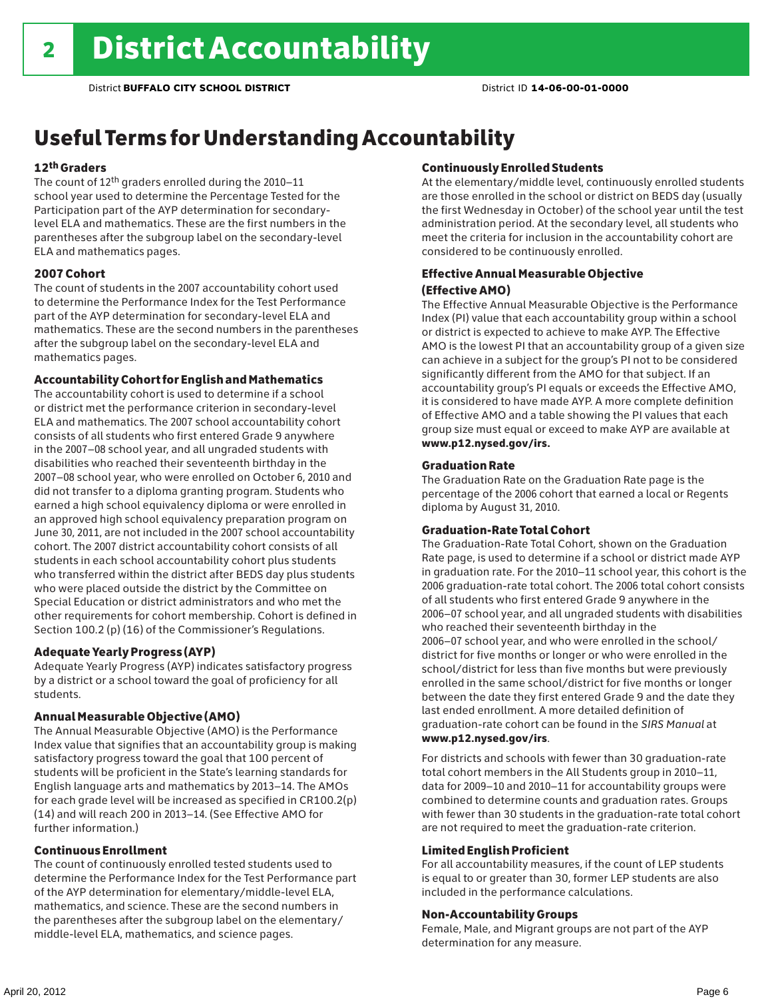## Useful Terms for Understanding Accountability

### 12th Graders

The count of 12th graders enrolled during the 2010–11 school year used to determine the Percentage Tested for the Participation part of the AYP determination for secondarylevel ELA and mathematics. These are the first numbers in the parentheses after the subgroup label on the secondary-level ELA and mathematics pages.

### 2007 Cohort

The count of students in the 2007 accountability cohort used to determine the Performance Index for the Test Performance part of the AYP determination for secondary-level ELA and mathematics. These are the second numbers in the parentheses after the subgroup label on the secondary-level ELA and mathematics pages.

### Accountability Cohort for English and Mathematics

The accountability cohort is used to determine if a school or district met the performance criterion in secondary-level ELA and mathematics. The 2007 school accountability cohort consists of all students who first entered Grade 9 anywhere in the 2007–08 school year, and all ungraded students with disabilities who reached their seventeenth birthday in the 2007–08 school year, who were enrolled on October 6, 2010 and did not transfer to a diploma granting program. Students who earned a high school equivalency diploma or were enrolled in an approved high school equivalency preparation program on June 30, 2011, are not included in the 2007 school accountability cohort. The 2007 district accountability cohort consists of all students in each school accountability cohort plus students who transferred within the district after BEDS day plus students who were placed outside the district by the Committee on Special Education or district administrators and who met the other requirements for cohort membership. Cohort is defined in Section 100.2 (p) (16) of the Commissioner's Regulations.

#### Adequate Yearly Progress (AYP)

Adequate Yearly Progress (AYP) indicates satisfactory progress by a district or a school toward the goal of proficiency for all students.

#### Annual Measurable Objective (AMO)

The Annual Measurable Objective (AMO) is the Performance Index value that signifies that an accountability group is making satisfactory progress toward the goal that 100 percent of students will be proficient in the State's learning standards for English language arts and mathematics by 2013–14. The AMOs for each grade level will be increased as specified in CR100.2(p) (14) and will reach 200 in 2013–14. (See Effective AMO for further information.)

### Continuous Enrollment

The count of continuously enrolled tested students used to determine the Performance Index for the Test Performance part of the AYP determination for elementary/middle-level ELA, mathematics, and science. These are the second numbers in the parentheses after the subgroup label on the elementary/ middle-level ELA, mathematics, and science pages.

### Continuously Enrolled Students

At the elementary/middle level, continuously enrolled students are those enrolled in the school or district on BEDS day (usually the first Wednesday in October) of the school year until the test administration period. At the secondary level, all students who meet the criteria for inclusion in the accountability cohort are considered to be continuously enrolled.

### Effective Annual Measurable Objective (Effective AMO)

The Effective Annual Measurable Objective is the Performance Index (PI) value that each accountability group within a school or district is expected to achieve to make AYP. The Effective AMO is the lowest PI that an accountability group of a given size can achieve in a subject for the group's PI not to be considered significantly different from the AMO for that subject. If an accountability group's PI equals or exceeds the Effective AMO, it is considered to have made AYP. A more complete definition of Effective AMO and a table showing the PI values that each group size must equal or exceed to make AYP are available at www.p12.nysed.gov/irs.

### Graduation Rate

The Graduation Rate on the Graduation Rate page is the percentage of the 2006 cohort that earned a local or Regents diploma by August 31, 2010.

### Graduation-Rate Total Cohort

The Graduation-Rate Total Cohort, shown on the Graduation Rate page, is used to determine if a school or district made AYP in graduation rate. For the 2010–11 school year, this cohort is the 2006 graduation-rate total cohort. The 2006 total cohort consists of all students who first entered Grade 9 anywhere in the 2006–07 school year, and all ungraded students with disabilities who reached their seventeenth birthday in the 2006–07 school year, and who were enrolled in the school/ district for five months or longer or who were enrolled in the school/district for less than five months but were previously enrolled in the same school/district for five months or longer between the date they first entered Grade 9 and the date they last ended enrollment. A more detailed definition of graduation-rate cohort can be found in the *SIRS Manual* at www.p12.nysed.gov/irs.

For districts and schools with fewer than 30 graduation-rate total cohort members in the All Students group in 2010–11, data for 2009–10 and 2010–11 for accountability groups were combined to determine counts and graduation rates. Groups with fewer than 30 students in the graduation-rate total cohort are not required to meet the graduation-rate criterion.

#### Limited English Proficient

For all accountability measures, if the count of LEP students is equal to or greater than 30, former LEP students are also included in the performance calculations.

### Non-Accountability Groups

Female, Male, and Migrant groups are not part of the AYP determination for any measure.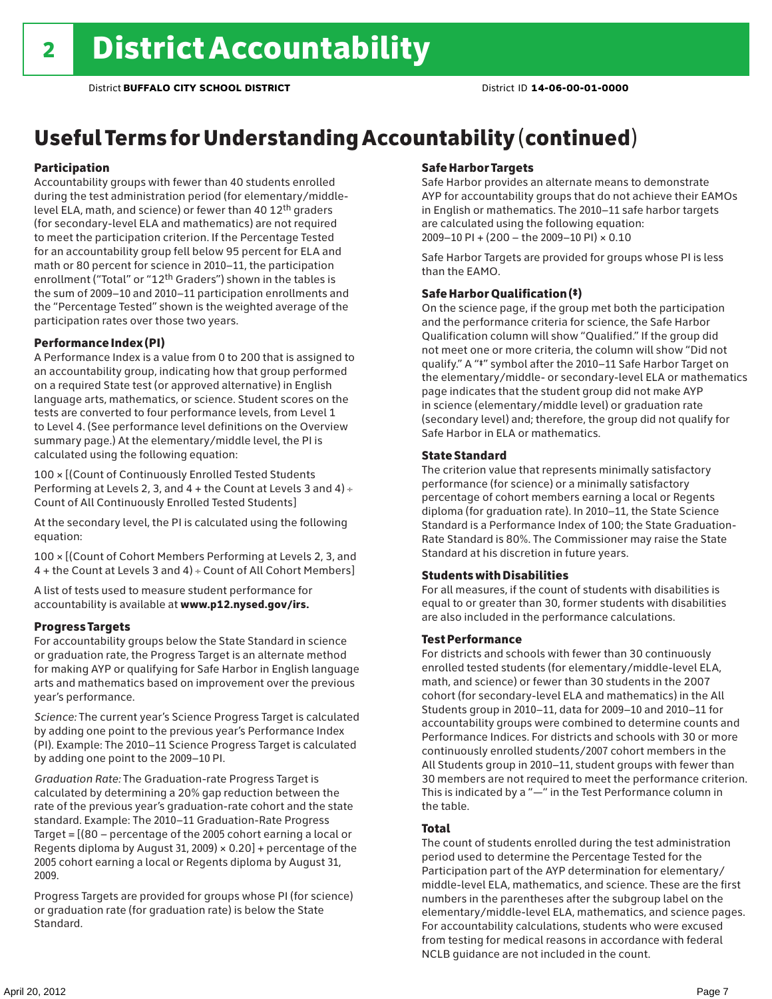## Useful Terms for Understanding Accountability (continued)

### Participation

Accountability groups with fewer than 40 students enrolled during the test administration period (for elementary/middlelevel ELA, math, and science) or fewer than 40 12th graders (for secondary-level ELA and mathematics) are not required to meet the participation criterion. If the Percentage Tested for an accountability group fell below 95 percent for ELA and math or 80 percent for science in 2010–11, the participation enrollment ("Total" or "12th Graders") shown in the tables is the sum of 2009–10 and 2010–11 participation enrollments and the "Percentage Tested" shown is the weighted average of the participation rates over those two years.

### Performance Index (PI)

A Performance Index is a value from 0 to 200 that is assigned to an accountability group, indicating how that group performed on a required State test (or approved alternative) in English language arts, mathematics, or science. Student scores on the tests are converted to four performance levels, from Level 1 to Level 4. (See performance level definitions on the Overview summary page.) At the elementary/middle level, the PI is calculated using the following equation:

100 × [(Count of Continuously Enrolled Tested Students Performing at Levels 2, 3, and 4 + the Count at Levels 3 and 4) Count of All Continuously Enrolled Tested Students]

At the secondary level, the PI is calculated using the following equation:

100 × [(Count of Cohort Members Performing at Levels 2, 3, and 4 + the Count at Levels 3 and 4) Count of All Cohort Members]

A list of tests used to measure student performance for accountability is available at www.p12.nysed.gov/irs.

### Progress Targets

For accountability groups below the State Standard in science or graduation rate, the Progress Target is an alternate method for making AYP or qualifying for Safe Harbor in English language arts and mathematics based on improvement over the previous year's performance.

*Science:* The current year's Science Progress Target is calculated by adding one point to the previous year's Performance Index (PI). Example: The 2010–11 Science Progress Target is calculated by adding one point to the 2009–10 PI.

*Graduation Rate:* The Graduation-rate Progress Target is calculated by determining a 20% gap reduction between the rate of the previous year's graduation-rate cohort and the state standard. Example: The 2010–11 Graduation-Rate Progress Target = [(80 – percentage of the 2005 cohort earning a local or Regents diploma by August 31, 2009)  $\times$  0.20] + percentage of the 2005 cohort earning a local or Regents diploma by August 31, 2009.

Progress Targets are provided for groups whose PI (for science) or graduation rate (for graduation rate) is below the State Standard.

### Safe Harbor Targets

Safe Harbor provides an alternate means to demonstrate AYP for accountability groups that do not achieve their EAMOs in English or mathematics. The 2010–11 safe harbor targets are calculated using the following equation: 2009–10 PI + (200 – the 2009–10 PI) × 0.10

Safe Harbor Targets are provided for groups whose PI is less than the EAMO.

### Safe Harbor Qualification (‡)

On the science page, if the group met both the participation and the performance criteria for science, the Safe Harbor Qualification column will show "Qualified." If the group did not meet one or more criteria, the column will show "Did not qualify." A "‡" symbol after the 2010–11 Safe Harbor Target on the elementary/middle- or secondary-level ELA or mathematics page indicates that the student group did not make AYP in science (elementary/middle level) or graduation rate (secondary level) and; therefore, the group did not qualify for Safe Harbor in ELA or mathematics.

### State Standard

The criterion value that represents minimally satisfactory performance (for science) or a minimally satisfactory percentage of cohort members earning a local or Regents diploma (for graduation rate). In 2010–11, the State Science Standard is a Performance Index of 100; the State Graduation-Rate Standard is 80%. The Commissioner may raise the State Standard at his discretion in future years.

### Students with Disabilities

For all measures, if the count of students with disabilities is equal to or greater than 30, former students with disabilities are also included in the performance calculations.

### Test Performance

For districts and schools with fewer than 30 continuously enrolled tested students (for elementary/middle-level ELA, math, and science) or fewer than 30 students in the 2007 cohort (for secondary-level ELA and mathematics) in the All Students group in 2010–11, data for 2009–10 and 2010–11 for accountability groups were combined to determine counts and Performance Indices. For districts and schools with 30 or more continuously enrolled students/2007 cohort members in the All Students group in 2010–11, student groups with fewer than 30 members are not required to meet the performance criterion. This is indicated by a "—" in the Test Performance column in the table.

### Total

The count of students enrolled during the test administration period used to determine the Percentage Tested for the Participation part of the AYP determination for elementary/ middle-level ELA, mathematics, and science. These are the first numbers in the parentheses after the subgroup label on the elementary/middle-level ELA, mathematics, and science pages. For accountability calculations, students who were excused from testing for medical reasons in accordance with federal NCLB guidance are not included in the count.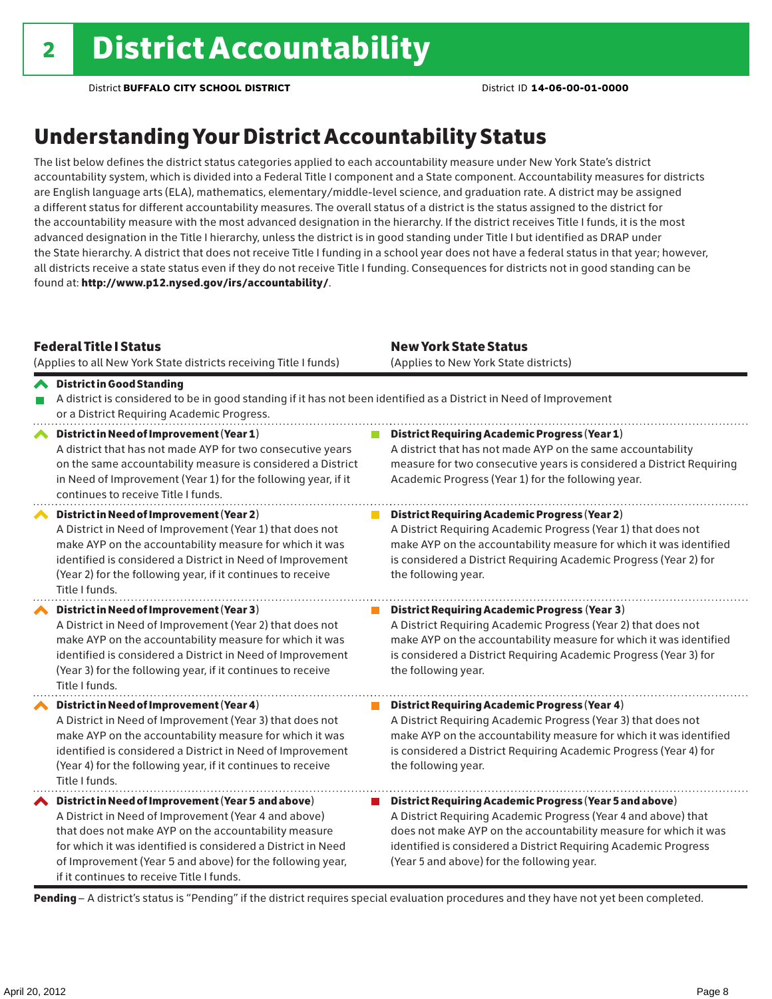## Understanding Your District Accountability Status

The list below defines the district status categories applied to each accountability measure under New York State's district accountability system, which is divided into a Federal Title I component and a State component. Accountability measures for districts are English language arts (ELA), mathematics, elementary/middle-level science, and graduation rate. A district may be assigned a different status for different accountability measures. The overall status of a district is the status assigned to the district for the accountability measure with the most advanced designation in the hierarchy. If the district receives Title I funds, it is the most advanced designation in the Title I hierarchy, unless the district is in good standing under Title I but identified as DRAP under the State hierarchy. A district that does not receive Title I funding in a school year does not have a federal status in that year; however, all districts receive a state status even if they do not receive Title I funding. Consequences for districts not in good standing can be found at: http://www.p12.nysed.gov/irs/accountability/.

| <b>Federal Title I Status</b><br>(Applies to all New York State districts receiving Title I funds)                                                                                                                                                                                                                                             | <b>New York State Status</b><br>(Applies to New York State districts)                                                                                                                                                                                                                                          |
|------------------------------------------------------------------------------------------------------------------------------------------------------------------------------------------------------------------------------------------------------------------------------------------------------------------------------------------------|----------------------------------------------------------------------------------------------------------------------------------------------------------------------------------------------------------------------------------------------------------------------------------------------------------------|
| <b>◆</b> District in Good Standing<br>A district is considered to be in good standing if it has not been identified as a District in Need of Improvement<br>or a District Requiring Academic Progress.                                                                                                                                         |                                                                                                                                                                                                                                                                                                                |
| District in Need of Improvement (Year 1)<br>∧<br>A district that has not made AYP for two consecutive years<br>on the same accountability measure is considered a District<br>in Need of Improvement (Year 1) for the following year, if it<br>continues to receive Title I funds.                                                             | <b>District Requiring Academic Progress (Year 1)</b><br>A district that has not made AYP on the same accountability<br>measure for two consecutive years is considered a District Requiring<br>Academic Progress (Year 1) for the following year.                                                              |
| District in Need of Improvement (Year 2)<br>A District in Need of Improvement (Year 1) that does not<br>make AYP on the accountability measure for which it was<br>identified is considered a District in Need of Improvement<br>(Year 2) for the following year, if it continues to receive<br>Title I funds.                                 | <b>District Requiring Academic Progress (Year 2)</b><br>A District Requiring Academic Progress (Year 1) that does not<br>make AYP on the accountability measure for which it was identified<br>is considered a District Requiring Academic Progress (Year 2) for<br>the following year.                        |
| District in Need of Improvement (Year 3)<br>A District in Need of Improvement (Year 2) that does not<br>make AYP on the accountability measure for which it was<br>identified is considered a District in Need of Improvement<br>(Year 3) for the following year, if it continues to receive<br>Title I funds.                                 | <b>District Requiring Academic Progress (Year 3)</b><br>A District Requiring Academic Progress (Year 2) that does not<br>make AYP on the accountability measure for which it was identified<br>is considered a District Requiring Academic Progress (Year 3) for<br>the following year.                        |
| District in Need of Improvement (Year 4)<br>A District in Need of Improvement (Year 3) that does not<br>make AYP on the accountability measure for which it was<br>identified is considered a District in Need of Improvement<br>(Year 4) for the following year, if it continues to receive<br>Title I funds.                                 | <b>District Requiring Academic Progress (Year 4)</b><br>A District Requiring Academic Progress (Year 3) that does not<br>make AYP on the accountability measure for which it was identified<br>is considered a District Requiring Academic Progress (Year 4) for<br>the following year.                        |
| ◆ District in Need of Improvement (Year 5 and above)<br>A District in Need of Improvement (Year 4 and above)<br>that does not make AYP on the accountability measure<br>for which it was identified is considered a District in Need<br>of Improvement (Year 5 and above) for the following year,<br>if it continues to receive Title I funds. | District Requiring Academic Progress (Year 5 and above)<br>A District Requiring Academic Progress (Year 4 and above) that<br>does not make AYP on the accountability measure for which it was<br>identified is considered a District Requiring Academic Progress<br>(Year 5 and above) for the following year. |

Pending - A district's status is "Pending" if the district requires special evaluation procedures and they have not yet been completed.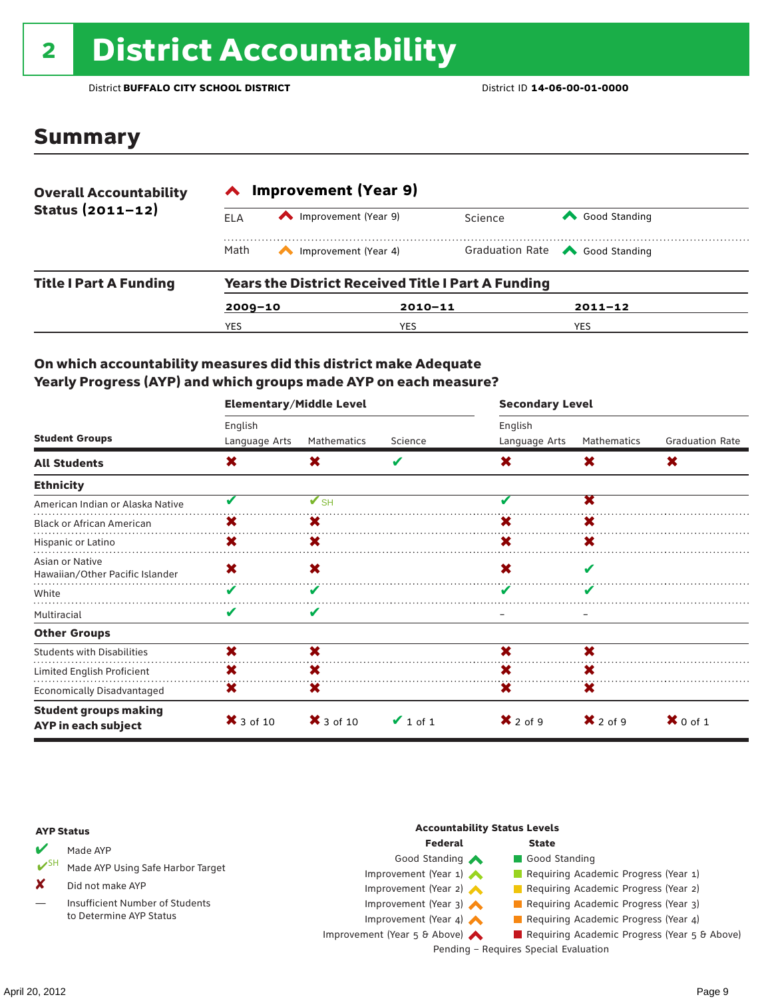# 2 District Accountability

### Summary

| <b>Overall Accountability</b> | <b>Improvement (Year 9)</b>                               |                      |             |                                       |  |  |
|-------------------------------|-----------------------------------------------------------|----------------------|-------------|---------------------------------------|--|--|
| Status $(2011 - 12)$          | FI A                                                      | Improvement (Year 9) | Science     | Good Standing                         |  |  |
|                               | Math                                                      | Improvement (Year 4) |             | Graduation Rate <a> Good Standing</a> |  |  |
| <b>Title I Part A Funding</b> | <b>Years the District Received Title I Part A Funding</b> |                      |             |                                       |  |  |
|                               | $2009 - 10$                                               |                      | $2010 - 11$ | $2011 - 12$                           |  |  |
|                               | YES                                                       | YES                  |             | <b>YES</b>                            |  |  |

### On which accountability measures did this district make Adequate Yearly Progress (AYP) and which groups made AYP on each measure?

|                                                     | <b>Elementary/Middle Level</b> |                          |               |                     | <b>Secondary Level</b> |                        |  |  |
|-----------------------------------------------------|--------------------------------|--------------------------|---------------|---------------------|------------------------|------------------------|--|--|
|                                                     | English                        |                          |               | English             |                        |                        |  |  |
| <b>Student Groups</b>                               | Language Arts                  | Mathematics              | Science       | Language Arts       | <b>Mathematics</b>     | <b>Graduation Rate</b> |  |  |
| <b>All Students</b>                                 | $\boldsymbol{\mathsf{x}}$      | X                        | V             | X                   | X                      | X                      |  |  |
| <b>Ethnicity</b>                                    |                                |                          |               |                     |                        |                        |  |  |
| American Indian or Alaska Native                    | V                              | $\mathbf{V}_{\text{SH}}$ |               |                     | X                      |                        |  |  |
| <b>Black or African American</b>                    | х                              | x                        |               | x                   | X                      |                        |  |  |
| Hispanic or Latino                                  | X                              | X.                       |               | X                   | X                      |                        |  |  |
| Asian or Native<br>Hawaiian/Other Pacific Islander  | X                              | X                        |               | X                   | V                      |                        |  |  |
| White                                               | V                              | v                        |               |                     | v                      |                        |  |  |
| Multiracial                                         | V                              | V                        |               |                     |                        |                        |  |  |
| <b>Other Groups</b>                                 |                                |                          |               |                     |                        |                        |  |  |
| <b>Students with Disabilities</b>                   | X                              | X                        |               | X                   | X                      |                        |  |  |
| Limited English Proficient                          | X                              | x                        |               | X                   | X                      |                        |  |  |
| <b>Economically Disadvantaged</b>                   | X                              | x                        |               | X                   | X                      |                        |  |  |
| <b>Student groups making</b><br>AYP in each subject | $\bm{X}$ 3 of 10               | $\mathsf{X}$ 3 of 10     | $\vee$ 1 of 1 | $\mathbf{X}$ 2 of 9 | $\mathbf{X}$ 2 of 9    | $\mathbf{X}$ 0 of 1    |  |  |

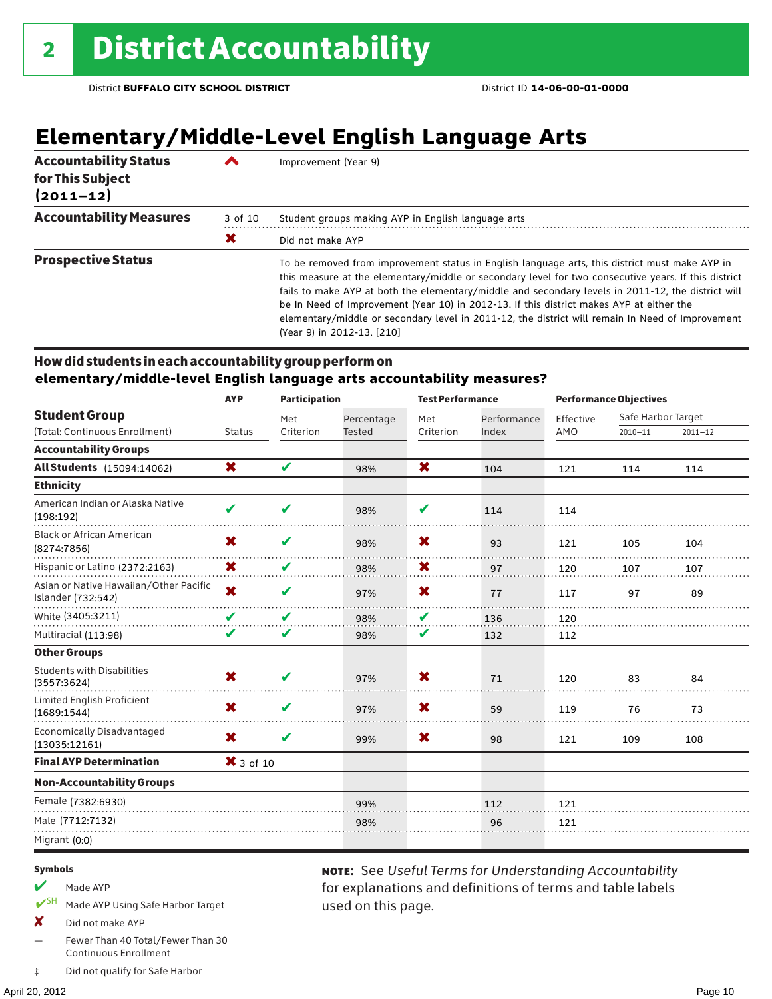## **Elementary/Middle-Level English Language Arts**

| <b>Accountability Status</b><br>for This Subject<br>$(2011 - 12)$ |         | Improvement (Year 9)                                                                                                                                                                                                                                                                                                                                                                                                                                                                                                                       |
|-------------------------------------------------------------------|---------|--------------------------------------------------------------------------------------------------------------------------------------------------------------------------------------------------------------------------------------------------------------------------------------------------------------------------------------------------------------------------------------------------------------------------------------------------------------------------------------------------------------------------------------------|
| <b>Accountability Measures</b>                                    | 3 of 10 | Student groups making AYP in English language arts                                                                                                                                                                                                                                                                                                                                                                                                                                                                                         |
|                                                                   | Х       | Did not make AYP                                                                                                                                                                                                                                                                                                                                                                                                                                                                                                                           |
| <b>Prospective Status</b>                                         |         | To be removed from improvement status in English language arts, this district must make AYP in<br>this measure at the elementary/middle or secondary level for two consecutive years. If this district<br>fails to make AYP at both the elementary/middle and secondary levels in 2011-12, the district will<br>be In Need of Improvement (Year 10) in 2012-13. If this district makes AYP at either the<br>elementary/middle or secondary level in 2011-12, the district will remain In Need of Improvement<br>(Year 9) in 2012-13. [210] |

### How did students in each accountability group perform on **elementary/middle-level English language arts accountability measures?**

|                                                              |                           | <b>AYP</b><br><b>Participation</b> |               | <b>Test Performance</b>   |             | <b>Performance Objectives</b> |                    |             |
|--------------------------------------------------------------|---------------------------|------------------------------------|---------------|---------------------------|-------------|-------------------------------|--------------------|-------------|
| <b>Student Group</b>                                         |                           | Met                                | Percentage    | Met                       | Performance | Effective                     | Safe Harbor Target |             |
| (Total: Continuous Enrollment)                               | <b>Status</b>             | Criterion                          | <b>Tested</b> | Criterion                 | Index       | AMO                           | $2010 - 11$        | $2011 - 12$ |
| <b>Accountability Groups</b>                                 |                           |                                    |               |                           |             |                               |                    |             |
| <b>All Students</b> (15094:14062)                            | $\boldsymbol{\mathsf{x}}$ | V                                  | 98%           | $\boldsymbol{\mathsf{x}}$ | 104         | 121                           | 114                | 114         |
| <b>Ethnicity</b>                                             |                           |                                    |               |                           |             |                               |                    |             |
| American Indian or Alaska Native<br>(198:192)                | $\mathbf{v}$              | V                                  | 98%           | V                         | 114         | 114                           |                    |             |
| <b>Black or African American</b><br>(8274:7856)              | X                         | ✔                                  | 98%           | X                         | 93          | 121                           | 105                | 104         |
| Hispanic or Latino (2372:2163)                               | X                         | V                                  | 98%           | X                         | 97          | 120                           | 107                | 107         |
| Asian or Native Hawaiian/Other Pacific<br>Islander (732:542) | X                         | V                                  | 97%           | X                         | 77          | 117                           | 97                 | 89          |
| White (3405:3211)                                            | V                         | V                                  | 98%           | V                         | 136         | 120                           |                    |             |
| Multiracial (113:98)                                         | V                         | V                                  | 98%           | V                         | 132         | 112                           |                    |             |
| <b>Other Groups</b>                                          |                           |                                    |               |                           |             |                               |                    |             |
| <b>Students with Disabilities</b><br>(3557:3624)             | X                         | V                                  | 97%           | X                         | 71          | 120                           | 83                 | 84          |
| Limited English Proficient<br>(1689:1544)                    | X                         | V                                  | 97%           | X                         | 59          | 119                           | 76                 | 73          |
| <b>Economically Disadvantaged</b><br>(13035:12161)           | X                         | V                                  | 99%           | X                         | 98          | 121                           | 109                | 108         |
| <b>Final AYP Determination</b>                               | $\bm{X}$ 3 of 10          |                                    |               |                           |             |                               |                    |             |
| <b>Non-Accountability Groups</b>                             |                           |                                    |               |                           |             |                               |                    |             |
| Female (7382:6930)                                           |                           |                                    | 99%           |                           | 112         | 121                           |                    |             |
| Male (7712:7132)                                             |                           |                                    | 98%           |                           | 96          | 121                           |                    |             |
| Migrant (0:0)                                                |                           |                                    |               |                           |             |                               |                    |             |

used on this page.

note: See *Useful Terms for Understanding Accountability*  for explanations and definitions of terms and table labels

#### Symbols

- $M$  Made AYP
- ✔SH Made AYP Using Safe Harbor Target
- X Did not make AYP
- Fewer Than 40 Total/Fewer Than 30 Continuous Enrollment
- ‡ Did not qualify for Safe Harbor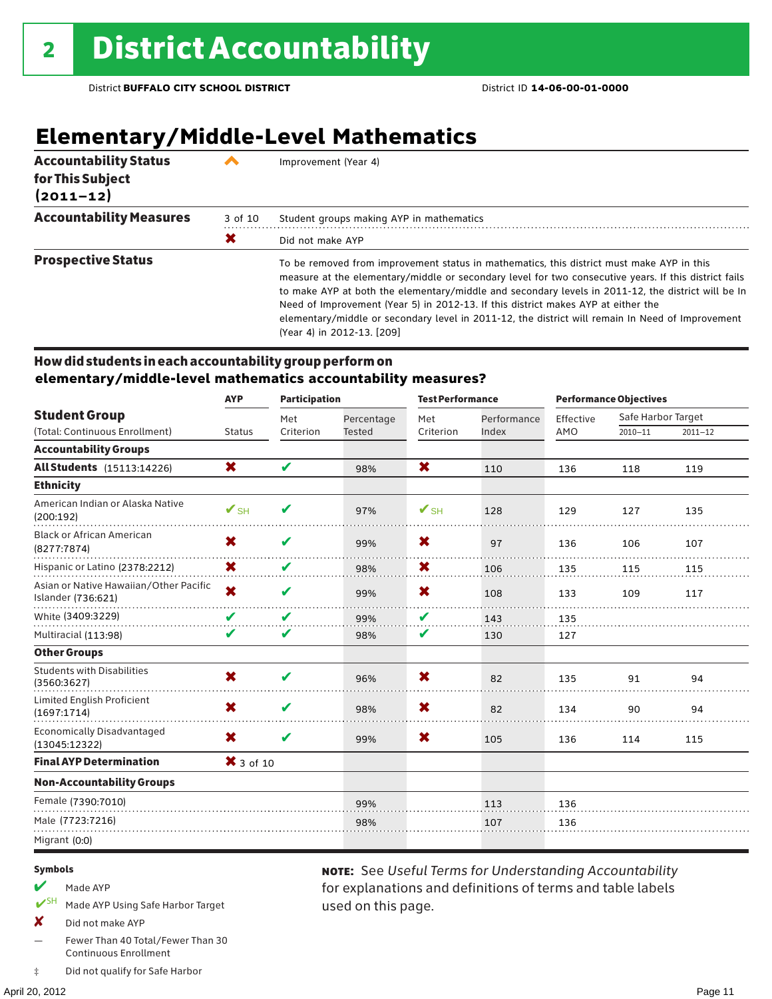## **Elementary/Middle-Level Mathematics**

| <b>Accountability Status</b><br>for This Subject<br>$(2011 - 12)$ |         | Improvement (Year 4)                                                                                                                                                                                                                                                                                                                                                                                                                                                                                                            |
|-------------------------------------------------------------------|---------|---------------------------------------------------------------------------------------------------------------------------------------------------------------------------------------------------------------------------------------------------------------------------------------------------------------------------------------------------------------------------------------------------------------------------------------------------------------------------------------------------------------------------------|
| <b>Accountability Measures</b>                                    | 3 of 10 | Student groups making AYP in mathematics                                                                                                                                                                                                                                                                                                                                                                                                                                                                                        |
|                                                                   | Х       | Did not make AYP                                                                                                                                                                                                                                                                                                                                                                                                                                                                                                                |
| <b>Prospective Status</b>                                         |         | To be removed from improvement status in mathematics, this district must make AYP in this<br>measure at the elementary/middle or secondary level for two consecutive years. If this district fails<br>to make AYP at both the elementary/middle and secondary levels in 2011-12, the district will be In<br>Need of Improvement (Year 5) in 2012-13. If this district makes AYP at either the<br>elementary/middle or secondary level in 2011-12, the district will remain In Need of Improvement<br>(Year 4) in 2012-13. [209] |

### How did students in each accountability group perform on **elementary/middle-level mathematics accountability measures?**

|                                                              | <b>AYP</b>               | <b>Participation</b> |               | <b>Test Performance</b>  |             |           | <b>Performance Objectives</b> |             |
|--------------------------------------------------------------|--------------------------|----------------------|---------------|--------------------------|-------------|-----------|-------------------------------|-------------|
| <b>Student Group</b>                                         |                          | Met                  | Percentage    | Met                      | Performance | Effective | Safe Harbor Target            |             |
| (Total: Continuous Enrollment)                               | <b>Status</b>            | Criterion            | <b>Tested</b> | Criterion                | Index       | AMO       | $2010 - 11$                   | $2011 - 12$ |
| <b>Accountability Groups</b>                                 |                          |                      |               |                          |             |           |                               |             |
| <b>All Students</b> (15113:14226)                            | X                        | V                    | 98%           | X                        | 110         | 136       | 118                           | 119         |
| <b>Ethnicity</b>                                             |                          |                      |               |                          |             |           |                               |             |
| American Indian or Alaska Native<br>(200:192)                | $\mathbf{V}_{\text{SH}}$ | V                    | 97%           | $\mathbf{V}_{\text{SH}}$ | 128         | 129       | 127                           | 135         |
| <b>Black or African American</b><br>(8277:7874)              | X                        | ✔                    | 99%           | X                        | 97          | 136       | 106                           | 107         |
| Hispanic or Latino (2378:2212)                               | X                        | V                    | 98%           | X                        | 106         | 135       | 115                           | 115         |
| Asian or Native Hawaiian/Other Pacific<br>Islander (736:621) | $\overline{\mathsf{x}}$  | V                    | 99%           | X                        | 108         | 133       | 109                           | 117         |
| White (3409:3229)                                            | V                        | V                    | 99%           | V                        | 143         | 135       |                               |             |
| Multiracial (113:98)                                         | V                        | V                    | 98%           | V                        | 130         | 127       |                               |             |
| <b>Other Groups</b>                                          |                          |                      |               |                          |             |           |                               |             |
| <b>Students with Disabilities</b><br>(3560:3627)             | X                        | V                    | 96%           | X                        | 82          | 135       | 91                            | 94          |
| Limited English Proficient<br>(1697:1714)                    | X                        | V                    | 98%           | X                        | 82          | 134       | 90                            | 94          |
| <b>Economically Disadvantaged</b><br>(13045:12322)           | X                        | V                    | 99%           | X                        | 105         | 136       | 114                           | 115         |
| <b>Final AYP Determination</b>                               | $\bm{X}$ 3 of 10         |                      |               |                          |             |           |                               |             |
| <b>Non-Accountability Groups</b>                             |                          |                      |               |                          |             |           |                               |             |
| Female (7390:7010)                                           |                          |                      | 99%           |                          | 113         | 136       |                               |             |
| Male (7723:7216)                                             |                          |                      | 98%           |                          | 107         | 136       |                               |             |
| Migrant (0:0)                                                |                          |                      |               |                          |             |           |                               |             |

used on this page.

note: See *Useful Terms for Understanding Accountability*  for explanations and definitions of terms and table labels

#### Symbols

- $M$  Made AYP
- ✔SH Made AYP Using Safe Harbor Target
- X Did not make AYP
- Fewer Than 40 Total/Fewer Than 30 Continuous Enrollment
- ‡ Did not qualify for Safe Harbor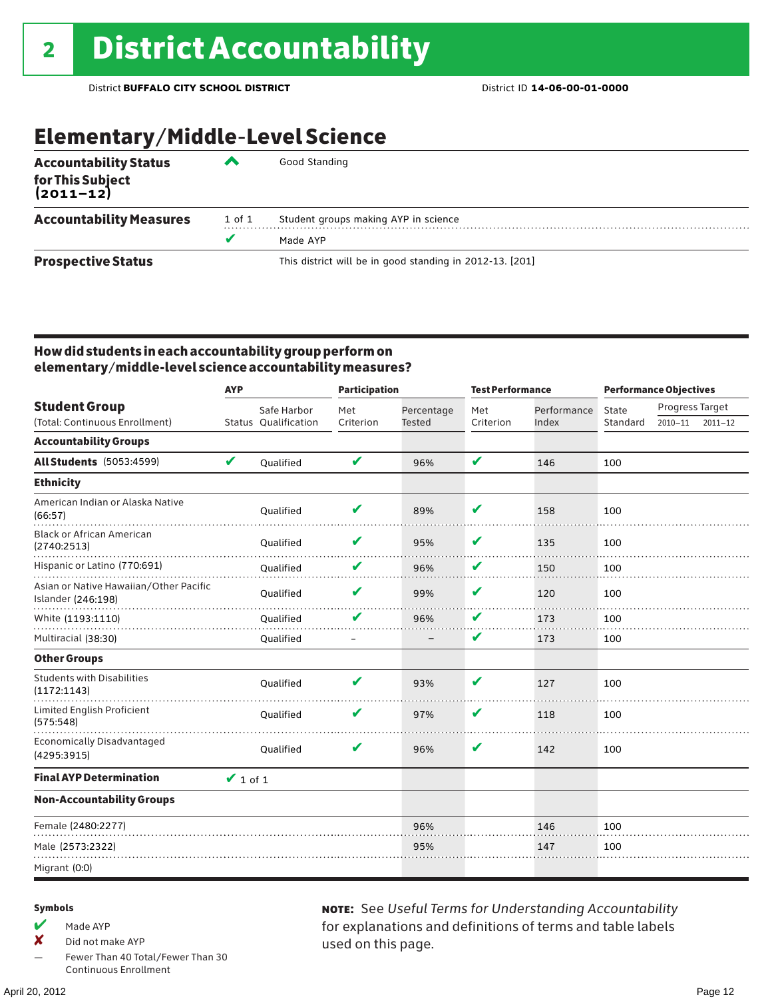## Elementary/Middle-Level Science

| <b>Accountability Status</b><br>for This Subject<br>(2011–12) | ▰      | Good Standing                                            |
|---------------------------------------------------------------|--------|----------------------------------------------------------|
| <b>Accountability Measures</b>                                | 1 of 1 | Student groups making AYP in science                     |
|                                                               | v      | Made AYP                                                 |
| <b>Prospective Status</b>                                     |        | This district will be in good standing in 2012-13. [201] |

### How did students in each accountability group perform on elementary/middle-level science accountability measures?

|                                                              | <b>AYP</b>    |                      | <b>Participation</b> |               | <b>Test Performance</b> |             | <b>Performance Objectives</b> |                 |             |
|--------------------------------------------------------------|---------------|----------------------|----------------------|---------------|-------------------------|-------------|-------------------------------|-----------------|-------------|
| <b>Student Group</b>                                         |               | Safe Harbor          | Met                  | Percentage    | Met                     | Performance | State                         | Progress Target |             |
| (Total: Continuous Enrollment)                               |               | Status Oualification | Criterion            | <b>Tested</b> | Criterion               | Index       | Standard                      | $2010 - 11$     | $2011 - 12$ |
| <b>Accountability Groups</b>                                 |               |                      |                      |               |                         |             |                               |                 |             |
| <b>All Students</b> (5053:4599)                              | V             | Oualified            | V                    | 96%           | V                       | 146         | 100                           |                 |             |
| <b>Ethnicity</b>                                             |               |                      |                      |               |                         |             |                               |                 |             |
| American Indian or Alaska Native<br>(66:57)                  |               | Oualified            | v                    | 89%           | V                       | 158         | 100                           |                 |             |
| <b>Black or African American</b><br>(2740:2513)              |               | Qualified            | v                    | 95%           | V                       | 135         | 100                           |                 |             |
| Hispanic or Latino (770:691)                                 |               | Qualified            | V                    | 96%           | V                       | 150         | 100                           |                 |             |
| Asian or Native Hawaiian/Other Pacific<br>Islander (246:198) |               | Qualified            | v                    | 99%           | V                       | 120         | 100                           |                 |             |
| White (1193:1110)                                            |               | Qualified            | V                    | 96%           | V                       | 173         | 100                           |                 |             |
| Multiracial (38:30)                                          |               | Qualified            |                      |               | V                       | 173         | 100                           |                 |             |
| <b>Other Groups</b>                                          |               |                      |                      |               |                         |             |                               |                 |             |
| <b>Students with Disabilities</b><br>(1172:1143)             |               | Qualified            | V                    | 93%           | V                       | 127         | 100                           |                 |             |
| Limited English Proficient<br>(575:548)                      |               | Oualified            | v                    | 97%           | V                       | 118         | 100                           |                 |             |
| <b>Economically Disadvantaged</b><br>(4295:3915)             |               | Oualified            | V                    | 96%           | V                       | 142         | 100                           |                 |             |
| <b>Final AYP Determination</b>                               | $\vee$ 1 of 1 |                      |                      |               |                         |             |                               |                 |             |
| <b>Non-Accountability Groups</b>                             |               |                      |                      |               |                         |             |                               |                 |             |
| Female (2480:2277)                                           |               |                      |                      | 96%           |                         | 146         | 100                           |                 |             |
| Male (2573:2322)                                             |               |                      |                      | 95%           |                         | 147         | 100                           |                 |             |
| Migrant (0:0)                                                |               |                      |                      |               |                         |             |                               |                 |             |

### Symbols

 $M$  Made AYP

✘ Did not make AYP

Fewer Than 40 Total/Fewer Than 30 Continuous Enrollment

note: See *Useful Terms for Understanding Accountability*  for explanations and definitions of terms and table labels used on this page.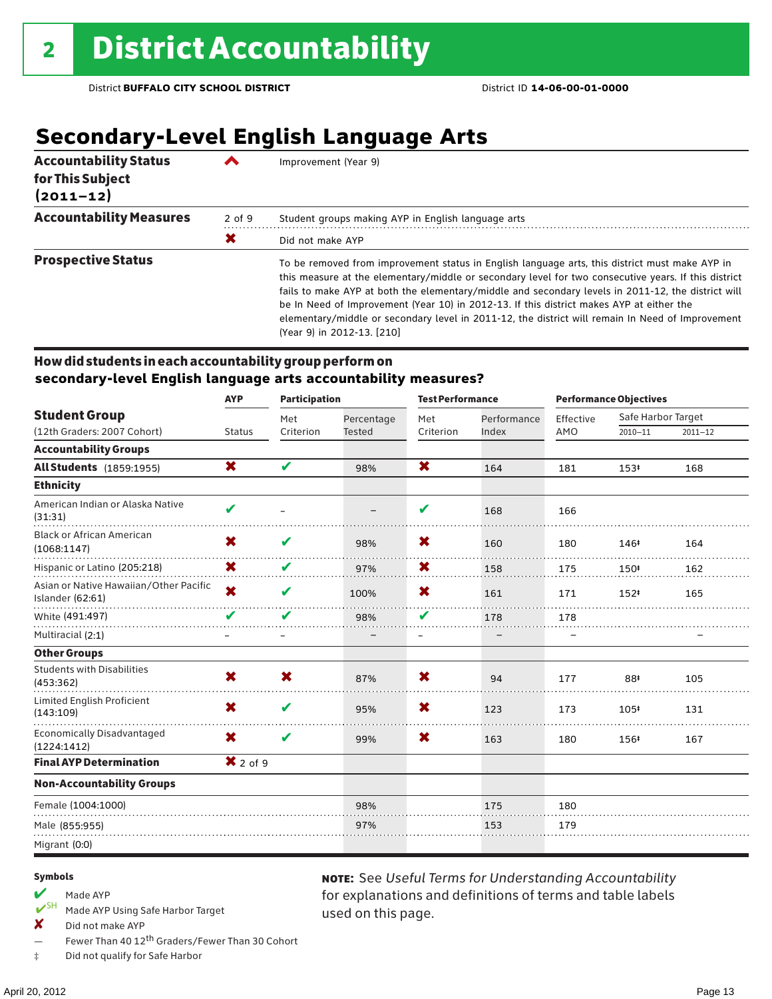## **Secondary-Level English Language Arts**

| <b>Accountability Status</b><br>for This Subject<br>$(2011 - 12)$ |        | Improvement (Year 9)                                                                                                                                                                                                                                                                                                                                                                                                                                                                                                                       |
|-------------------------------------------------------------------|--------|--------------------------------------------------------------------------------------------------------------------------------------------------------------------------------------------------------------------------------------------------------------------------------------------------------------------------------------------------------------------------------------------------------------------------------------------------------------------------------------------------------------------------------------------|
| <b>Accountability Measures</b>                                    | 2 of 9 | Student groups making AYP in English language arts                                                                                                                                                                                                                                                                                                                                                                                                                                                                                         |
|                                                                   | Х      | Did not make AYP                                                                                                                                                                                                                                                                                                                                                                                                                                                                                                                           |
| <b>Prospective Status</b>                                         |        | To be removed from improvement status in English language arts, this district must make AYP in<br>this measure at the elementary/middle or secondary level for two consecutive years. If this district<br>fails to make AYP at both the elementary/middle and secondary levels in 2011-12, the district will<br>be In Need of Improvement (Year 10) in 2012-13. If this district makes AYP at either the<br>elementary/middle or secondary level in 2011-12, the district will remain In Need of Improvement<br>(Year 9) in 2012-13. [210] |

### How did students in each accountability group perform on **secondary-level English language arts accountability measures?**

|                                                            | <b>AYP</b>              | <b>Participation</b> |               | <b>Test Performance</b> |             |           | <b>Performance Objectives</b> |             |
|------------------------------------------------------------|-------------------------|----------------------|---------------|-------------------------|-------------|-----------|-------------------------------|-------------|
| <b>Student Group</b>                                       |                         | Met                  | Percentage    | Met                     | Performance | Effective | Safe Harbor Target            |             |
| (12th Graders: 2007 Cohort)                                | <b>Status</b>           | Criterion            | <b>Tested</b> | Criterion               | Index       | AMO       | $2010 - 11$                   | $2011 - 12$ |
| <b>Accountability Groups</b>                               |                         |                      |               |                         |             |           |                               |             |
| <b>All Students</b> (1859:1955)                            | X                       | V                    | 98%           | X                       | 164         | 181       | 153#                          | 168         |
| <b>Ethnicity</b>                                           |                         |                      |               |                         |             |           |                               |             |
| American Indian or Alaska Native<br>(31:31)                | $\mathbf{v}$            |                      |               | V                       | 168         | 166       |                               |             |
| <b>Black or African American</b><br>(1068:1147)            | X                       | V                    | 98%           | X                       | 160         | 180       | 146‡                          | 164         |
| Hispanic or Latino (205:218)                               | X                       | V                    | 97%           | X                       | 158         | 175       | 150#                          | 162         |
| Asian or Native Hawaiian/Other Pacific<br>Islander (62:61) | $\overline{\mathbf{x}}$ | V                    | 100%          | X                       | 161         | 171       | 152#                          | 165         |
| White (491:497)                                            | V                       | V                    | 98%           | V                       | 178         | 178       |                               |             |
| Multiracial (2:1)                                          |                         |                      |               | $\qquad \qquad -$       |             |           |                               |             |
| <b>Other Groups</b>                                        |                         |                      |               |                         |             |           |                               |             |
| <b>Students with Disabilities</b><br>(453:362)             | X                       | X                    | 87%           | X                       | 94          | 177       | 88‡                           | 105         |
| Limited English Proficient<br>(143:109)                    | X                       | V                    | 95%           | X                       | 123         | 173       | 105#                          | 131         |
| <b>Economically Disadvantaged</b><br>(1224:1412)           | X                       | V                    | 99%           | X                       | 163         | 180       | 156#                          | 167         |
| <b>Final AYP Determination</b>                             | $X2$ of 9               |                      |               |                         |             |           |                               |             |
| <b>Non-Accountability Groups</b>                           |                         |                      |               |                         |             |           |                               |             |
| Female (1004:1000)                                         |                         |                      | 98%           |                         | 175         | 180       |                               |             |
| Male (855:955)                                             |                         |                      | 97%           |                         | 153         | 179       |                               |             |
| Migrant (0:0)                                              |                         |                      |               |                         |             |           |                               |             |

used on this page.

note: See *Useful Terms for Understanding Accountability*  for explanations and definitions of terms and table labels

#### Symbols

## Made AYP<br>  $V$ <sup>SH</sup> Made AVP

- Made AYP Using Safe Harbor Target
- ✘ Did not make AYP
- Fewer Than 40 12<sup>th</sup> Graders/Fewer Than 30 Cohort
- ‡ Did not qualify for Safe Harbor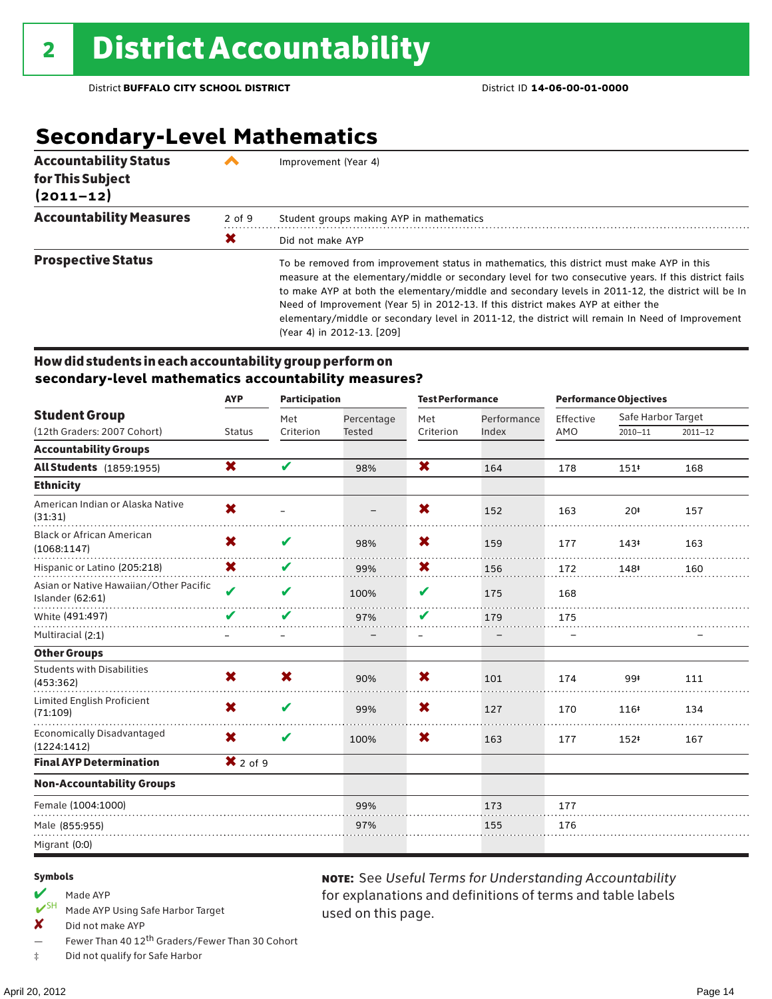## **Secondary-Level Mathematics**

| <b>Accountability Status</b><br>for This Subject<br>$(2011 - 12)$ |            | Improvement (Year 4)                                                                                                                                                                                                                                                                                                                                                                                                                                                                                                            |
|-------------------------------------------------------------------|------------|---------------------------------------------------------------------------------------------------------------------------------------------------------------------------------------------------------------------------------------------------------------------------------------------------------------------------------------------------------------------------------------------------------------------------------------------------------------------------------------------------------------------------------|
| <b>Accountability Measures</b>                                    | $2$ of $9$ | Student groups making AYP in mathematics                                                                                                                                                                                                                                                                                                                                                                                                                                                                                        |
|                                                                   | X          | Did not make AYP                                                                                                                                                                                                                                                                                                                                                                                                                                                                                                                |
| <b>Prospective Status</b>                                         |            | To be removed from improvement status in mathematics, this district must make AYP in this<br>measure at the elementary/middle or secondary level for two consecutive years. If this district fails<br>to make AYP at both the elementary/middle and secondary levels in 2011-12, the district will be In<br>Need of Improvement (Year 5) in 2012-13. If this district makes AYP at either the<br>elementary/middle or secondary level in 2011-12, the district will remain In Need of Improvement<br>(Year 4) in 2012-13. [209] |

### How did students in each accountability group perform on **secondary-level mathematics accountability measures?**

|                                                            | <b>AYP</b>          | <b>Participation</b> |               | <b>Test Performance</b>   |             |           | <b>Performance Objectives</b> |             |
|------------------------------------------------------------|---------------------|----------------------|---------------|---------------------------|-------------|-----------|-------------------------------|-------------|
| <b>Student Group</b>                                       |                     | Met                  | Percentage    | Met                       | Performance | Effective | Safe Harbor Target            |             |
| (12th Graders: 2007 Cohort)                                | <b>Status</b>       | Criterion            | <b>Tested</b> | Criterion                 | Index       | AMO       | $2010 - 11$                   | $2011 - 12$ |
| <b>Accountability Groups</b>                               |                     |                      |               |                           |             |           |                               |             |
| <b>All Students</b> (1859:1955)                            | X                   | V                    | 98%           | $\boldsymbol{\mathsf{x}}$ | 164         | 178       | 151#                          | 168         |
| <b>Ethnicity</b>                                           |                     |                      |               |                           |             |           |                               |             |
| American Indian or Alaska Native<br>(31:31)                | X                   |                      |               | X                         | 152         | 163       | 20#                           | 157         |
| <b>Black or African American</b><br>(1068:1147)            | X                   | V                    | 98%           | X                         | 159         | 177       | 143#                          | 163         |
| Hispanic or Latino (205:218)                               | X                   | V                    | 99%           | X                         | 156         | 172       | 148#                          | 160         |
| Asian or Native Hawaiian/Other Pacific<br>Islander (62:61) | $\boldsymbol{\nu}$  | V                    | 100%          | V                         | 175         | 168       |                               |             |
| White (491:497)                                            | $\mathbf v$         | V                    | 97%           | V                         | 179         | 175       |                               |             |
| Multiracial (2:1)                                          |                     |                      |               | $\qquad \qquad -$         |             |           |                               |             |
| <b>Other Groups</b>                                        |                     |                      |               |                           |             |           |                               |             |
| <b>Students with Disabilities</b><br>(453:362)             | X                   | X                    | 90%           | X                         | 101         | 174       | 99‡                           | 111         |
| Limited English Proficient<br>(71:109)                     | X                   | V                    | 99%           | X                         | 127         | 170       | 116#                          | 134         |
| <b>Economically Disadvantaged</b><br>(1224:1412)           | X                   | V                    | 100%          | X                         | 163         | 177       | 152#                          | 167         |
| <b>Final AYP Determination</b>                             | $\mathsf{X}$ 2 of 9 |                      |               |                           |             |           |                               |             |
| <b>Non-Accountability Groups</b>                           |                     |                      |               |                           |             |           |                               |             |
| Female (1004:1000)                                         |                     |                      | 99%           |                           | 173         | 177       |                               |             |
| Male (855:955)                                             |                     |                      | 97%           |                           | 155         | 176       |                               |             |
| Migrant (0:0)                                              |                     |                      |               |                           |             |           |                               |             |

used on this page.

note: See *Useful Terms for Understanding Accountability*  for explanations and definitions of terms and table labels

#### Symbols

## Made AYP<br>  $V$ <sup>SH</sup> Made AVP

- Made AYP Using Safe Harbor Target
- ✘ Did not make AYP
- Fewer Than 40 12th Graders/Fewer Than 30 Cohort
- ‡ Did not qualify for Safe Harbor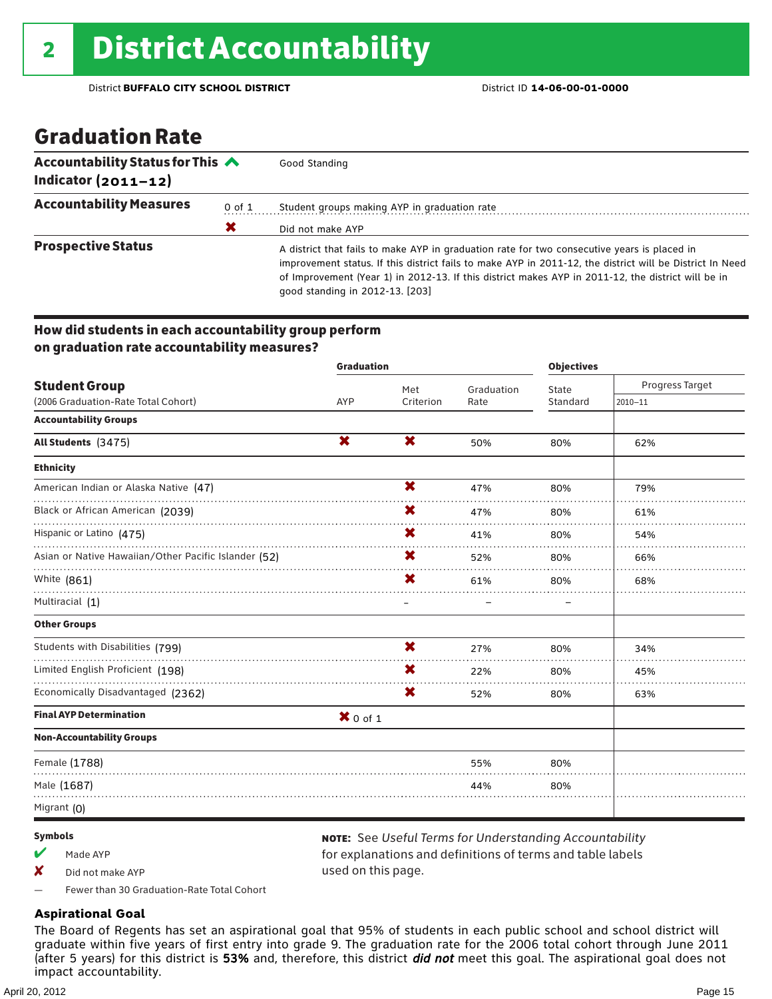## Graduation Rate

| Accountability Status for This $\triangle$<br>Indicator $(2011 - 12)$ |            | Good Standing                                                                                                                                                                                                                                                                                                                                    |
|-----------------------------------------------------------------------|------------|--------------------------------------------------------------------------------------------------------------------------------------------------------------------------------------------------------------------------------------------------------------------------------------------------------------------------------------------------|
| <b>Accountability Measures</b>                                        | $0$ of $1$ | Student groups making AYP in graduation rate                                                                                                                                                                                                                                                                                                     |
|                                                                       | Х          | Did not make AYP                                                                                                                                                                                                                                                                                                                                 |
| <b>Prospective Status</b>                                             |            | A district that fails to make AYP in graduation rate for two consecutive years is placed in<br>improvement status. If this district fails to make AYP in 2011-12, the district will be District In Need<br>of Improvement (Year 1) in 2012-13. If this district makes AYP in 2011-12, the district will be in<br>good standing in 2012-13. [203] |

### How did students in each accountability group perform on graduation rate accountability measures?

|                                                      | <b>Graduation</b> |                           |            | <b>Objectives</b> |                 |  |
|------------------------------------------------------|-------------------|---------------------------|------------|-------------------|-----------------|--|
| <b>Student Group</b>                                 |                   | Met                       | Graduation | State             | Progress Target |  |
| (2006 Graduation-Rate Total Cohort)                  | AYP               | Criterion                 | Rate       | Standard          | $2010 - 11$     |  |
| <b>Accountability Groups</b>                         |                   |                           |            |                   |                 |  |
| All Students (3475)                                  | X                 | $\boldsymbol{\mathsf{x}}$ | 50%        | 80%               | 62%             |  |
| <b>Ethnicity</b>                                     |                   |                           |            |                   |                 |  |
| American Indian or Alaska Native (47)                |                   | X                         | 47%        | 80%               | 79%             |  |
| Black or African American (2039)                     |                   | X                         | 47%        | 80%               | 61%             |  |
| Hispanic or Latino (475)                             |                   | X.                        | 41%        | 80%               | 54%             |  |
| Asian or Native Hawaiian/Other Pacific Islander (52) |                   | X                         | 52%        | 80%               | 66%             |  |
| White (861)                                          |                   | X                         | 61%        | 80%               | 68%             |  |
| Multiracial (1)                                      |                   |                           |            |                   |                 |  |
| <b>Other Groups</b>                                  |                   |                           |            |                   |                 |  |
| Students with Disabilities (799)                     |                   | X                         | 27%        | 80%               | 34%             |  |
| Limited English Proficient (198)                     |                   | X                         | 22%        | 80%               | 45%             |  |
| Economically Disadvantaged (2362)                    |                   | X                         | 52%        | 80%               | 63%             |  |
| <b>Final AYP Determination</b>                       | $X$ 0 of 1        |                           |            |                   |                 |  |
| <b>Non-Accountability Groups</b>                     |                   |                           |            |                   |                 |  |
| Female (1788)                                        |                   |                           | 55%        | 80%               |                 |  |
| Male (1687)                                          |                   |                           | 44%        | 80%               |                 |  |
| Migrant (0)                                          |                   |                           |            |                   |                 |  |

### Symbols

- $M$  Made AYP
- ✘ Did not make AYP

note: See *Useful Terms for Understanding Accountability*  for explanations and definitions of terms and table labels used on this page.

— Fewer than 30 Graduation-Rate Total Cohort

### **Aspirational Goal**

The Board of Regents has set an aspirational goal that 95% of students in each public school and school district will graduate within five years of first entry into grade 9. The graduation rate for the 2006 total cohort through June 2011 (after 5 years) for this district is 53% and, therefore, this district *did not* meet this goal. The aspirational goal does not impact accountability.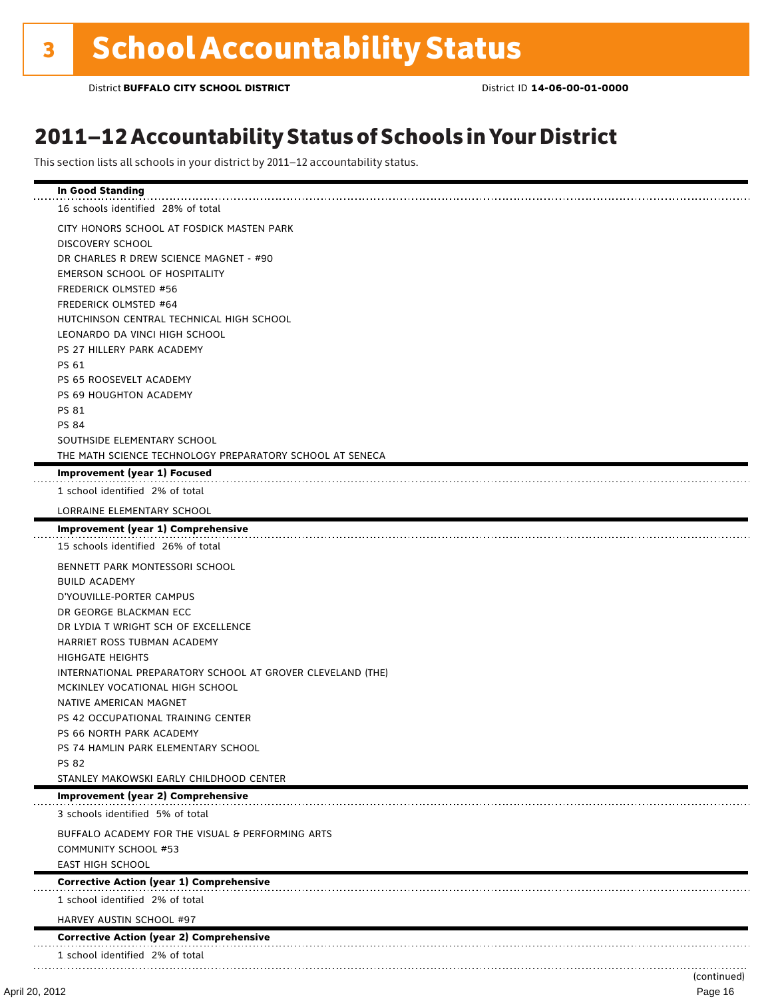## 2011–12 Accountability Status of Schools in Your District

This section lists all schools in your district by 2011–12 accountability status.

| <b>In Good Standing</b>                                    |             |
|------------------------------------------------------------|-------------|
| 16 schools identified 28% of total                         |             |
| CITY HONORS SCHOOL AT FOSDICK MASTEN PARK                  |             |
| DISCOVERY SCHOOL                                           |             |
| DR CHARLES R DREW SCIENCE MAGNET - #90                     |             |
| EMERSON SCHOOL OF HOSPITALITY                              |             |
| <b>FREDERICK OLMSTED #56</b>                               |             |
| <b>FREDERICK OLMSTED #64</b>                               |             |
| HUTCHINSON CENTRAL TECHNICAL HIGH SCHOOL                   |             |
| LEONARDO DA VINCI HIGH SCHOOL                              |             |
| PS 27 HILLERY PARK ACADEMY                                 |             |
| PS 61                                                      |             |
| PS 65 ROOSEVELT ACADEMY                                    |             |
| PS 69 HOUGHTON ACADEMY                                     |             |
| PS 81                                                      |             |
| <b>PS 84</b>                                               |             |
| SOUTHSIDE ELEMENTARY SCHOOL                                |             |
| THE MATH SCIENCE TECHNOLOGY PREPARATORY SCHOOL AT SENECA   |             |
| Improvement (year 1) Focused                               |             |
| 1 school identified 2% of total                            |             |
| LORRAINE ELEMENTARY SCHOOL                                 |             |
| Improvement (year 1) Comprehensive                         |             |
| 15 schools identified 26% of total                         |             |
| BENNETT PARK MONTESSORI SCHOOL                             |             |
| <b>BUILD ACADEMY</b>                                       |             |
| D'YOUVILLE-PORTER CAMPUS                                   |             |
| DR GEORGE BLACKMAN ECC                                     |             |
| DR LYDIA T WRIGHT SCH OF EXCELLENCE                        |             |
| HARRIET ROSS TUBMAN ACADEMY                                |             |
| <b>HIGHGATE HEIGHTS</b>                                    |             |
| INTERNATIONAL PREPARATORY SCHOOL AT GROVER CLEVELAND (THE) |             |
| MCKINLEY VOCATIONAL HIGH SCHOOL                            |             |
| NATIVE AMERICAN MAGNET                                     |             |
| PS 42 OCCUPATIONAL TRAINING CENTER                         |             |
| PS 66 NORTH PARK ACADEMY                                   |             |
| PS 74 HAMLIN PARK ELEMENTARY SCHOOL                        |             |
| <b>PS 82</b>                                               |             |
| STANLEY MAKOWSKI EARLY CHILDHOOD CENTER                    |             |
| Improvement (year 2) Comprehensive                         |             |
| 3 schools identified 5% of total                           |             |
| BUFFALO ACADEMY FOR THE VISUAL & PERFORMING ARTS           |             |
| <b>COMMUNITY SCHOOL #53</b>                                |             |
| <b>EAST HIGH SCHOOL</b>                                    |             |
| <b>Corrective Action (year 1) Comprehensive</b>            |             |
| 1 school identified 2% of total                            |             |
| HARVEY AUSTIN SCHOOL #97                                   |             |
| <b>Corrective Action (year 2) Comprehensive</b>            |             |
| 1 school identified 2% of total                            |             |
|                                                            | (continued) |
|                                                            |             |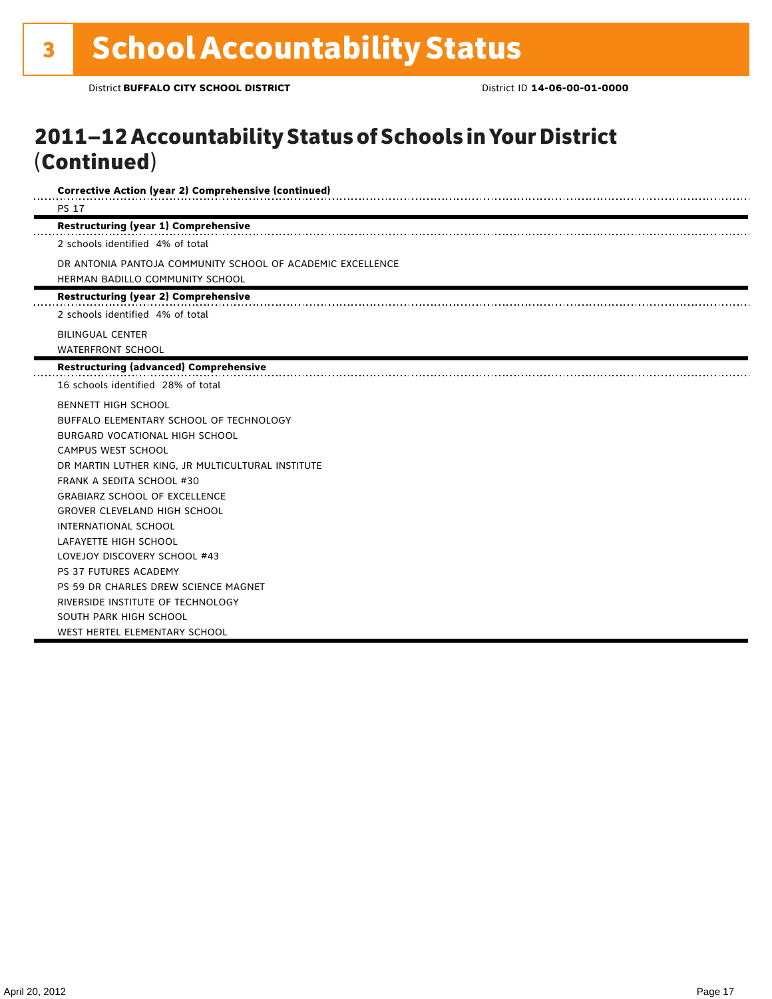## 2011–12 Accountability Status of Schools in Your District (Continued)

| <b>Corrective Action (year 2) Comprehensive (continued)</b> |  |
|-------------------------------------------------------------|--|
| <b>PS 17</b>                                                |  |
| <b>Restructuring (year 1) Comprehensive</b>                 |  |
| 2 schools identified 4% of total                            |  |
| DR ANTONIA PANTOJA COMMUNITY SCHOOL OF ACADEMIC EXCELLENCE  |  |
| HERMAN BADILLO COMMUNITY SCHOOL                             |  |
| <b>Restructuring (year 2) Comprehensive</b>                 |  |
| 2 schools identified 4% of total                            |  |
| <b>BILINGUAL CENTER</b>                                     |  |
| <b>WATERFRONT SCHOOL</b>                                    |  |
| <b>Restructuring (advanced) Comprehensive</b>               |  |
| 16 schools identified 28% of total                          |  |
| <b>BENNETT HIGH SCHOOL</b>                                  |  |
| BUFFALO ELEMENTARY SCHOOL OF TECHNOLOGY                     |  |
| BURGARD VOCATIONAL HIGH SCHOOL                              |  |
| <b>CAMPUS WEST SCHOOL</b>                                   |  |
| DR MARTIN LUTHER KING, JR MULTICULTURAL INSTITUTE           |  |
| <b>FRANK A SEDITA SCHOOL #30</b>                            |  |
| <b>GRABIARZ SCHOOL OF EXCELLENCE</b>                        |  |
| <b>GROVER CLEVELAND HIGH SCHOOL</b>                         |  |
| <b>INTERNATIONAL SCHOOL</b>                                 |  |
| LAFAYETTE HIGH SCHOOL                                       |  |
| LOVEJOY DISCOVERY SCHOOL #43                                |  |
| PS 37 FUTURES ACADEMY                                       |  |
| PS 59 DR CHARLES DREW SCIENCE MAGNET                        |  |
| RIVERSIDE INSTITUTE OF TECHNOLOGY                           |  |
| SOUTH PARK HIGH SCHOOL                                      |  |
| WEST HERTEL ELEMENTARY SCHOOL                               |  |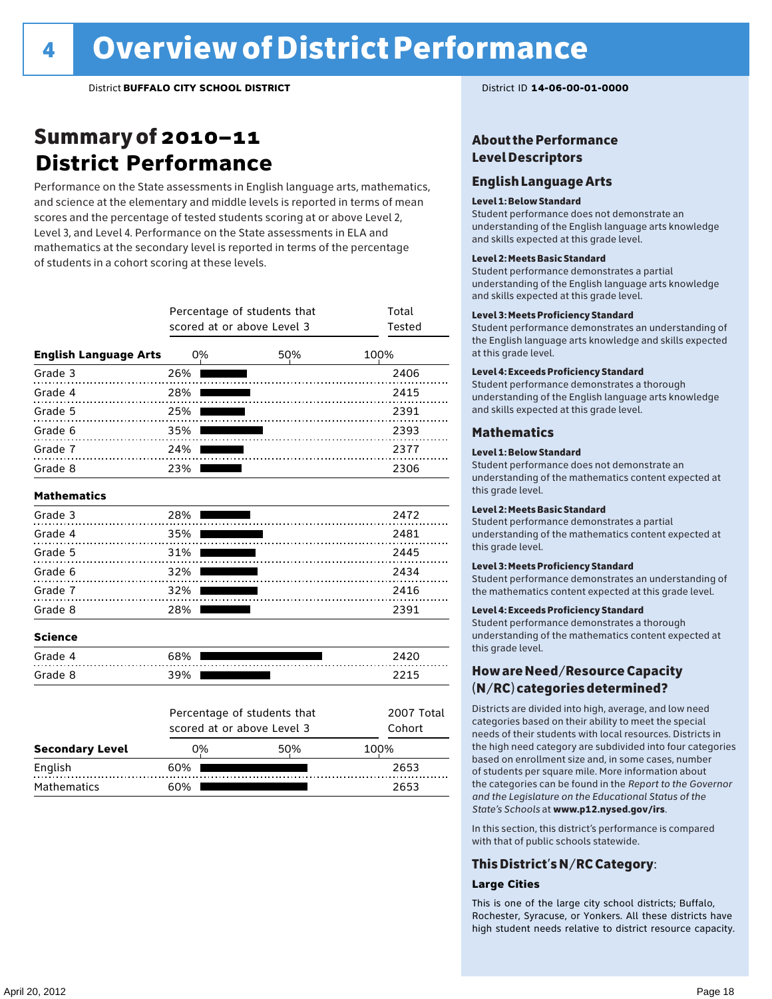## Summary of 2010–11 **District Performance**

Performance on the State assessments in English language arts, mathematics, and science at the elementary and middle levels is reported in terms of mean scores and the percentage of tested students scoring at or above Level 2, Level 3, and Level 4. Performance on the State assessments in ELA and mathematics at the secondary level is reported in terms of the percentage of students in a cohort scoring at these levels.

|                              | Percentage of students that<br>scored at or above Level 3 | Total<br><b>Tested</b>      |            |
|------------------------------|-----------------------------------------------------------|-----------------------------|------------|
| <b>English Language Arts</b> | 0%                                                        | 50%                         | 100%       |
| Grade 3                      | 26%                                                       |                             | 2406       |
| Grade 4                      | 28%                                                       |                             | 2415       |
| Grade 5                      | 25%                                                       | .                           | 2391       |
| Grade 6                      | 35%                                                       | .                           | 2393       |
| Grade 7                      | 24%                                                       | .                           | 2377       |
| Grade 8                      | 23%                                                       |                             | 2306       |
| <b>Mathematics</b>           |                                                           |                             |            |
| Grade 3                      | 28%                                                       |                             | 2472       |
| Grade 4                      | 35%                                                       | .                           | 2481       |
| Grade 5                      | 31%                                                       |                             | 2445       |
| Grade 6                      | 32%                                                       | .                           | 2434       |
| Grade 7                      | 32%                                                       |                             | 2416       |
| Grade 8                      | 28%                                                       |                             | 2391       |
| <b>Science</b>               |                                                           |                             |            |
| Grade 4                      | 68%                                                       |                             | 2420       |
| Grade 8                      | 39%                                                       |                             | 2215       |
|                              |                                                           | Percentage of students that | 2007 Total |
|                              |                                                           | scored at or above Level 3  | Cohort     |
| <b>Secondary Level</b>       | 0%                                                        | 50%                         | 100%       |
| English                      | 60%                                                       |                             | 2653       |

Mathematics 60% 60% 2653

### About the Performance Level Descriptors

### English Language Arts

### Level 1: Below Standard

Student performance does not demonstrate an understanding of the English language arts knowledge and skills expected at this grade level.

#### Level 2: Meets Basic Standard

Student performance demonstrates a partial understanding of the English language arts knowledge and skills expected at this grade level.

#### Level 3: Meets Proficiency Standard

Student performance demonstrates an understanding of the English language arts knowledge and skills expected at this grade level.

### Level 4: Exceeds Proficiency Standard

Student performance demonstrates a thorough understanding of the English language arts knowledge and skills expected at this grade level.

### Mathematics

### Level 1: Below Standard

Student performance does not demonstrate an understanding of the mathematics content expected at this grade level.

### Level 2: Meets Basic Standard

Student performance demonstrates a partial understanding of the mathematics content expected at this grade level.

#### Level 3: Meets Proficiency Standard

Student performance demonstrates an understanding of the mathematics content expected at this grade level.

#### Level 4: Exceeds Proficiency Standard

Student performance demonstrates a thorough understanding of the mathematics content expected at this grade level.

### How are Need/Resource Capacity (N/RC) categories determined?

Districts are divided into high, average, and low need categories based on their ability to meet the special needs of their students with local resources. Districts in the high need category are subdivided into four categories based on enrollment size and, in some cases, number of students per square mile. More information about the categories can be found in the *Report to the Governor and the Legislature on the Educational Status of the State's Schools* at www.p12.nysed.gov/irs.

In this section, this district's performance is compared with that of public schools statewide.

### This District's N/RC Category:

### **Large Cities**

This is one of the large city school districts; Buffalo, Rochester, Syracuse, or Yonkers. All these districts have high student needs relative to district resource capacity.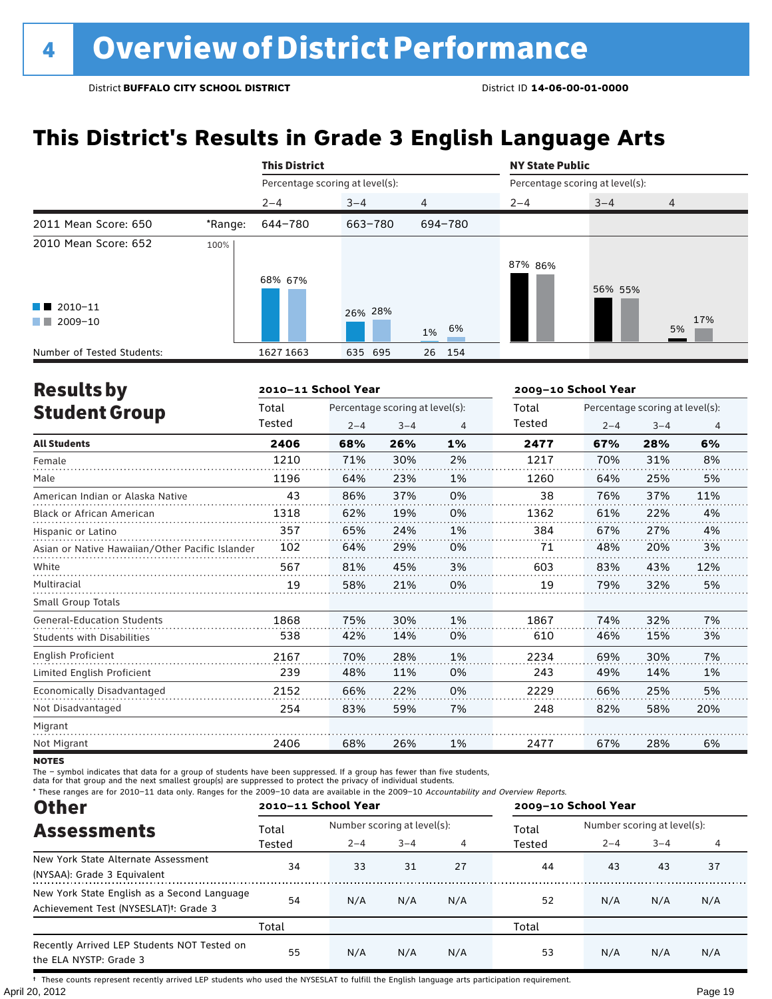## **This District's Results in Grade 3 English Language Arts**

|                                                                      |         | <b>This District</b>            |         |                | <b>NY State Public</b> |                                 |                |
|----------------------------------------------------------------------|---------|---------------------------------|---------|----------------|------------------------|---------------------------------|----------------|
|                                                                      |         | Percentage scoring at level(s): |         |                |                        | Percentage scoring at level(s): |                |
|                                                                      |         | $2 - 4$                         | $3 - 4$ | $\overline{4}$ | $2 - 4$                | $3 - 4$                         | $\overline{4}$ |
| 2011 Mean Score: 650                                                 | *Range: | 644-780                         | 663-780 | 694-780        |                        |                                 |                |
| 2010 Mean Score: 652<br>$\blacksquare$ 2010-11<br>2009-10<br>and the | 100%    | 68% 67%                         | 26% 28% | 6%<br>1%       | 87% 86%                | 56% 55%                         | 17%<br>5%      |
| Number of Tested Students:                                           |         | 1627 1663                       | 635 695 | 26<br>154      |                        |                                 |                |

| <b>Results by</b>                               |        | 2010-11 School Year |                                 |    |        | 2009-10 School Year |                                 |     |
|-------------------------------------------------|--------|---------------------|---------------------------------|----|--------|---------------------|---------------------------------|-----|
| <b>Student Group</b>                            | Total  |                     | Percentage scoring at level(s): |    | Total  |                     | Percentage scoring at level(s): |     |
|                                                 | Tested | $2 - 4$             | $3 - 4$                         | 4  | Tested | $2 - 4$             | $3 - 4$                         | 4   |
| <b>All Students</b>                             | 2406   | 68%                 | 26%                             | 1% | 2477   | 67%                 | 28%                             | 6%  |
| Female                                          | 1210   | 71%                 | 30%                             | 2% | 1217   | 70%                 | 31%                             | 8%  |
| Male                                            | 1196   | 64%                 | 23%                             | 1% | 1260   | 64%                 | 25%                             | 5%  |
| American Indian or Alaska Native                | 43     | 86%                 | 37%                             | 0% | 38     | 76%                 | 37%                             | 11% |
| <b>Black or African American</b>                | 1318   | 62%                 | 19%                             | 0% | 1362   | 61%                 | 22%                             | 4%  |
| Hispanic or Latino                              | 357    | 65%                 | 24%                             | 1% | 384    | 67%                 | 27%                             | 4%  |
| Asian or Native Hawaiian/Other Pacific Islander | 102    | 64%                 | 29%                             | 0% | 71     | 48%                 | 20%                             | 3%  |
| White                                           | 567    | 81%                 | 45%                             | 3% | 603    | 83%                 | 43%                             | 12% |
| Multiracial                                     | 19     | 58%                 | 21%                             | 0% | 19     | 79%                 | 32%                             | 5%  |
| <b>Small Group Totals</b>                       |        |                     |                                 |    |        |                     |                                 |     |
| <b>General-Education Students</b>               | 1868   | 75%                 | 30%                             | 1% | 1867   | 74%                 | 32%                             | 7%  |
| <b>Students with Disabilities</b>               | 538    | 42%                 | 14%                             | 0% | 610    | 46%                 | 15%                             | 3%  |
| English Proficient                              | 2167   | 70%                 | 28%                             | 1% | 2234   | 69%                 | 30%                             | 7%  |
| Limited English Proficient                      | 239    | 48%                 | 11%                             | 0% | 243    | 49%                 | 14%                             | 1%  |
| Economically Disadvantaged                      | 2152   | 66%                 | 22%                             | 0% | 2229   | 66%                 | 25%                             | 5%  |
| Not Disadvantaged                               | 254    | 83%                 | 59%                             | 7% | 248    | 82%                 | 58%                             | 20% |
| Migrant                                         |        |                     |                                 |    |        |                     |                                 |     |
| Not Migrant                                     | 2406   | 68%                 | 26%                             | 1% | 2477   | 67%                 | 28%                             | 6%  |

**NOTES** 

The – symbol indicates that data for a group of students have been suppressed. If a group has fewer than five students,

data for that group and the next smallest group(s) are suppressed to protect the privacy of individual students.

\* These ranges are for 2010–11 data only. Ranges for the 2009–10 data are available in the 2009–10 Accountability and Overview Reports.

| <b>Other</b><br><b>Assessments</b><br>New York State Alternate Assessment<br>(NYSAA): Grade 3 Equivalent<br>Achievement Test (NYSESLAT) <sup>+</sup> : Grade 3 | 2010-11 School Year |         |                             |     | 2009-10 School Year |                             |         |     |  |
|----------------------------------------------------------------------------------------------------------------------------------------------------------------|---------------------|---------|-----------------------------|-----|---------------------|-----------------------------|---------|-----|--|
|                                                                                                                                                                | Total               |         | Number scoring at level(s): |     |                     | Number scoring at level(s): |         |     |  |
|                                                                                                                                                                | Tested              | $2 - 4$ | $3 - 4$                     | 4   | Tested              | $2 - 4$                     | $3 - 4$ | 4   |  |
|                                                                                                                                                                | 34                  | 33      | 31                          | 27  | 44                  | 43                          | 43      | 37  |  |
| New York State English as a Second Language                                                                                                                    | 54                  | N/A     | N/A                         | N/A | 52                  | N/A                         | N/A     | N/A |  |
|                                                                                                                                                                | Total               |         |                             |     | Total               |                             |         |     |  |
| Recently Arrived LEP Students NOT Tested on<br>the ELA NYSTP: Grade 3                                                                                          | 55                  | N/A     | N/A                         | N/A | 53                  | N/A                         | N/A     | N/A |  |

April 20, 2012 Page 19 † These counts represent recently arrived LEP students who used the NYSESLAT to fulfill the English language arts participation requirement.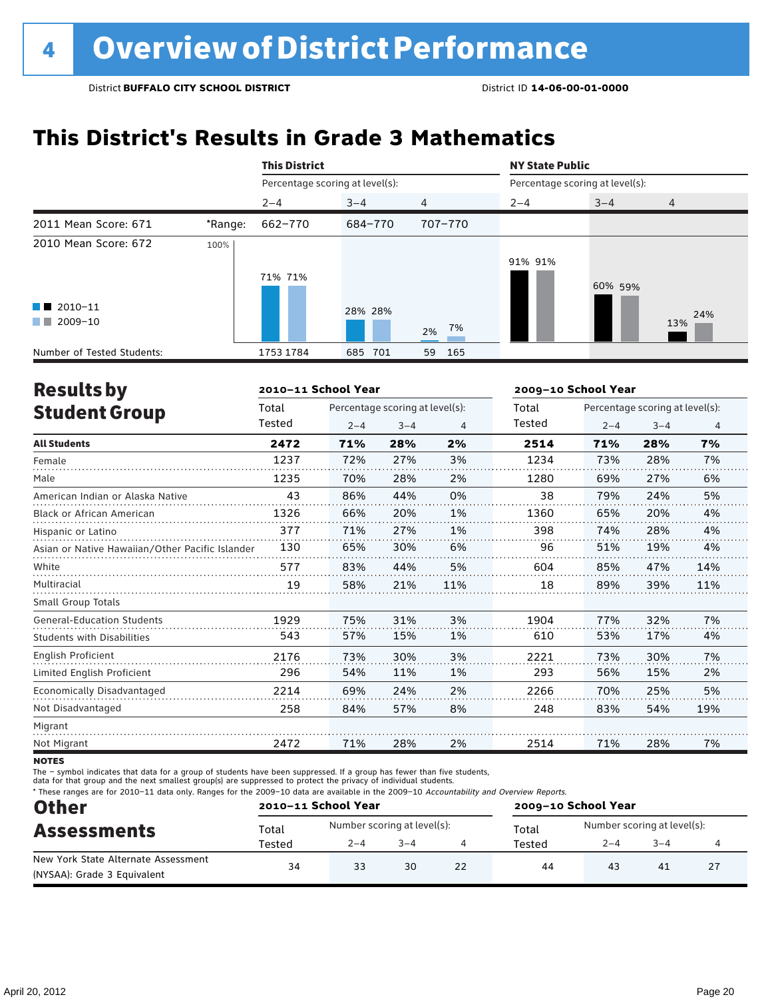## **This District's Results in Grade 3 Mathematics**

|                                                                            |         | <b>This District</b>            |            |                    | <b>NY State Public</b>          |         |                |
|----------------------------------------------------------------------------|---------|---------------------------------|------------|--------------------|---------------------------------|---------|----------------|
|                                                                            |         | Percentage scoring at level(s): |            |                    | Percentage scoring at level(s): |         |                |
|                                                                            |         | $2 - 4$                         | $3 - 4$    | $\overline{4}$     | $2 - 4$                         | $3 - 4$ | $\overline{4}$ |
| 2011 Mean Score: 671                                                       | *Range: | 662-770                         | 684-770    | 707-770            |                                 |         |                |
| 2010 Mean Score: 672<br>$\blacksquare$ 2010-11<br>2009-10<br><b>The Co</b> | 100%    | 71% 71%                         | 28% 28%    |                    | 91% 91%                         | 60% 59% | 24%<br>13%     |
| Number of Tested Students:                                                 |         | 1753 1784                       | 701<br>685 | 2% 7%<br>165<br>59 |                                 |         |                |

| <b>Results by</b>                               |        | 2010-11 School Year |                                 |     | 2009-10 School Year |         |                                 |     |
|-------------------------------------------------|--------|---------------------|---------------------------------|-----|---------------------|---------|---------------------------------|-----|
| <b>Student Group</b>                            | Total  |                     | Percentage scoring at level(s): |     | Total               |         | Percentage scoring at level(s): |     |
|                                                 | Tested | $2 - 4$             | $3 - 4$                         | 4   | Tested              | $2 - 4$ | $3 - 4$                         | 4   |
| <b>All Students</b>                             | 2472   | 71%                 | 28%                             | 2%  | 2514                | 71%     | 28%                             | 7%  |
| Female                                          | 1237   | 72%                 | 27%                             | 3%  | 1234                | 73%     | 28%                             | 7%  |
| Male                                            | 1235   | 70%                 | 28%                             | 2%  | 1280                | 69%     | 27%                             | 6%  |
| American Indian or Alaska Native                | 43     | 86%                 | 44%                             | 0%  | 38                  | 79%     | 24%                             | 5%  |
| <b>Black or African American</b>                | 1326   | 66%                 | 20%                             | 1%  | 1360                | 65%     | 20%                             | 4%  |
| Hispanic or Latino                              | 377    | 71%                 | 27%                             | 1%  | 398                 | 74%     | 28%                             | 4%  |
| Asian or Native Hawaiian/Other Pacific Islander | 130    | 65%                 | 30%                             | 6%  | 96                  | 51%     | 19%                             | 4%  |
| White                                           | 577    | 83%                 | 44%                             | 5%  | 604                 | 85%     | 47%                             | 14% |
| Multiracial                                     | 19     | 58%                 | 21%                             | 11% | 18                  | 89%     | 39%                             | 11% |
| <b>Small Group Totals</b>                       |        |                     |                                 |     |                     |         |                                 |     |
| <b>General-Education Students</b>               | 1929   | 75%                 | 31%                             | 3%  | 1904                | 77%     | 32%                             | 7%  |
| <b>Students with Disabilities</b>               | 543    | 57%                 | 15%                             | 1%  | 610                 | 53%     | 17%                             | 4%  |
| <b>English Proficient</b>                       | 2176   | 73%                 | 30%                             | 3%  | 2221                | 73%     | 30%                             | 7%  |
| Limited English Proficient                      | 296    | 54%                 | 11%                             | 1%  | 293                 | 56%     | 15%                             | 2%  |
| Economically Disadvantaged                      | 2214   | 69%                 | 24%                             | 2%  | 2266                | 70%     | 25%                             | 5%  |
| Not Disadvantaged                               | 258    | 84%                 | 57%                             | 8%  | 248                 | 83%     | 54%                             | 19% |
| Migrant                                         |        |                     |                                 |     |                     |         |                                 |     |
| Not Migrant                                     | 2472   | 71%                 | 28%                             | 2%  | 2514                | 71%     | 28%                             | 7%  |
|                                                 |        |                     |                                 |     |                     |         |                                 |     |

**NOTES** 

The – symbol indicates that data for a group of students have been suppressed. If a group has fewer than five students,

data for that group and the next smallest group(s) are suppressed to protect the privacy of individual students.

\* These ranges are for 2010–11 data only. Ranges for the 2009–10 data are available in the 2009–10 Accountability and Overview Reports.

| <b>Other</b>                        | 2010-11 School Year |                             |         |    | 2009-10 School Year |                             |         |  |  |
|-------------------------------------|---------------------|-----------------------------|---------|----|---------------------|-----------------------------|---------|--|--|
| <b>Assessments</b>                  | Total               | Number scoring at level(s): |         |    | Total               | Number scoring at level(s): |         |  |  |
|                                     | Tested              | $2 - 4$                     | $3 - 4$ |    | Tested              | $2 - 4$                     | $3 - 4$ |  |  |
| New York State Alternate Assessment |                     | 33                          | 30      | 22 | 44                  | 43                          | 41      |  |  |
| (NYSAA): Grade 3 Equivalent         | 34                  |                             |         |    |                     |                             |         |  |  |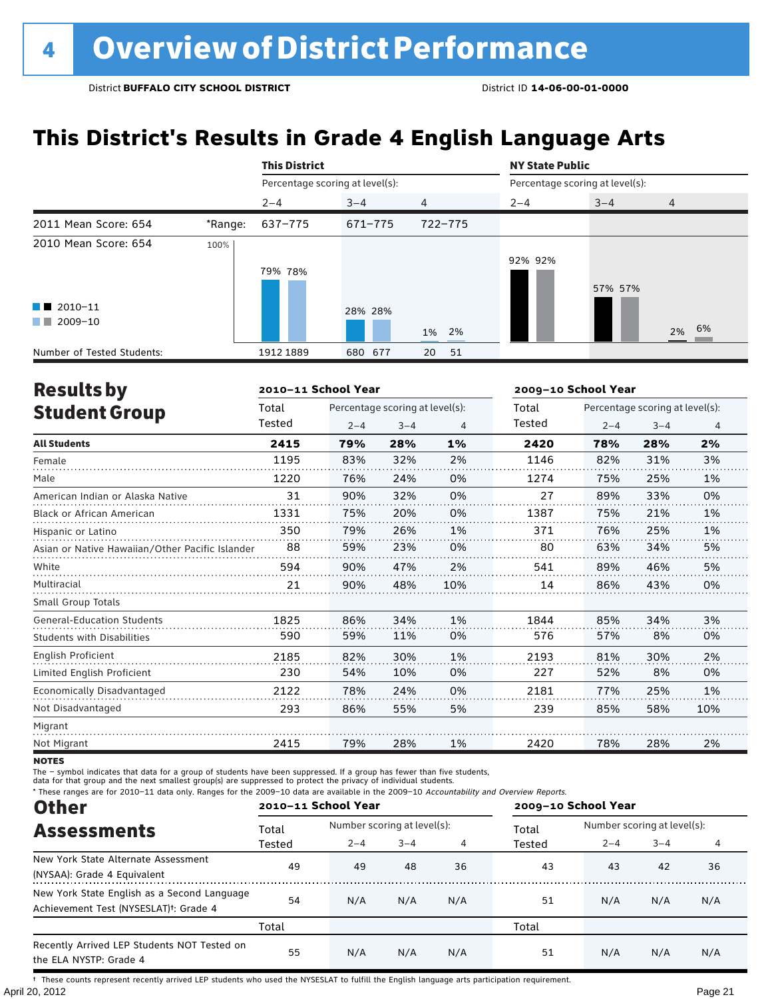## **This District's Results in Grade 4 English Language Arts**

|                                                                            |         | <b>This District</b>            |         |                | <b>NY State Public</b> |                                 |       |
|----------------------------------------------------------------------------|---------|---------------------------------|---------|----------------|------------------------|---------------------------------|-------|
|                                                                            |         | Percentage scoring at level(s): |         |                |                        | Percentage scoring at level(s): |       |
|                                                                            |         | $2 - 4$                         | $3 - 4$ | $\overline{4}$ | $2 - 4$                | $3 - 4$                         | 4     |
| 2011 Mean Score: 654                                                       | *Range: | 637-775                         | 671-775 | 722-775        |                        |                                 |       |
| 2010 Mean Score: 654<br>$\blacksquare$ 2010-11<br>2009-10<br><b>The Co</b> | 100%    | 79% 78%                         | 28% 28% | 1% 2%          | 92% 92%                | 57% 57%                         | 2% 6% |
| Number of Tested Students:                                                 |         | 1912 1889                       | 680 677 | 20<br>51       |                        |                                 |       |

| <b>Results by</b>                               |        | 2010-11 School Year |                                 |     | 2009-10 School Year |         |                                 |     |
|-------------------------------------------------|--------|---------------------|---------------------------------|-----|---------------------|---------|---------------------------------|-----|
| <b>Student Group</b>                            | Total  |                     | Percentage scoring at level(s): |     | Total               |         | Percentage scoring at level(s): |     |
|                                                 | Tested | $2 - 4$             | $3 - 4$                         | 4   | Tested              | $2 - 4$ | $3 - 4$                         | 4   |
| <b>All Students</b>                             | 2415   | 79%                 | 28%                             | 1%  | 2420                | 78%     | 28%                             | 2%  |
| Female                                          | 1195   | 83%                 | 32%                             | 2%  | 1146                | 82%     | 31%                             | 3%  |
| Male                                            | 1220   | 76%                 | 24%                             | 0%  | 1274                | 75%     | 25%                             | 1%  |
| American Indian or Alaska Native                | 31     | 90%                 | 32%                             | 0%  | 27                  | 89%     | 33%                             | 0%  |
| <b>Black or African American</b>                | 1331   | 75%                 | 20%                             | 0%  | 1387                | 75%     | 21%                             | 1%  |
| Hispanic or Latino                              | 350    | 79%                 | 26%                             | 1%  | 371                 | 76%     | 25%                             | 1%  |
| Asian or Native Hawaiian/Other Pacific Islander | 88     | 59%                 | 23%                             | 0%  | 80                  | 63%     | 34%                             | 5%  |
| White                                           | 594    | 90%                 | 47%                             | 2%  | 541                 | 89%     | 46%                             | 5%  |
| Multiracial                                     | 21     | 90%                 | 48%                             | 10% | 14                  | 86%     | 43%                             | 0%  |
| Small Group Totals                              |        |                     |                                 |     |                     |         |                                 |     |
| <b>General-Education Students</b>               | 1825   | 86%                 | 34%                             | 1%  | 1844                | 85%     | 34%                             | 3%  |
| Students with Disabilities                      | 590    | 59%                 | 11%                             | 0%  | 576                 | 57%     | 8%                              | 0%  |
| <b>English Proficient</b>                       | 2185   | 82%                 | 30%                             | 1%  | 2193                | 81%     | 30%                             | 2%  |
| Limited English Proficient                      | 230    | 54%                 | 10%                             | 0%  | 227                 | 52%     | 8%                              | 0%  |
| Economically Disadvantaged                      | 2122   | 78%                 | 24%                             | 0%  | 2181                | 77%     | 25%                             | 1%  |
| Not Disadvantaged                               | 293    | 86%                 | 55%                             | 5%  | 239                 | 85%     | 58%                             | 10% |
| Migrant                                         |        |                     |                                 |     |                     |         |                                 |     |
| Not Migrant                                     | 2415   | 79%                 | 28%                             | 1%  | 2420                | 78%     | 28%                             | 2%  |

**NOTES** 

The – symbol indicates that data for a group of students have been suppressed. If a group has fewer than five students,

data for that group and the next smallest group(s) are suppressed to protect the privacy of individual students.

\* These ranges are for 2010–11 data only. Ranges for the 2009–10 data are available in the 2009–10 Accountability and Overview Reports.

| <b>Other</b><br><b>Assessments</b><br>New York State Alternate Assessment<br>(NYSAA): Grade 4 Equivalent<br>Achievement Test (NYSESLAT) <sup>†</sup> : Grade 4 | 2010-11 School Year |                             |         |     | 2009-10 School Year |                             |         |     |  |
|----------------------------------------------------------------------------------------------------------------------------------------------------------------|---------------------|-----------------------------|---------|-----|---------------------|-----------------------------|---------|-----|--|
|                                                                                                                                                                | Total               | Number scoring at level(s): |         |     | Total               | Number scoring at level(s): |         |     |  |
|                                                                                                                                                                | Tested              | $2 - 4$                     | $3 - 4$ | 4   | Tested              | $2 - 4$                     | $3 - 4$ | 4   |  |
|                                                                                                                                                                | 49                  | 49                          | 48      | 36  | 43                  | 43                          | 42      | 36  |  |
| New York State English as a Second Language                                                                                                                    | 54                  | N/A                         | N/A     | N/A | 51                  | N/A                         | N/A     | N/A |  |
|                                                                                                                                                                | Total               |                             |         |     | Total               |                             |         |     |  |
| Recently Arrived LEP Students NOT Tested on<br>the ELA NYSTP: Grade 4                                                                                          | 55                  | N/A                         | N/A     | N/A | 51                  | N/A                         | N/A     | N/A |  |

April 20, 2012 Page 21 † These counts represent recently arrived LEP students who used the NYSESLAT to fulfill the English language arts participation requirement.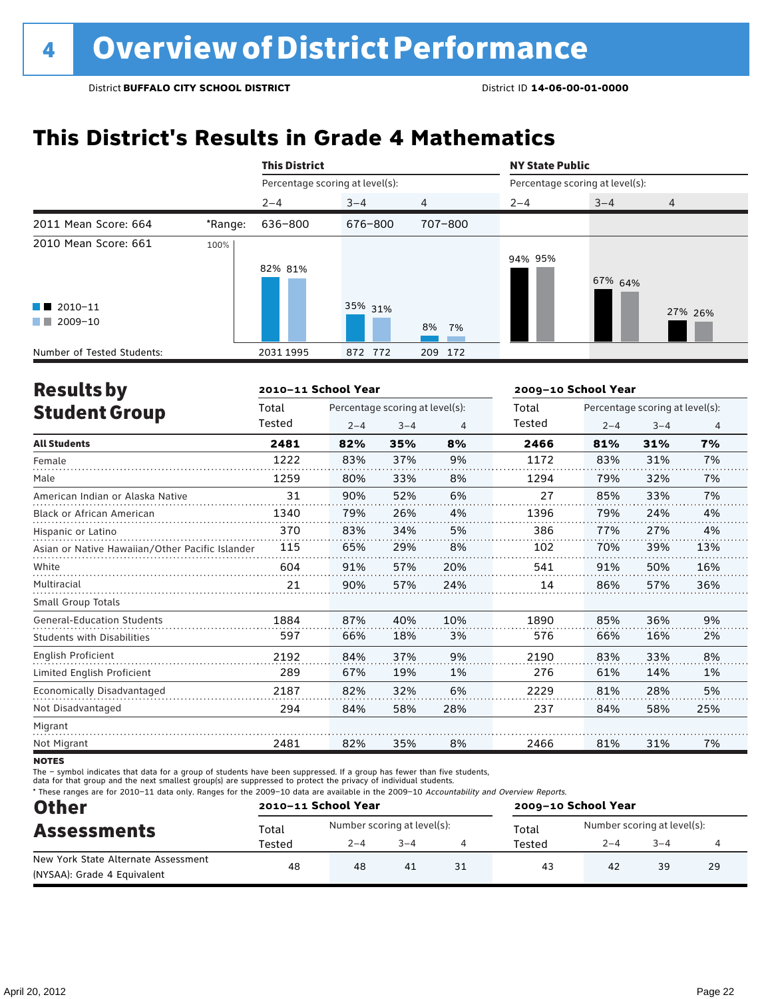## **This District's Results in Grade 4 Mathematics**

|                                                                          |         | <b>This District</b>            |            |         | <b>NY State Public</b> |                                 |                |
|--------------------------------------------------------------------------|---------|---------------------------------|------------|---------|------------------------|---------------------------------|----------------|
|                                                                          |         | Percentage scoring at level(s): |            |         |                        | Percentage scoring at level(s): |                |
|                                                                          |         | $2 - 4$                         | $3 - 4$    | 4       | $2 - 4$                | $3 - 4$                         | $\overline{4}$ |
| 2011 Mean Score: 664                                                     | *Range: | 636-800                         | 676-800    | 707-800 |                        |                                 |                |
| 2010 Mean Score: 661<br>$\blacksquare$ 2010-11<br>2009-10<br>a kacamatan | 100%    | 82% 81%                         | 35% 31%    | 8% 7%   | 94% 95%                | 67% 64%                         | 27% 26%        |
| Number of Tested Students:                                               |         | 2031 1995                       | 772<br>872 | 209 172 |                        |                                 |                |

| <b>Results by</b>                               |        | 2010-11 School Year |                                 |     | 2009-10 School Year |                                 |         |     |  |
|-------------------------------------------------|--------|---------------------|---------------------------------|-----|---------------------|---------------------------------|---------|-----|--|
| <b>Student Group</b>                            | Total  |                     | Percentage scoring at level(s): |     | Total               | Percentage scoring at level(s): |         |     |  |
|                                                 | Tested | $2 - 4$             | $3 - 4$                         | 4   | Tested              | $2 - 4$                         | $3 - 4$ | 4   |  |
| <b>All Students</b>                             | 2481   | 82%                 | 35%                             | 8%  | 2466                | 81%                             | 31%     | 7%  |  |
| Female                                          | 1222   | 83%                 | 37%                             | 9%  | 1172                | 83%                             | 31%     | 7%  |  |
| Male                                            | 1259   | 80%                 | 33%                             | 8%  | 1294                | 79%                             | 32%     | 7%  |  |
| American Indian or Alaska Native                | 31     | 90%                 | 52%                             | 6%  | 27                  | 85%                             | 33%     | 7%  |  |
| <b>Black or African American</b>                | 1340   | 79%                 | 26%                             | 4%  | 1396                | 79%                             | 24%     | 4%  |  |
| Hispanic or Latino                              | 370    | 83%                 | 34%                             | 5%  | 386                 | 77%                             | 27%     | 4%  |  |
| Asian or Native Hawaiian/Other Pacific Islander | 115    | 65%                 | 29%                             | 8%  | 102                 | 70%                             | 39%     | 13% |  |
| White                                           | 604    | 91%                 | 57%                             | 20% | 541                 | 91%                             | 50%     | 16% |  |
| Multiracial                                     | 21     | 90%                 | 57%                             | 24% | 14                  | 86%                             | 57%     | 36% |  |
| <b>Small Group Totals</b>                       |        |                     |                                 |     |                     |                                 |         |     |  |
| <b>General-Education Students</b>               | 1884   | 87%                 | 40%                             | 10% | 1890                | 85%                             | 36%     | 9%  |  |
| <b>Students with Disabilities</b>               | 597    | 66%                 | 18%                             | 3%  | 576                 | 66%                             | 16%     | 2%  |  |
| <b>English Proficient</b>                       | 2192   | 84%                 | 37%                             | 9%  | 2190                | 83%                             | 33%     | 8%  |  |
| Limited English Proficient                      | 289    | 67%                 | 19%                             | 1%  | 276                 | 61%                             | 14%     | 1%  |  |
| Economically Disadvantaged                      | 2187   | 82%                 | 32%                             | 6%  | 2229                | 81%                             | 28%     | 5%  |  |
| Not Disadvantaged                               | 294    | 84%                 | 58%                             | 28% | 237                 | 84%                             | 58%     | 25% |  |
| Migrant                                         |        |                     |                                 |     |                     |                                 |         |     |  |
| Not Migrant                                     | 2481   | 82%                 | 35%                             | 8%  | 2466                | 81%                             | 31%     | 7%  |  |
|                                                 |        |                     |                                 |     |                     |                                 |         |     |  |

**NOTES** 

The – symbol indicates that data for a group of students have been suppressed. If a group has fewer than five students,

data for that group and the next smallest group(s) are suppressed to protect the privacy of individual students.

\* These ranges are for 2010–11 data only. Ranges for the 2009–10 data are available in the 2009–10 Accountability and Overview Reports.

| <b>Other</b>                        | 2010-11 School Year                    |                             |    |    | 2009-10 School Year |                             |         |    |  |
|-------------------------------------|----------------------------------------|-----------------------------|----|----|---------------------|-----------------------------|---------|----|--|
| <b>Assessments</b>                  | Total                                  | Number scoring at level(s): |    |    | Total               | Number scoring at level(s): |         |    |  |
|                                     | $3 - 4$<br>$2 - 4$<br>Tested<br>Tested |                             |    |    |                     | $2 - 4$                     | $3 - 4$ |    |  |
| New York State Alternate Assessment | 48                                     | 48                          | 41 | 31 | 43                  | 42                          | 39      | 29 |  |
| (NYSAA): Grade 4 Equivalent         |                                        |                             |    |    |                     |                             |         |    |  |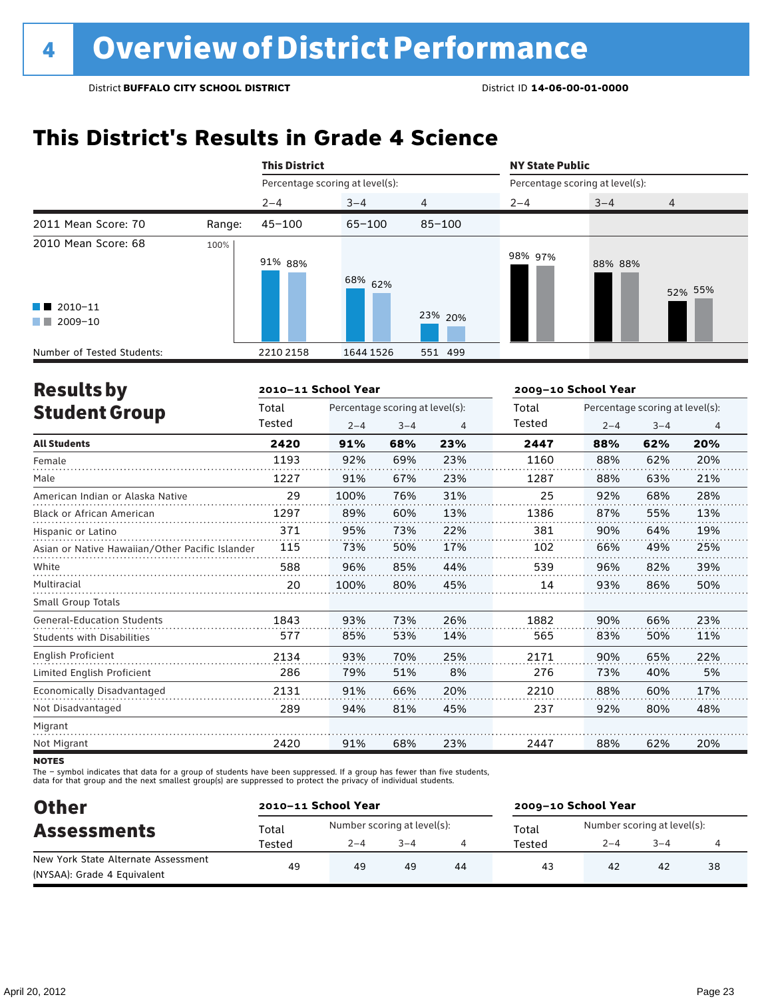## **This District's Results in Grade 4 Science**

|                                                                                                                                                                                                                                                                                                  |        | <b>This District</b>            |            |            | <b>NY State Public</b>          |         |                |
|--------------------------------------------------------------------------------------------------------------------------------------------------------------------------------------------------------------------------------------------------------------------------------------------------|--------|---------------------------------|------------|------------|---------------------------------|---------|----------------|
|                                                                                                                                                                                                                                                                                                  |        | Percentage scoring at level(s): |            |            | Percentage scoring at level(s): |         |                |
|                                                                                                                                                                                                                                                                                                  |        | $2 - 4$                         | $3 - 4$    | 4          | $2 - 4$                         | $3 - 4$ | $\overline{4}$ |
| 2011 Mean Score: 70                                                                                                                                                                                                                                                                              | Range: | $45 - 100$                      | $65 - 100$ | $85 - 100$ |                                 |         |                |
| 2010 Mean Score: 68<br>$\blacksquare$ 2010-11<br>2009-10<br><b>The Contract of the Contract of the Contract of the Contract of the Contract of the Contract of the Contract of the Contract of the Contract of the Contract of the Contract of the Contract of The Contract of The Contract </b> | 100%   | 91% 88%                         | 68% 62%    | 23% 20%    | 98% 97%                         | 88% 88% | 52% 55%        |
| Number of Tested Students:                                                                                                                                                                                                                                                                       |        | 2210 2158                       | 1644 1526  | 551 499    |                                 |         |                |

| <b>Results by</b>                               |        | 2010-11 School Year |                                 |     | 2009-10 School Year |         |                                 |     |
|-------------------------------------------------|--------|---------------------|---------------------------------|-----|---------------------|---------|---------------------------------|-----|
| <b>Student Group</b>                            | Total  |                     | Percentage scoring at level(s): |     | Total               |         | Percentage scoring at level(s): |     |
|                                                 | Tested | $2 - 4$             | $3 - 4$                         | 4   | Tested              | $2 - 4$ | $3 - 4$                         | 4   |
| <b>All Students</b>                             | 2420   | 91%                 | 68%                             | 23% | 2447                | 88%     | 62%                             | 20% |
| Female                                          | 1193   | 92%                 | 69%                             | 23% | 1160                | 88%     | 62%                             | 20% |
| Male                                            | 1227   | 91%                 | 67%                             | 23% | 1287                | 88%     | 63%                             | 21% |
| American Indian or Alaska Native                | 29     | 100%                | 76%                             | 31% | 25                  | 92%     | 68%                             | 28% |
| <b>Black or African American</b>                | 1297   | 89%                 | 60%                             | 13% | 1386                | 87%     | 55%                             | 13% |
| Hispanic or Latino                              | 371    | 95%                 | 73%                             | 22% | 381                 | 90%     | 64%                             | 19% |
| Asian or Native Hawaiian/Other Pacific Islander | 115    | 73%                 | 50%                             | 17% | 102                 | 66%     | 49%                             | 25% |
| White                                           | 588    | 96%                 | 85%                             | 44% | 539                 | 96%     | 82%                             | 39% |
| Multiracial                                     | 20     | 100%                | 80%                             | 45% | 14                  | 93%     | 86%                             | 50% |
| <b>Small Group Totals</b>                       |        |                     |                                 |     |                     |         |                                 |     |
| <b>General-Education Students</b>               | 1843   | 93%                 | 73%                             | 26% | 1882                | 90%     | 66%                             | 23% |
| Students with Disabilities                      | 577    | 85%                 | 53%                             | 14% | 565                 | 83%     | 50%                             | 11% |
| <b>English Proficient</b>                       | 2134   | 93%                 | 70%                             | 25% | 2171                | 90%     | 65%                             | 22% |
| Limited English Proficient                      | 286    | 79%                 | 51%                             | 8%  | 276                 | 73%     | 40%                             | 5%  |
| Economically Disadvantaged                      | 2131   | 91%                 | 66%                             | 20% | 2210                | 88%     | 60%                             | 17% |
| Not Disadvantaged                               | 289    | 94%                 | 81%                             | 45% | 237                 | 92%     | 80%                             | 48% |
| Migrant                                         |        |                     |                                 |     |                     |         |                                 |     |
| Not Migrant                                     | 2420   | 91%                 | 68%                             | 23% | 2447                | 88%     | 62%                             | 20% |
|                                                 |        |                     |                                 |     |                     |         |                                 |     |

**NOTES** 

The – symbol indicates that data for a group of students have been suppressed. If a group has fewer than five students,<br>data for that group and the next smallest group(s) are suppressed to protect the privacy of individual

| <b>Other</b><br><b>Assessments</b>  |        | 2010-11 School Year         |         |    | 2009-10 School Year |                             |      |    |  |
|-------------------------------------|--------|-----------------------------|---------|----|---------------------|-----------------------------|------|----|--|
|                                     | Total  | Number scoring at level(s): |         |    | Total               | Number scoring at level(s): |      |    |  |
|                                     | Tested | $2 - 4$                     | $3 - 4$ |    | Tested              | $2 - 4$                     | $-4$ | 4  |  |
| New York State Alternate Assessment | 49     | 49                          | 49      | 44 | 43                  | 42                          | 42   | 38 |  |
| (NYSAA): Grade 4 Equivalent         |        |                             |         |    |                     |                             |      |    |  |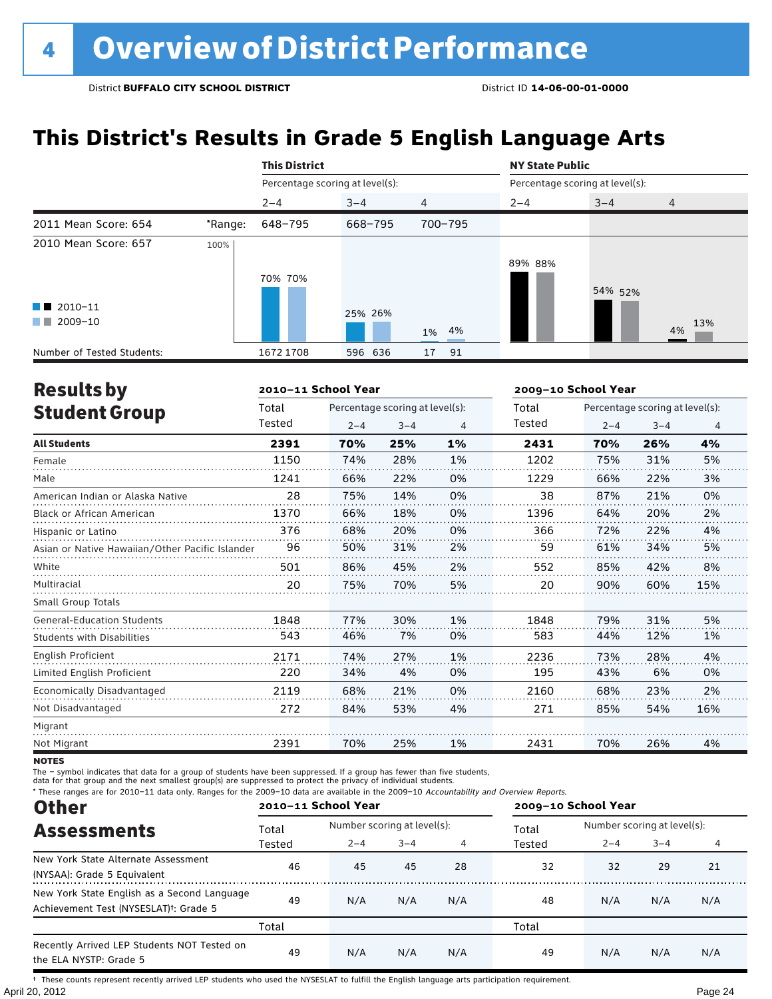## **This District's Results in Grade 5 English Language Arts**

|                                                                          |         | <b>This District</b>            |         |                | <b>NY State Public</b>          |         |                |  |  |
|--------------------------------------------------------------------------|---------|---------------------------------|---------|----------------|---------------------------------|---------|----------------|--|--|
|                                                                          |         | Percentage scoring at level(s): |         |                | Percentage scoring at level(s): |         |                |  |  |
|                                                                          |         | $2 - 4$                         | $3 - 4$ | $\overline{4}$ | $2 - 4$                         | $3 - 4$ | $\overline{4}$ |  |  |
| 2011 Mean Score: 654                                                     | *Range: | 648-795                         | 668-795 | 700-795        |                                 |         |                |  |  |
| 2010 Mean Score: 657<br>$\blacksquare$ 2010-11<br>$\blacksquare$ 2009-10 | 100%    | 70% 70%                         | 25% 26% | 1% 4%          | 89% 88%                         | 54% 52% | 13%<br>4%      |  |  |
| Number of Tested Students:                                               |         | 1672 1708                       | 596 636 | 17<br>91       |                                 |         |                |  |  |

| <b>Results by</b>                               |        | 2010-11 School Year |                                 |    | 2009-10 School Year |         |                                 |     |  |
|-------------------------------------------------|--------|---------------------|---------------------------------|----|---------------------|---------|---------------------------------|-----|--|
| <b>Student Group</b>                            | Total  |                     | Percentage scoring at level(s): |    | Total               |         | Percentage scoring at level(s): |     |  |
|                                                 | Tested | $2 - 4$             | $3 - 4$                         | 4  | Tested              | $2 - 4$ | $3 - 4$                         | 4   |  |
| <b>All Students</b>                             | 2391   | 70%                 | 25%                             | 1% | 2431                | 70%     | 26%                             | 4%  |  |
| Female                                          | 1150   | 74%                 | 28%                             | 1% | 1202                | 75%     | 31%                             | 5%  |  |
| Male                                            | 1241   | 66%                 | 22%                             | 0% | 1229                | 66%     | 22%                             | 3%  |  |
| American Indian or Alaska Native                | 28     | 75%                 | 14%                             | 0% | 38                  | 87%     | 21%                             | 0%  |  |
| <b>Black or African American</b>                | 1370   | 66%                 | 18%                             | 0% | 1396                | 64%     | 20%                             | 2%  |  |
| Hispanic or Latino                              | 376    | 68%                 | 20%                             | 0% | 366                 | 72%     | 22%                             | 4%  |  |
| Asian or Native Hawaiian/Other Pacific Islander | 96     | 50%                 | 31%                             | 2% | 59                  | 61%     | 34%                             | 5%  |  |
| White                                           | 501    | 86%                 | 45%                             | 2% | 552                 | 85%     | 42%                             | 8%  |  |
| Multiracial                                     | 20     | 75%                 | 70%                             | 5% | 20                  | 90%     | 60%                             | 15% |  |
| <b>Small Group Totals</b>                       |        |                     |                                 |    |                     |         |                                 |     |  |
| <b>General-Education Students</b>               | 1848   | 77%                 | 30%                             | 1% | 1848                | 79%     | 31%                             | 5%  |  |
| <b>Students with Disabilities</b>               | 543    | 46%                 | 7%                              | 0% | 583                 | 44%     | 12%                             | 1%  |  |
| <b>English Proficient</b>                       | 2171   | 74%                 | 27%                             | 1% | 2236                | 73%     | 28%                             | 4%  |  |
| Limited English Proficient                      | 220    | 34%                 | 4%                              | 0% | 195                 | 43%     | 6%                              | 0%  |  |
| Economically Disadvantaged                      | 2119   | 68%                 | 21%                             | 0% | 2160                | 68%     | 23%                             | 2%  |  |
| Not Disadvantaged                               | 272    | 84%                 | 53%                             | 4% | 271                 | 85%     | 54%                             | 16% |  |
| Migrant                                         |        |                     |                                 |    |                     |         |                                 |     |  |
| Not Migrant                                     | 2391   | 70%                 | 25%                             | 1% | 2431                | 70%     | 26%                             | 4%  |  |

**NOTES** 

The – symbol indicates that data for a group of students have been suppressed. If a group has fewer than five students,

data for that group and the next smallest group(s) are suppressed to protect the privacy of individual students.

\* These ranges are for 2010–11 data only. Ranges for the 2009–10 data are available in the 2009–10 Accountability and Overview Reports.

| <b>Other</b>                                                                                      | 2010-11 School Year |                             |         |     | 2009-10 School Year |                             |         |     |  |
|---------------------------------------------------------------------------------------------------|---------------------|-----------------------------|---------|-----|---------------------|-----------------------------|---------|-----|--|
|                                                                                                   | Total               | Number scoring at level(s): |         |     | Total               | Number scoring at level(s): |         |     |  |
| <b>Assessments</b>                                                                                | Tested              | $2 - 4$                     | $3 - 4$ | 4   | Tested              | $2 - 4$                     | $3 - 4$ | 4   |  |
| New York State Alternate Assessment<br>(NYSAA): Grade 5 Equivalent                                | 46                  | 45                          | 45      | 28  | 32                  | 32                          | 29      | 21  |  |
| New York State English as a Second Language<br>Achievement Test (NYSESLAT) <sup>†</sup> : Grade 5 | 49                  | N/A                         | N/A     | N/A | 48                  | N/A                         | N/A     | N/A |  |
|                                                                                                   | Total               |                             |         |     | Total               |                             |         |     |  |
| Recently Arrived LEP Students NOT Tested on<br>the ELA NYSTP: Grade 5                             | 49                  | N/A                         | N/A     | N/A | 49                  | N/A                         | N/A     | N/A |  |

April 20, 2012 Page 24 † These counts represent recently arrived LEP students who used the NYSESLAT to fulfill the English language arts participation requirement.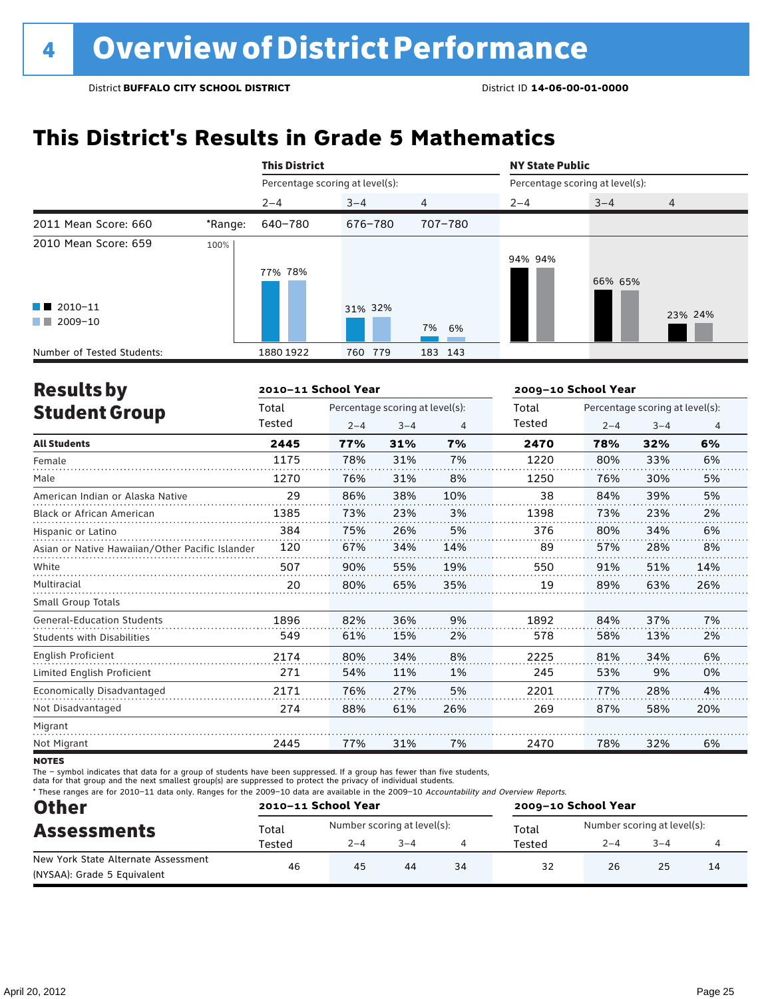## **This District's Results in Grade 5 Mathematics**

|                                                                            |         | <b>This District</b>            |            |                | <b>NY State Public</b> |                                 |                |
|----------------------------------------------------------------------------|---------|---------------------------------|------------|----------------|------------------------|---------------------------------|----------------|
|                                                                            |         | Percentage scoring at level(s): |            |                |                        | Percentage scoring at level(s): |                |
|                                                                            |         | $2 - 4$                         | $3 - 4$    | $\overline{4}$ | $2 - 4$                | $3 - 4$                         | $\overline{4}$ |
| 2011 Mean Score: 660                                                       | *Range: | 640-780                         | 676-780    | 707-780        |                        |                                 |                |
| 2010 Mean Score: 659<br>$\blacksquare$ 2010-11<br>2009-10<br><b>The Co</b> | 100%    | 77% 78%                         | 31% 32%    | 7% 6%          | 94% 94%                | 66% 65%                         | 23% 24%        |
| Number of Tested Students:                                                 |         | 1880 1922                       | 779<br>760 | 183 143        |                        |                                 |                |

| <b>Results by</b>                               |        | 2010-11 School Year |                                 |     | 2009-10 School Year |         |                                 |                |
|-------------------------------------------------|--------|---------------------|---------------------------------|-----|---------------------|---------|---------------------------------|----------------|
| <b>Student Group</b>                            | Total  |                     | Percentage scoring at level(s): |     | Total               |         | Percentage scoring at level(s): |                |
|                                                 | Tested | $2 - 4$             | $3 - 4$                         | 4   | Tested              | $2 - 4$ | $3 - 4$                         | $\overline{4}$ |
| <b>All Students</b>                             | 2445   | 77%                 | 31%                             | 7%  | 2470                | 78%     | 32%                             | 6%             |
| Female                                          | 1175   | 78%                 | 31%                             | 7%  | 1220                | 80%     | 33%                             | 6%             |
| Male                                            | 1270   | 76%                 | 31%                             | 8%  | 1250                | 76%     | 30%                             | 5%             |
| American Indian or Alaska Native                | 29     | 86%                 | 38%                             | 10% | 38                  | 84%     | 39%                             | 5%             |
| <b>Black or African American</b>                | 1385   | 73%                 | 23%                             | 3%  | 1398                | 73%     | 23%                             | 2%             |
| Hispanic or Latino                              | 384    | 75%                 | 26%                             | 5%  | 376                 | 80%     | 34%                             | 6%             |
| Asian or Native Hawaiian/Other Pacific Islander | 120    | 67%                 | 34%                             | 14% | 89                  | 57%     | 28%                             | 8%             |
| White                                           | 507    | 90%                 | 55%                             | 19% | 550                 | 91%     | 51%                             | 14%            |
| Multiracial                                     | 20     | 80%                 | 65%                             | 35% | 19                  | 89%     | 63%                             | 26%            |
| <b>Small Group Totals</b>                       |        |                     |                                 |     |                     |         |                                 |                |
| <b>General-Education Students</b>               | 1896   | 82%                 | 36%                             | 9%  | 1892                | 84%     | 37%                             | 7%             |
| <b>Students with Disabilities</b>               | 549    | 61%                 | 15%                             | 2%  | 578                 | 58%     | 13%                             | 2%             |
| <b>English Proficient</b>                       | 2174   | 80%                 | 34%                             | 8%  | 2225                | 81%     | 34%                             | 6%             |
| Limited English Proficient                      | 271    | 54%                 | 11%                             | 1%  | 245                 | 53%     | 9%                              | 0%             |
| Economically Disadvantaged                      | 2171   | 76%                 | 27%                             | 5%  | 2201                | 77%     | 28%                             | 4%             |
| Not Disadvantaged                               | 274    | 88%                 | 61%                             | 26% | 269                 | 87%     | 58%                             | 20%            |
| Migrant                                         |        |                     |                                 |     |                     |         |                                 |                |
| Not Migrant                                     | 2445   | 77%                 | 31%                             | 7%  | 2470                | 78%     | 32%                             | 6%             |
|                                                 |        |                     |                                 |     |                     |         |                                 |                |

**NOTES** 

The – symbol indicates that data for a group of students have been suppressed. If a group has fewer than five students,

data for that group and the next smallest group(s) are suppressed to protect the privacy of individual students.

\* These ranges are for 2010–11 data only. Ranges for the 2009–10 data are available in the 2009–10 Accountability and Overview Reports.

| <b>Other</b>                        | 2010-11 School Year |                             |         |    | 2009-10 School Year |                             |         |  |  |
|-------------------------------------|---------------------|-----------------------------|---------|----|---------------------|-----------------------------|---------|--|--|
| <b>Assessments</b>                  | Total               | Number scoring at level(s): |         |    | Total               | Number scoring at level(s): |         |  |  |
|                                     | Tested              | $2 - 4$                     | $3 - 4$ |    | Tested              | $2 - 4$                     | $3 - 4$ |  |  |
| New York State Alternate Assessment | 46                  | 45                          | 44      | 34 | 32                  |                             |         |  |  |
| (NYSAA): Grade 5 Equivalent         |                     |                             |         |    |                     | 26<br>25<br>14              |         |  |  |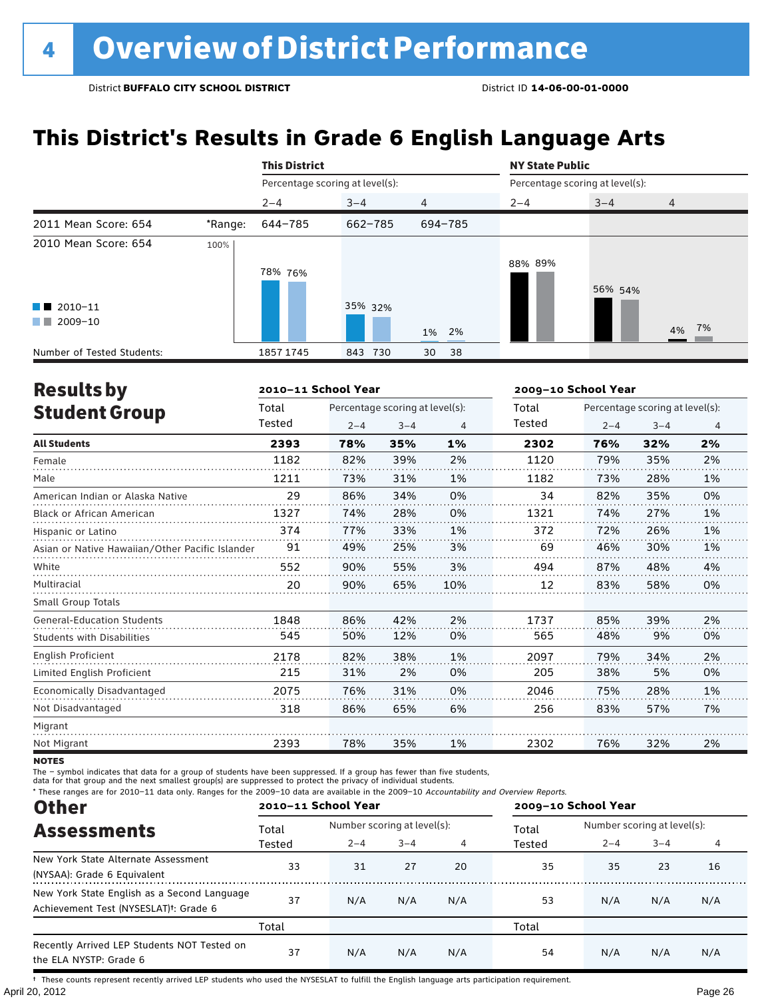## **This District's Results in Grade 6 English Language Arts**

|                                                |         | <b>This District</b>            |            |                | <b>NY State Public</b>          |         |                |
|------------------------------------------------|---------|---------------------------------|------------|----------------|---------------------------------|---------|----------------|
|                                                |         | Percentage scoring at level(s): |            |                | Percentage scoring at level(s): |         |                |
|                                                |         | $2 - 4$                         | $3 - 4$    | $\overline{4}$ | $2 - 4$                         | $3 - 4$ | $\overline{4}$ |
| 2011 Mean Score: 654                           | *Range: | 644-785                         | 662-785    | 694-785        |                                 |         |                |
| 2010 Mean Score: 654<br>$\blacksquare$ 2010-11 | 100%    | 78% 76%                         | 35% 32%    |                | 88% 89%                         | 56% 54% |                |
| 2009-10<br><b>The Co</b>                       |         |                                 |            | 1% 2%          |                                 |         | 4% 7%          |
| Number of Tested Students:                     |         | 1857 1745                       | 843<br>730 | 38<br>30       |                                 |         |                |

| <b>Results by</b>                               |        | 2010-11 School Year |                                 |     | 2009-10 School Year |         |                                 |    |
|-------------------------------------------------|--------|---------------------|---------------------------------|-----|---------------------|---------|---------------------------------|----|
| <b>Student Group</b>                            | Total  |                     | Percentage scoring at level(s): |     | Total               |         | Percentage scoring at level(s): |    |
|                                                 | Tested | $2 - 4$             | $3 - 4$                         | 4   | Tested              | $2 - 4$ | $3 - 4$                         | 4  |
| <b>All Students</b>                             | 2393   | 78%                 | 35%                             | 1%  | 2302                | 76%     | 32%                             | 2% |
| Female                                          | 1182   | 82%                 | 39%                             | 2%  | 1120                | 79%     | 35%                             | 2% |
| Male                                            | 1211   | 73%                 | 31%                             | 1%  | 1182                | 73%     | 28%                             | 1% |
| American Indian or Alaska Native                | 29     | 86%                 | 34%                             | 0%  | 34                  | 82%     | 35%                             | 0% |
| <b>Black or African American</b>                | 1327   | 74%                 | 28%                             | 0%  | 1321                | 74%     | 27%                             | 1% |
| Hispanic or Latino                              | 374    | 77%                 | 33%                             | 1%  | 372                 | 72%     | 26%                             | 1% |
| Asian or Native Hawaiian/Other Pacific Islander | 91     | 49%                 | 25%                             | 3%  | 69                  | 46%     | 30%                             | 1% |
| White                                           | 552    | 90%                 | 55%                             | 3%  | 494                 | 87%     | 48%                             | 4% |
| Multiracial                                     | 20     | 90%                 | 65%                             | 10% | 12                  | 83%     | 58%                             | 0% |
| <b>Small Group Totals</b>                       |        |                     |                                 |     |                     |         |                                 |    |
| <b>General-Education Students</b>               | 1848   | 86%                 | 42%                             | 2%  | 1737                | 85%     | 39%                             | 2% |
| <b>Students with Disabilities</b>               | 545    | 50%                 | 12%                             | 0%  | 565                 | 48%     | 9%                              | 0% |
| English Proficient                              | 2178   | 82%                 | 38%                             | 1%  | 2097                | 79%     | 34%                             | 2% |
| Limited English Proficient                      | 215    | 31%                 | 2%                              | 0%  | 205                 | 38%     | 5%                              | 0% |
| Economically Disadvantaged                      | 2075   | 76%                 | 31%                             | 0%  | 2046                | 75%     | 28%                             | 1% |
| Not Disadvantaged                               | 318    | 86%                 | 65%                             | 6%  | 256                 | 83%     | 57%                             | 7% |
| Migrant                                         |        |                     |                                 |     |                     |         |                                 |    |
| Not Migrant                                     | 2393   | 78%                 | 35%                             | 1%  | 2302                | 76%     | 32%                             | 2% |

**NOTES** 

The – symbol indicates that data for a group of students have been suppressed. If a group has fewer than five students,<br>data for that group and the next smallest group(s) are suppressed to protect the privacy of individual

\* These ranges are for 2010–11 data only. Ranges for the 2009–10 data are available in the 2009–10 Accountability and Overview Reports.

| <b>Other</b>                                                                                      | 2010-11 School Year |                             |         |     | 2009-10 School Year |                             |         |     |  |
|---------------------------------------------------------------------------------------------------|---------------------|-----------------------------|---------|-----|---------------------|-----------------------------|---------|-----|--|
| <b>Assessments</b>                                                                                | Total               | Number scoring at level(s): |         |     | Total               | Number scoring at level(s): |         |     |  |
|                                                                                                   | Tested              | $2 - 4$                     | $3 - 4$ | 4   | Tested              | $2 - 4$                     | $3 - 4$ |     |  |
| New York State Alternate Assessment<br>(NYSAA): Grade 6 Equivalent                                | 33                  | 31                          | 27      | 20  | 35                  | 35                          | 23      | 16  |  |
| New York State English as a Second Language<br>Achievement Test (NYSESLAT) <sup>†</sup> : Grade 6 | 37                  | N/A                         | N/A     | N/A | 53                  | N/A                         | N/A     | N/A |  |
|                                                                                                   | Total               |                             |         |     | Total               |                             |         |     |  |
| Recently Arrived LEP Students NOT Tested on<br>the ELA NYSTP: Grade 6                             | 37                  | N/A                         | N/A     | N/A | 54                  | N/A                         | N/A     | N/A |  |

April 20, 2012 Page 26 † These counts represent recently arrived LEP students who used the NYSESLAT to fulfill the English language arts participation requirement.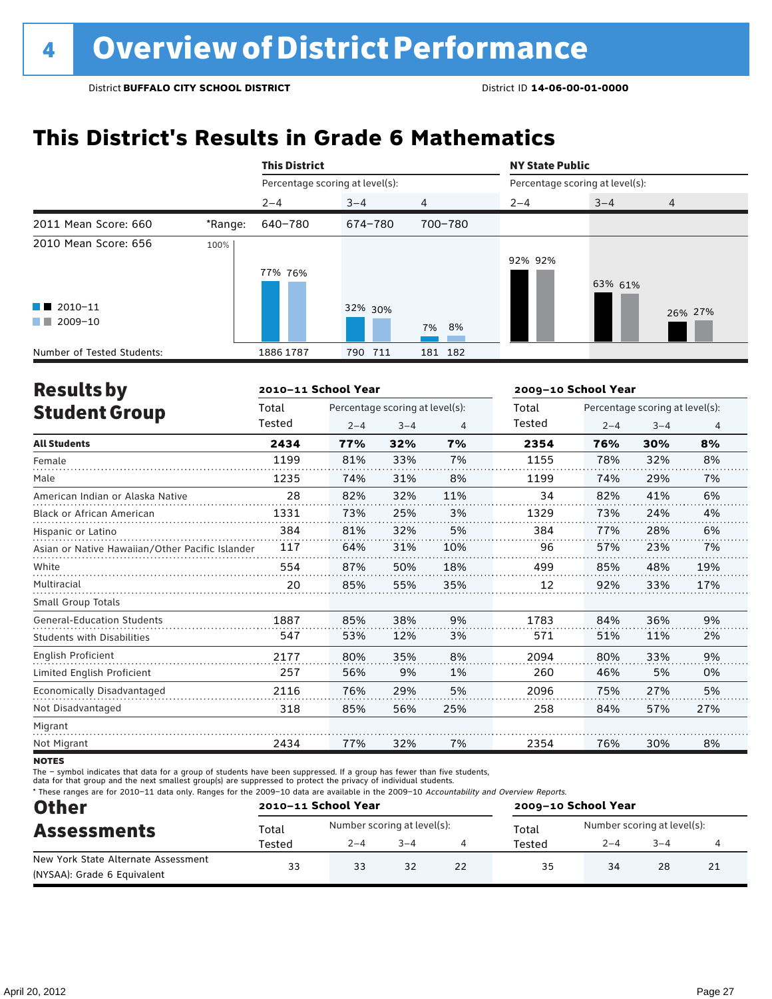## **This District's Results in Grade 6 Mathematics**

|                                                |         | <b>This District</b>            |            |                | <b>NY State Public</b>          |         |                |
|------------------------------------------------|---------|---------------------------------|------------|----------------|---------------------------------|---------|----------------|
|                                                |         | Percentage scoring at level(s): |            |                | Percentage scoring at level(s): |         |                |
|                                                |         | $2 - 4$                         | $3 - 4$    | $\overline{4}$ | $2 - 4$                         | $3 - 4$ | $\overline{4}$ |
| 2011 Mean Score: 660                           | *Range: | 640-780                         | 674-780    | 700-780        |                                 |         |                |
| 2010 Mean Score: 656<br>$\blacksquare$ 2010-11 | 100%    | 77% 76%                         | 32% 30%    |                | 92% 92%                         | 63% 61% | 26% 27%        |
| $\blacksquare$ 2009-10                         |         |                                 |            | 7% 8%          |                                 |         |                |
| Number of Tested Students:                     |         | 1886 1787                       | 711<br>790 | 181 182        |                                 |         |                |

| <b>Results by</b>                               |        | 2010-11 School Year |                                 |                | 2009-10 School Year |                                 |         |     |
|-------------------------------------------------|--------|---------------------|---------------------------------|----------------|---------------------|---------------------------------|---------|-----|
| <b>Student Group</b>                            | Total  |                     | Percentage scoring at level(s): |                | Total               | Percentage scoring at level(s): |         |     |
|                                                 | Tested | $2 - 4$             | $3 - 4$                         | $\overline{4}$ | Tested              | $2 - 4$                         | $3 - 4$ | 4   |
| <b>All Students</b>                             | 2434   | 77%                 | 32%                             | 7%             | 2354                | 76%                             | 30%     | 8%  |
| Female                                          | 1199   | 81%                 | 33%                             | 7%             | 1155                | 78%                             | 32%     | 8%  |
| Male                                            | 1235   | 74%                 | 31%                             | 8%             | 1199                | 74%                             | 29%     | 7%  |
| American Indian or Alaska Native                | 28     | 82%                 | 32%                             | 11%            | 34                  | 82%                             | 41%     | 6%  |
| <b>Black or African American</b>                | 1331   | 73%                 | 25%                             | 3%             | 1329                | 73%                             | 24%     | 4%  |
| Hispanic or Latino                              | 384    | 81%                 | 32%                             | 5%             | 384                 | 77%                             | 28%     | 6%  |
| Asian or Native Hawaiian/Other Pacific Islander | 117    | 64%                 | 31%                             | 10%            | 96                  | 57%                             | 23%     | 7%  |
| White                                           | 554    | 87%                 | 50%                             | 18%            | 499                 | 85%                             | 48%     | 19% |
| Multiracial                                     | 20     | 85%                 | 55%                             | 35%            | 12                  | 92%                             | 33%     | 17% |
| <b>Small Group Totals</b>                       |        |                     |                                 |                |                     |                                 |         |     |
| <b>General-Education Students</b>               | 1887   | 85%                 | 38%                             | 9%             | 1783                | 84%                             | 36%     | 9%  |
| <b>Students with Disabilities</b>               | 547    | 53%                 | 12%                             | 3%             | 571                 | 51%                             | 11%     | 2%  |
| <b>English Proficient</b>                       | 2177   | 80%                 | 35%                             | 8%             | 2094                | 80%                             | 33%     | 9%  |
| Limited English Proficient                      | 257    | 56%                 | 9%                              | 1%             | 260                 | 46%                             | 5%      | 0%  |
| Economically Disadvantaged                      | 2116   | 76%                 | 29%                             | 5%             | 2096                | 75%                             | 27%     | 5%  |
| Not Disadvantaged                               | 318    | 85%                 | 56%                             | 25%            | 258                 | 84%                             | 57%     | 27% |
| Migrant                                         |        |                     |                                 |                |                     |                                 |         |     |
| Not Migrant                                     | 2434   | 77%                 | 32%                             | 7%             | 2354                | 76%                             | 30%     | 8%  |
|                                                 |        |                     |                                 |                |                     |                                 |         |     |

**NOTES** 

The – symbol indicates that data for a group of students have been suppressed. If a group has fewer than five students,

data for that group and the next smallest group(s) are suppressed to protect the privacy of individual students.

\* These ranges are for 2010–11 data only. Ranges for the 2009–10 data are available in the 2009–10 Accountability and Overview Reports.

| <b>Other</b>                        |        | 2010-11 School Year         |         |    | 2009-10 School Year |                             |         |    |  |
|-------------------------------------|--------|-----------------------------|---------|----|---------------------|-----------------------------|---------|----|--|
| <b>Assessments</b>                  | Total  | Number scoring at level(s): |         |    | Total               | Number scoring at level(s): |         |    |  |
|                                     | Tested | $2 - 4$                     | $3 - 4$ |    | Tested              | $2 - 4$                     | $3 - 4$ |    |  |
| New York State Alternate Assessment | 33     | 33                          | 32      | 22 | 35                  |                             |         | 21 |  |
| (NYSAA): Grade 6 Equivalent         |        |                             |         |    |                     | 34<br>28                    |         |    |  |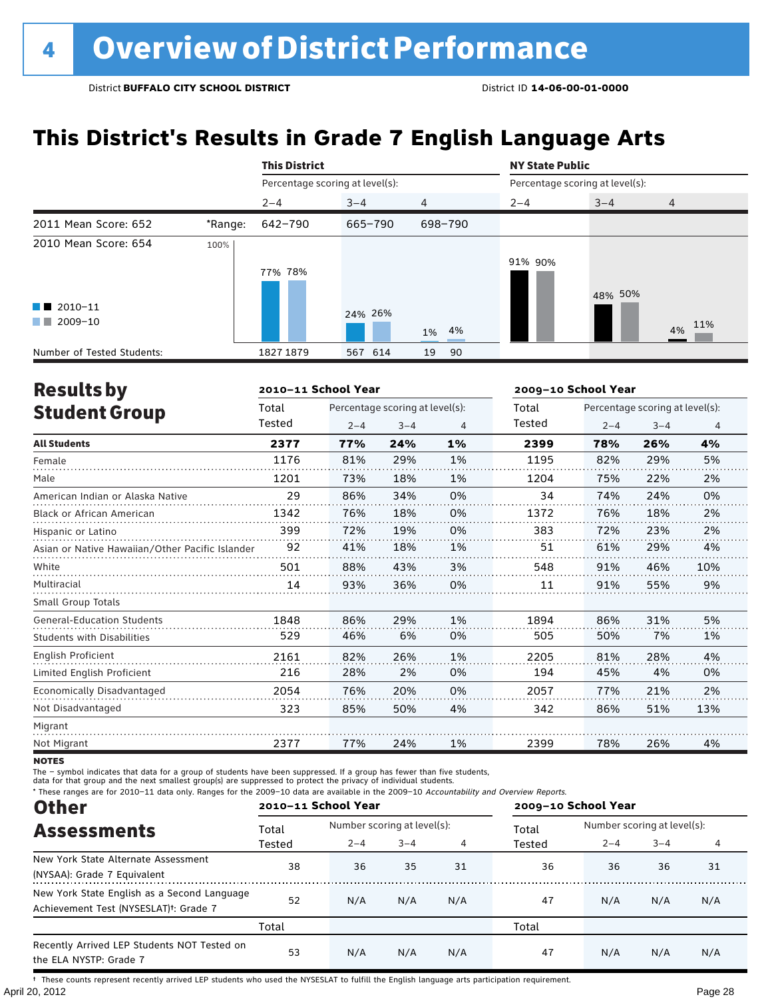## **This District's Results in Grade 7 English Language Arts**

|                                                                      |         | <b>This District</b>            |         |                | <b>NY State Public</b> |                                 |                |
|----------------------------------------------------------------------|---------|---------------------------------|---------|----------------|------------------------|---------------------------------|----------------|
|                                                                      |         | Percentage scoring at level(s): |         |                |                        | Percentage scoring at level(s): |                |
|                                                                      |         | $2 - 4$                         | $3 - 4$ | $\overline{4}$ | $2 - 4$                | $3 - 4$                         | $\overline{4}$ |
| 2011 Mean Score: 652                                                 | *Range: | 642-790                         | 665-790 | 698-790        |                        |                                 |                |
| 2010 Mean Score: 654<br>$\blacksquare$ 2010-11<br>2009-10<br>and the | 100%    | 77% 78%                         | 24% 26% | 1% 4%          | 91% 90%                | 48% 50%                         | 4% 11%         |
| Number of Tested Students:                                           |         | 1827 1879                       | 567 614 | 19<br>90       |                        |                                 |                |

| <b>Results by</b>                               |        | 2010-11 School Year |                                 |    | 2009-10 School Year |         |                                 |     |
|-------------------------------------------------|--------|---------------------|---------------------------------|----|---------------------|---------|---------------------------------|-----|
| <b>Student Group</b>                            | Total  |                     | Percentage scoring at level(s): |    | Total               |         | Percentage scoring at level(s): |     |
|                                                 | Tested | $2 - 4$             | $3 - 4$                         | 4  | Tested              | $2 - 4$ | $3 - 4$                         | 4   |
| <b>All Students</b>                             | 2377   | 77%                 | 24%                             | 1% | 2399                | 78%     | 26%                             | 4%  |
| Female                                          | 1176   | 81%                 | 29%                             | 1% | 1195                | 82%     | 29%                             | 5%  |
| Male                                            | 1201   | 73%                 | 18%                             | 1% | 1204                | 75%     | 22%                             | 2%  |
| American Indian or Alaska Native                | 29     | 86%                 | 34%                             | 0% | 34                  | 74%     | 24%                             | 0%  |
| <b>Black or African American</b>                | 1342   | 76%                 | 18%                             | 0% | 1372                | 76%     | 18%                             | 2%  |
| Hispanic or Latino                              | 399    | 72%                 | 19%                             | 0% | 383                 | 72%     | 23%                             | 2%  |
| Asian or Native Hawaiian/Other Pacific Islander | 92     | 41%                 | 18%                             | 1% | 51                  | 61%     | 29%                             | 4%  |
| White                                           | 501    | 88%                 | 43%                             | 3% | 548                 | 91%     | 46%                             | 10% |
| Multiracial                                     | 14     | 93%                 | 36%                             | 0% | 11                  | 91%     | 55%                             | 9%  |
| <b>Small Group Totals</b>                       |        |                     |                                 |    |                     |         |                                 |     |
| <b>General-Education Students</b>               | 1848   | 86%                 | 29%                             | 1% | 1894                | 86%     | 31%                             | 5%  |
| <b>Students with Disabilities</b>               | 529    | 46%                 | 6%                              | 0% | 505                 | 50%     | 7%                              | 1%  |
| English Proficient                              | 2161   | 82%                 | 26%                             | 1% | 2205                | 81%     | 28%                             | 4%  |
| Limited English Proficient                      | 216    | 28%                 | 2%                              | 0% | 194                 | 45%     | 4%                              | 0%  |
| Economically Disadvantaged                      | 2054   | 76%                 | 20%                             | 0% | 2057                | 77%     | 21%                             | 2%  |
| Not Disadvantaged                               | 323    | 85%                 | 50%                             | 4% | 342                 | 86%     | 51%                             | 13% |
| Migrant                                         |        |                     |                                 |    |                     |         |                                 |     |
| Not Migrant                                     | 2377   | 77%                 | 24%                             | 1% | 2399                | 78%     | 26%                             | 4%  |

**NOTES** 

The – symbol indicates that data for a group of students have been suppressed. If a group has fewer than five students,

data for that group and the next smallest group(s) are suppressed to protect the privacy of individual students.

\* These ranges are for 2010–11 data only. Ranges for the 2009–10 data are available in the 2009–10 Accountability and Overview Reports.

| <b>Other</b>                                                                                      |        | 2010-11 School Year         |         |     | 2009-10 School Year |                             |         |     |
|---------------------------------------------------------------------------------------------------|--------|-----------------------------|---------|-----|---------------------|-----------------------------|---------|-----|
| <b>Assessments</b>                                                                                | Total  | Number scoring at level(s): |         |     | Total               | Number scoring at level(s): |         |     |
|                                                                                                   | Tested | $2 - 4$                     | $3 - 4$ |     | Tested              | $2 - 4$                     | $3 - 4$ |     |
| New York State Alternate Assessment<br>(NYSAA): Grade 7 Equivalent                                | 38     | 36                          | 35      | 31  | 36                  | 36                          | 36      | 31  |
| New York State English as a Second Language<br>Achievement Test (NYSESLAT) <sup>t</sup> : Grade 7 | 52     | N/A                         | N/A     | N/A | 47                  | N/A                         | N/A     | N/A |
|                                                                                                   | Total  |                             |         |     | Total               |                             |         |     |
| Recently Arrived LEP Students NOT Tested on<br>the ELA NYSTP: Grade 7                             | 53     | N/A                         | N/A     | N/A | 47                  | N/A                         | N/A     | N/A |

April 20, 2012 Page 28 † These counts represent recently arrived LEP students who used the NYSESLAT to fulfill the English language arts participation requirement.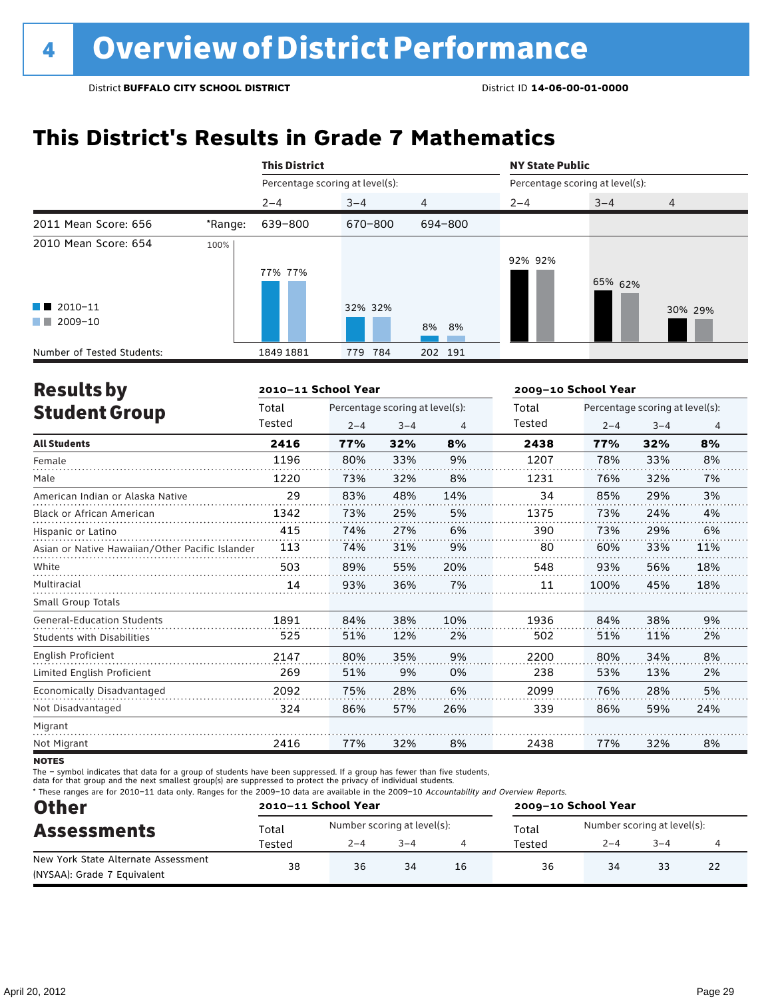## **This District's Results in Grade 7 Mathematics**

|                                                |         | <b>This District</b>            |            |                | <b>NY State Public</b>          |         |                |
|------------------------------------------------|---------|---------------------------------|------------|----------------|---------------------------------|---------|----------------|
|                                                |         | Percentage scoring at level(s): |            |                | Percentage scoring at level(s): |         |                |
|                                                |         | $2 - 4$                         | $3 - 4$    | $\overline{4}$ | $2 - 4$                         | $3 - 4$ | $\overline{4}$ |
| 2011 Mean Score: 656                           | *Range: | 639-800                         | 670-800    | 694-800        |                                 |         |                |
| 2010 Mean Score: 654<br>$\blacksquare$ 2010-11 | 100%    | 77% 77%                         | 32% 32%    |                | 92% 92%                         | 65% 62% | 30% 29%        |
| $\blacksquare$ 2009-10                         |         |                                 |            | 8% 8%          |                                 |         |                |
| Number of Tested Students:                     |         | 1849 1881                       | 784<br>779 | 202 191        |                                 |         |                |

| <b>Results by</b>                               |        | 2010-11 School Year |                                 |     | 2009-10 School Year |                                 |         |                |
|-------------------------------------------------|--------|---------------------|---------------------------------|-----|---------------------|---------------------------------|---------|----------------|
| <b>Student Group</b>                            | Total  |                     | Percentage scoring at level(s): |     | Total               | Percentage scoring at level(s): |         |                |
|                                                 | Tested | $2 - 4$             | $3 - 4$                         | 4   | Tested              | $2 - 4$                         | $3 - 4$ | $\overline{4}$ |
| <b>All Students</b>                             | 2416   | 77%                 | 32%                             | 8%  | 2438                | 77%                             | 32%     | 8%             |
| Female                                          | 1196   | 80%                 | 33%                             | 9%  | 1207                | 78%                             | 33%     | 8%             |
| Male                                            | 1220   | 73%                 | 32%                             | 8%  | 1231                | 76%                             | 32%     | 7%             |
| American Indian or Alaska Native                | 29     | 83%                 | 48%                             | 14% | 34                  | 85%                             | 29%     | 3%             |
| <b>Black or African American</b>                | 1342   | 73%                 | 25%                             | 5%  | 1375                | 73%                             | 24%     | 4%             |
| Hispanic or Latino                              | 415    | 74%                 | 27%                             | 6%  | 390                 | 73%                             | 29%     | 6%             |
| Asian or Native Hawaiian/Other Pacific Islander | 113    | 74%                 | 31%                             | 9%  | 80                  | 60%                             | 33%     | 11%            |
| White                                           | 503    | 89%                 | 55%                             | 20% | 548                 | 93%                             | 56%     | 18%            |
| Multiracial                                     | 14     | 93%                 | 36%                             | 7%  | 11                  | 100%                            | 45%     | 18%            |
| <b>Small Group Totals</b>                       |        |                     |                                 |     |                     |                                 |         |                |
| <b>General-Education Students</b>               | 1891   | 84%                 | 38%                             | 10% | 1936                | 84%                             | 38%     | 9%             |
| <b>Students with Disabilities</b>               | 525    | 51%                 | 12%                             | 2%  | 502                 | 51%                             | 11%     | 2%             |
| <b>English Proficient</b>                       | 2147   | 80%                 | 35%                             | 9%  | 2200                | 80%                             | 34%     | 8%             |
| Limited English Proficient                      | 269    | 51%                 | 9%                              | 0%  | 238                 | 53%                             | 13%     | 2%             |
| Economically Disadvantaged                      | 2092   | 75%                 | 28%                             | 6%  | 2099                | 76%                             | 28%     | 5%             |
| Not Disadvantaged                               | 324    | 86%                 | 57%                             | 26% | 339                 | 86%                             | 59%     | 24%            |
| Migrant                                         |        |                     |                                 |     |                     |                                 |         |                |
| Not Migrant                                     | 2416   | 77%                 | 32%                             | 8%  | 2438                | 77%                             | 32%     | 8%             |
|                                                 |        |                     |                                 |     |                     |                                 |         |                |

**NOTES** 

The – symbol indicates that data for a group of students have been suppressed. If a group has fewer than five students,

data for that group and the next smallest group(s) are suppressed to protect the privacy of individual students.

\* These ranges are for 2010–11 data only. Ranges for the 2009–10 data are available in the 2009–10 Accountability and Overview Reports.

| <b>Other</b>                        | 2010-11 School Year |                             |         |    | 2009-10 School Year |                             |         |    |  |
|-------------------------------------|---------------------|-----------------------------|---------|----|---------------------|-----------------------------|---------|----|--|
| <b>Assessments</b>                  | Total               | Number scoring at level(s): |         |    | Total               | Number scoring at level(s): |         |    |  |
|                                     | Tested              | $2 - 4$                     | $3 - 4$ |    | Tested              | $2 - 4$                     | $3 - 4$ |    |  |
| New York State Alternate Assessment | 38                  | 36                          | 34      | 16 | 36                  | 34                          | 33      | 22 |  |
| (NYSAA): Grade 7 Equivalent         |                     |                             |         |    |                     |                             |         |    |  |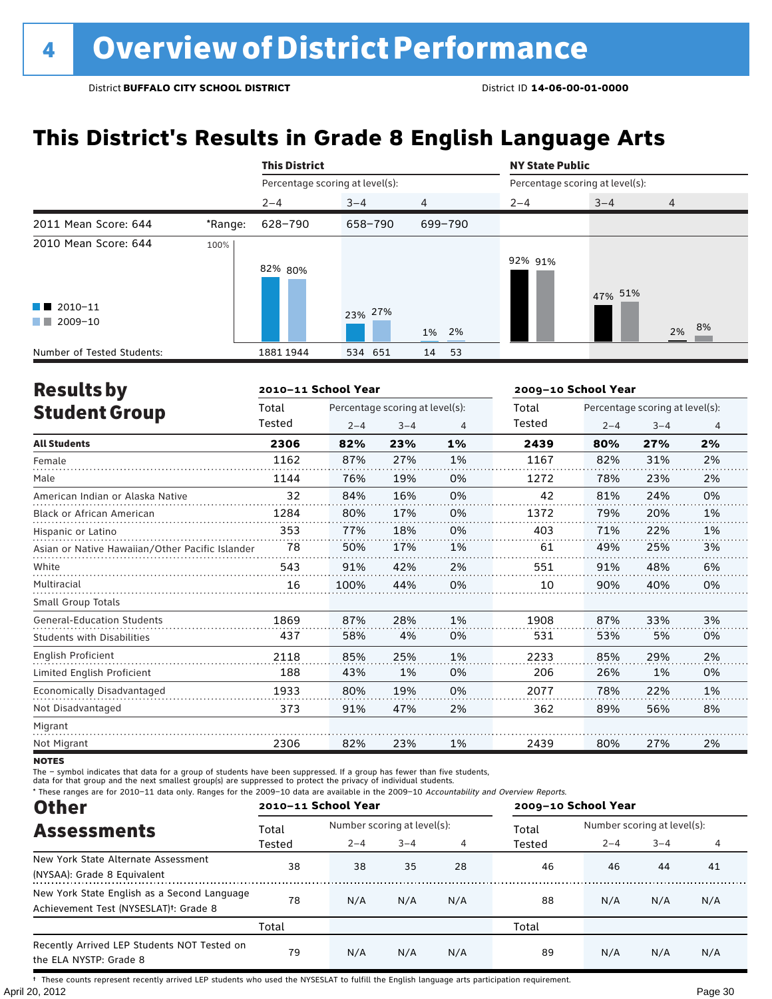## **This District's Results in Grade 8 English Language Arts**

|                                                                      |         | <b>This District</b>            |         |          | <b>NY State Public</b>          |         |                |
|----------------------------------------------------------------------|---------|---------------------------------|---------|----------|---------------------------------|---------|----------------|
|                                                                      |         | Percentage scoring at level(s): |         |          | Percentage scoring at level(s): |         |                |
|                                                                      |         | $2 - 4$                         | $3 - 4$ | 4        | $2 - 4$                         | $3 - 4$ | $\overline{4}$ |
| 2011 Mean Score: 644                                                 | *Range: | 628-790                         | 658-790 | 699-790  |                                 |         |                |
| 2010 Mean Score: 644<br>$\blacksquare$ 2010-11<br>2009-10<br>and the | 100%    | 82% 80%                         | 23% 27% | 1% 2%    | 92% 91%                         | 47% 51% | 2% 8%          |
| Number of Tested Students:                                           |         | 1881 1944                       | 534 651 | 14<br>53 |                                 |         |                |

| <b>Results by</b>                               |        | 2010-11 School Year |                                 |    | 2009-10 School Year |         |                                 |    |
|-------------------------------------------------|--------|---------------------|---------------------------------|----|---------------------|---------|---------------------------------|----|
| <b>Student Group</b>                            | Total  |                     | Percentage scoring at level(s): |    | Total               |         | Percentage scoring at level(s): |    |
|                                                 | Tested | $2 - 4$             | $3 - 4$                         | 4  | Tested              | $2 - 4$ | $3 - 4$                         | 4  |
| <b>All Students</b>                             | 2306   | 82%                 | 23%                             | 1% | 2439                | 80%     | 27%                             | 2% |
| Female                                          | 1162   | 87%                 | 27%                             | 1% | 1167                | 82%     | 31%                             | 2% |
| Male                                            | 1144   | 76%                 | 19%                             | 0% | 1272                | 78%     | 23%                             | 2% |
| American Indian or Alaska Native                | 32     | 84%                 | 16%                             | 0% | 42                  | 81%     | 24%                             | 0% |
| <b>Black or African American</b>                | 1284   | 80%                 | 17%                             | 0% | 1372                | 79%     | 20%                             | 1% |
| Hispanic or Latino                              | 353    | 77%                 | 18%                             | 0% | 403                 | 71%     | 22%                             | 1% |
| Asian or Native Hawaiian/Other Pacific Islander | 78     | 50%                 | 17%                             | 1% | 61                  | 49%     | 25%                             | 3% |
| White                                           | 543    | 91%                 | 42%                             | 2% | 551                 | 91%     | 48%                             | 6% |
| Multiracial                                     | 16     | 100%                | 44%                             | 0% | 10                  | 90%     | 40%                             | 0% |
| Small Group Totals                              |        |                     |                                 |    |                     |         |                                 |    |
| <b>General-Education Students</b>               | 1869   | 87%                 | 28%                             | 1% | 1908                | 87%     | 33%                             | 3% |
| <b>Students with Disabilities</b>               | 437    | 58%                 | 4%                              | 0% | 531                 | 53%     | 5%                              | 0% |
| English Proficient                              | 2118   | 85%                 | 25%                             | 1% | 2233                | 85%     | 29%                             | 2% |
| Limited English Proficient                      | 188    | 43%                 | 1%                              | 0% | 206                 | 26%     | 1%                              | 0% |
| Economically Disadvantaged                      | 1933   | 80%                 | 19%                             | 0% | 2077                | 78%     | 22%                             | 1% |
| Not Disadvantaged                               | 373    | 91%                 | 47%                             | 2% | 362                 | 89%     | 56%                             | 8% |
| Migrant                                         |        |                     |                                 |    |                     |         |                                 |    |
| Not Migrant                                     | 2306   | 82%                 | 23%                             | 1% | 2439                | 80%     | 27%                             | 2% |

**NOTES** 

The – symbol indicates that data for a group of students have been suppressed. If a group has fewer than five students,

data for that group and the next smallest group(s) are suppressed to protect the privacy of individual students.

\* These ranges are for 2010–11 data only. Ranges for the 2009–10 data are available in the 2009–10 Accountability and Overview Reports.

| <b>Other</b>                                                          |        | 2010-11 School Year         |         |     | 2009-10 School Year |                             |         |     |
|-----------------------------------------------------------------------|--------|-----------------------------|---------|-----|---------------------|-----------------------------|---------|-----|
| <b>Assessments</b>                                                    | Total  | Number scoring at level(s): |         |     | Total               | Number scoring at level(s): |         |     |
|                                                                       | Tested | $2 - 4$                     | $3 - 4$ | 4   | Tested              | $2 - 4$                     | $3 - 4$ | 4   |
| New York State Alternate Assessment                                   | 38     | 38                          | 35      | 28  | 46                  | 46                          | 44      | 41  |
| (NYSAA): Grade 8 Equivalent                                           |        |                             |         |     |                     |                             |         |     |
| New York State English as a Second Language                           |        |                             | N/A     |     |                     | N/A                         | N/A     |     |
| Achievement Test (NYSESLAT) <sup>†</sup> : Grade 8                    | 78     | N/A                         |         | N/A | 88                  |                             |         | N/A |
|                                                                       | Total  |                             |         |     | Total               |                             |         |     |
| Recently Arrived LEP Students NOT Tested on<br>the ELA NYSTP: Grade 8 | 79     | N/A                         | N/A     | N/A | 89                  | N/A                         | N/A     | N/A |

April 20, 2012 Page 30 † These counts represent recently arrived LEP students who used the NYSESLAT to fulfill the English language arts participation requirement.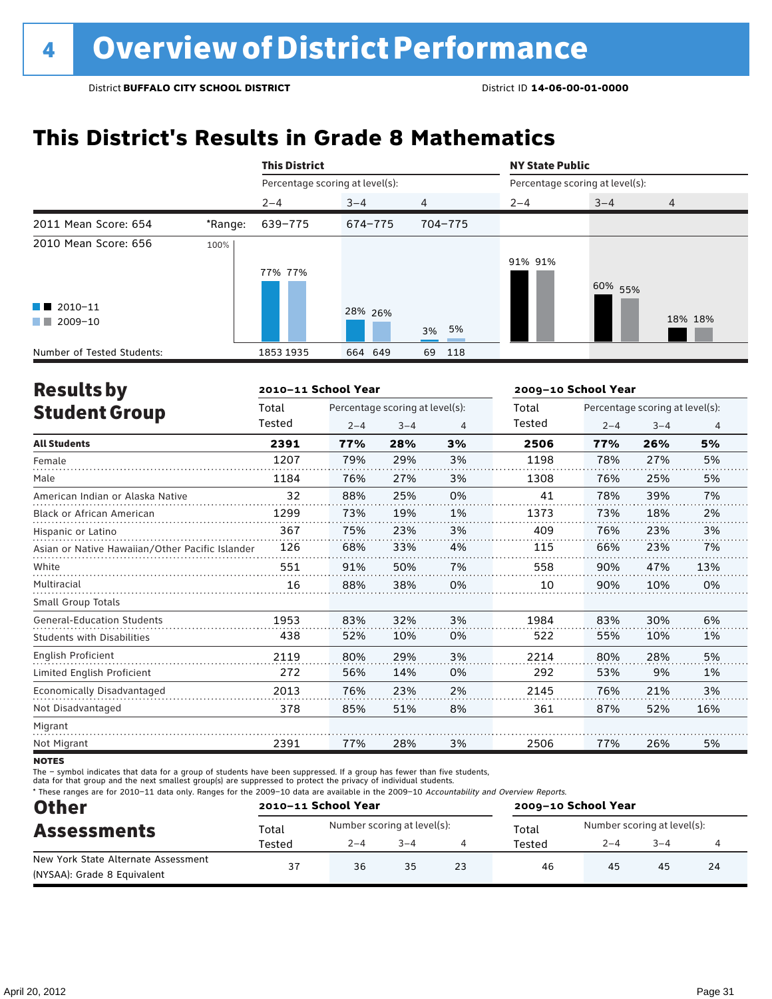## **This District's Results in Grade 8 Mathematics**

|                                                                          |         | <b>This District</b> |                                 |           | <b>NY State Public</b> |                                 |                |  |  |  |
|--------------------------------------------------------------------------|---------|----------------------|---------------------------------|-----------|------------------------|---------------------------------|----------------|--|--|--|
|                                                                          |         |                      | Percentage scoring at level(s): |           |                        | Percentage scoring at level(s): |                |  |  |  |
|                                                                          |         | $2 - 4$              | $3 - 4$                         | 4         | $2 - 4$                | $3 - 4$                         | $\overline{4}$ |  |  |  |
| 2011 Mean Score: 654                                                     | *Range: | 639-775              | 674-775                         | 704-775   |                        |                                 |                |  |  |  |
| 2010 Mean Score: 656<br>$\blacksquare$ 2010-11<br>$\blacksquare$ 2009-10 | 100%    | 77% 77%              | 28% 26%                         | 3% 5%     | 91% 91%                | 60% 55%                         | 18% 18%        |  |  |  |
| Number of Tested Students:                                               |         | 1853 1935            | 664 649                         | 69<br>118 |                        |                                 |                |  |  |  |

| <b>Results by</b>                               |        | 2010-11 School Year |                                 |                | 2009-10 School Year |                                 |         |                |  |
|-------------------------------------------------|--------|---------------------|---------------------------------|----------------|---------------------|---------------------------------|---------|----------------|--|
| <b>Student Group</b>                            | Total  |                     | Percentage scoring at level(s): |                | Total               | Percentage scoring at level(s): |         |                |  |
|                                                 | Tested | $2 - 4$             | $3 - 4$                         | $\overline{4}$ | Tested              | $2 - 4$                         | $3 - 4$ | $\overline{4}$ |  |
| <b>All Students</b>                             | 2391   | 77%                 | 28%                             | 3%             | 2506                | 77%                             | 26%     | 5%             |  |
| Female                                          | 1207   | 79%                 | 29%                             | 3%             | 1198                | 78%                             | 27%     | 5%             |  |
| Male                                            | 1184   | 76%                 | 27%                             | 3%             | 1308                | 76%                             | 25%     | 5%             |  |
| American Indian or Alaska Native                | 32     | 88%                 | 25%                             | 0%             | 41                  | 78%                             | 39%     | 7%             |  |
| Black or African American                       | 1299   | 73%                 | 19%                             | 1%             | 1373                | 73%                             | 18%     | 2%             |  |
| Hispanic or Latino                              | 367    | 75%                 | 23%                             | 3%             | 409                 | 76%                             | 23%     | 3%             |  |
| Asian or Native Hawaiian/Other Pacific Islander | 126    | 68%                 | 33%                             | 4%             | 115                 | 66%                             | 23%     | 7%             |  |
| White                                           | 551    | 91%                 | 50%                             | 7%             | 558                 | 90%                             | 47%     | 13%            |  |
| Multiracial                                     | 16     | 88%                 | 38%                             | 0%             | 10                  | 90%                             | 10%     | 0%             |  |
| <b>Small Group Totals</b>                       |        |                     |                                 |                |                     |                                 |         |                |  |
| <b>General-Education Students</b>               | 1953   | 83%                 | 32%                             | 3%             | 1984                | 83%                             | 30%     | 6%             |  |
| <b>Students with Disabilities</b>               | 438    | 52%                 | 10%                             | 0%             | 522                 | 55%                             | 10%     | 1%             |  |
| <b>English Proficient</b>                       | 2119   | 80%                 | 29%                             | 3%             | 2214                | 80%                             | 28%     | 5%             |  |
| Limited English Proficient                      | 272    | 56%                 | 14%                             | 0%             | 292                 | 53%                             | 9%      | 1%             |  |
| Economically Disadvantaged                      | 2013   | 76%                 | 23%                             | 2%             | 2145                | 76%                             | 21%     | 3%             |  |
| Not Disadvantaged                               | 378    | 85%                 | 51%                             | 8%             | 361                 | 87%                             | 52%     | 16%            |  |
| Migrant                                         |        |                     |                                 |                |                     |                                 |         |                |  |
| Not Migrant                                     | 2391   | 77%                 | 28%                             | 3%             | 2506                | 77%                             | 26%     | 5%             |  |
|                                                 |        |                     |                                 |                |                     |                                 |         |                |  |

**NOTES** 

The – symbol indicates that data for a group of students have been suppressed. If a group has fewer than five students,

data for that group and the next smallest group(s) are suppressed to protect the privacy of individual students.

\* These ranges are for 2010–11 data only. Ranges for the 2009–10 data are available in the 2009–10 Accountability and Overview Reports.

| <b>Other</b><br><b>Assessments</b>  | 2010-11 School Year |                             |         |    | 2009-10 School Year |                             |         |    |  |
|-------------------------------------|---------------------|-----------------------------|---------|----|---------------------|-----------------------------|---------|----|--|
|                                     | Total               | Number scoring at level(s): |         |    | Total               | Number scoring at level(s): |         |    |  |
|                                     | Tested              | $2 - 4$                     | $3 - 4$ |    | Tested              | $2 - 4$                     | $3 - 4$ |    |  |
| New York State Alternate Assessment | 37                  | 36                          | 35      | 23 | 46                  | 45                          | 45      | 24 |  |
| (NYSAA): Grade 8 Equivalent         |                     |                             |         |    |                     |                             |         |    |  |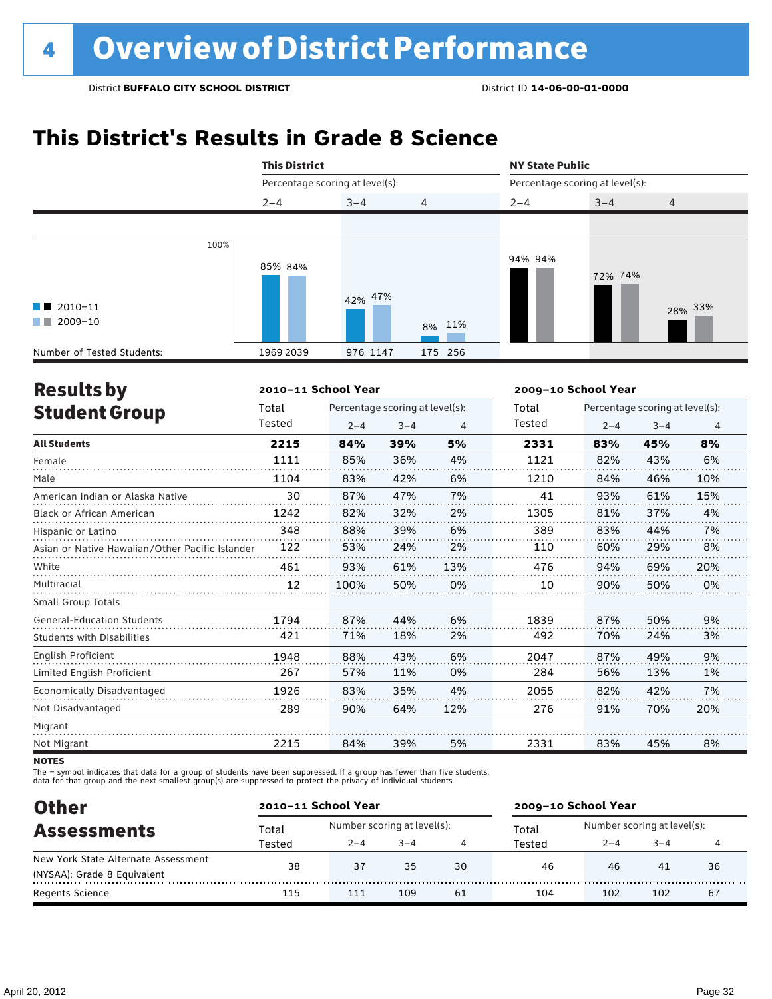## **This District's Results in Grade 8 Science**

|                                                  | <b>This District</b>            |          |         | <b>NY State Public</b>          |         |                |  |  |
|--------------------------------------------------|---------------------------------|----------|---------|---------------------------------|---------|----------------|--|--|
|                                                  | Percentage scoring at level(s): |          |         | Percentage scoring at level(s): |         |                |  |  |
|                                                  | $2 - 4$                         | $3 - 4$  | 4       | $2 - 4$                         | $3 - 4$ | $\overline{4}$ |  |  |
|                                                  |                                 |          |         |                                 |         |                |  |  |
| $\blacksquare$ 2010-11<br>$\blacksquare$ 2009-10 | 100%<br>85% 84%                 | 42% 47%  | 8% 11%  | 94% 94%                         | 72% 74% | 28% 33%        |  |  |
| Number of Tested Students:                       | 1969 2039                       | 976 1147 | 175 256 |                                 |         |                |  |  |

| <b>Results by</b>                               |        | 2010-11 School Year |                                 |     | 2009-10 School Year |                                 |         |                |
|-------------------------------------------------|--------|---------------------|---------------------------------|-----|---------------------|---------------------------------|---------|----------------|
| <b>Student Group</b>                            | Total  |                     | Percentage scoring at level(s): |     |                     | Percentage scoring at level(s): |         |                |
|                                                 | Tested | $2 - 4$             | $3 - 4$                         | 4   | Tested              | $2 - 4$                         | $3 - 4$ | $\overline{4}$ |
| <b>All Students</b>                             | 2215   | 84%                 | 39%                             | 5%  | 2331                | 83%                             | 45%     | 8%             |
| Female                                          | 1111   | 85%                 | 36%                             | 4%  | 1121                | 82%                             | 43%     | 6%             |
| Male                                            | 1104   | 83%                 | 42%                             | 6%  | 1210                | 84%                             | 46%     | 10%            |
| American Indian or Alaska Native                | 30     | 87%                 | 47%                             | 7%  | 41                  | 93%                             | 61%     | 15%            |
| <b>Black or African American</b>                | 1242   | 82%                 | 32%                             | 2%  | 1305                | 81%                             | 37%     | 4%             |
| Hispanic or Latino                              | 348    | 88%                 | 39%                             | 6%  | 389                 | 83%                             | 44%     | 7%             |
| Asian or Native Hawaiian/Other Pacific Islander | 122    | 53%                 | 24%                             | 2%  | 110                 | 60%                             | 29%     | 8%             |
| White                                           | 461    | 93%                 | 61%                             | 13% | 476                 | 94%                             | 69%     | 20%            |
| Multiracial                                     | 12     | 100%                | 50%                             | 0%  | 10                  | 90%                             | 50%     | 0%             |
| <b>Small Group Totals</b>                       |        |                     |                                 |     |                     |                                 |         |                |
| <b>General-Education Students</b>               | 1794   | 87%                 | 44%                             | 6%  | 1839                | 87%                             | 50%     | 9%             |
| <b>Students with Disabilities</b>               | 421    | 71%                 | 18%                             | 2%  | 492                 | 70%                             | 24%     | 3%             |
| <b>English Proficient</b>                       | 1948   | 88%                 | 43%                             | 6%  | 2047                | 87%                             | 49%     | 9%             |
| Limited English Proficient                      | 267    | 57%                 | 11%                             | 0%  | 284                 | 56%                             | 13%     | 1%             |
| Economically Disadvantaged                      | 1926   | 83%                 | 35%                             | 4%  | 2055                | 82%                             | 42%     | 7%             |
| Not Disadvantaged                               | 289    | 90%                 | 64%                             | 12% | 276                 | 91%                             | 70%     | 20%            |
| Migrant                                         |        |                     |                                 |     |                     |                                 |         |                |
| Not Migrant                                     | 2215   | 84%                 | 39%                             | 5%  | 2331                | 83%                             | 45%     | 8%             |
|                                                 |        |                     |                                 |     |                     |                                 |         |                |

**NOTES** 

The – symbol indicates that data for a group of students have been suppressed. If a group has fewer than five students,<br>data for that group and the next smallest group(s) are suppressed to protect the privacy of individual

| <b>Other</b>                        |        | 2010-11 School Year         |         |    | 2009-10 School Year |                             |         |    |  |
|-------------------------------------|--------|-----------------------------|---------|----|---------------------|-----------------------------|---------|----|--|
| <b>Assessments</b>                  | Total  | Number scoring at level(s): |         |    | Total               | Number scoring at level(s): |         |    |  |
|                                     | Tested | $2 - 4$                     | $3 - 4$ |    | Tested              | $2 - 4$                     | $3 - 4$ |    |  |
| New York State Alternate Assessment | 38     | 37                          | 35      | 30 | 46                  | 46                          | 41      | 36 |  |
| (NYSAA): Grade 8 Equivalent         |        |                             |         |    |                     |                             |         |    |  |
| Regents Science                     | 115    | 111                         | 109     | 61 | 104                 | 102                         | 102     | 67 |  |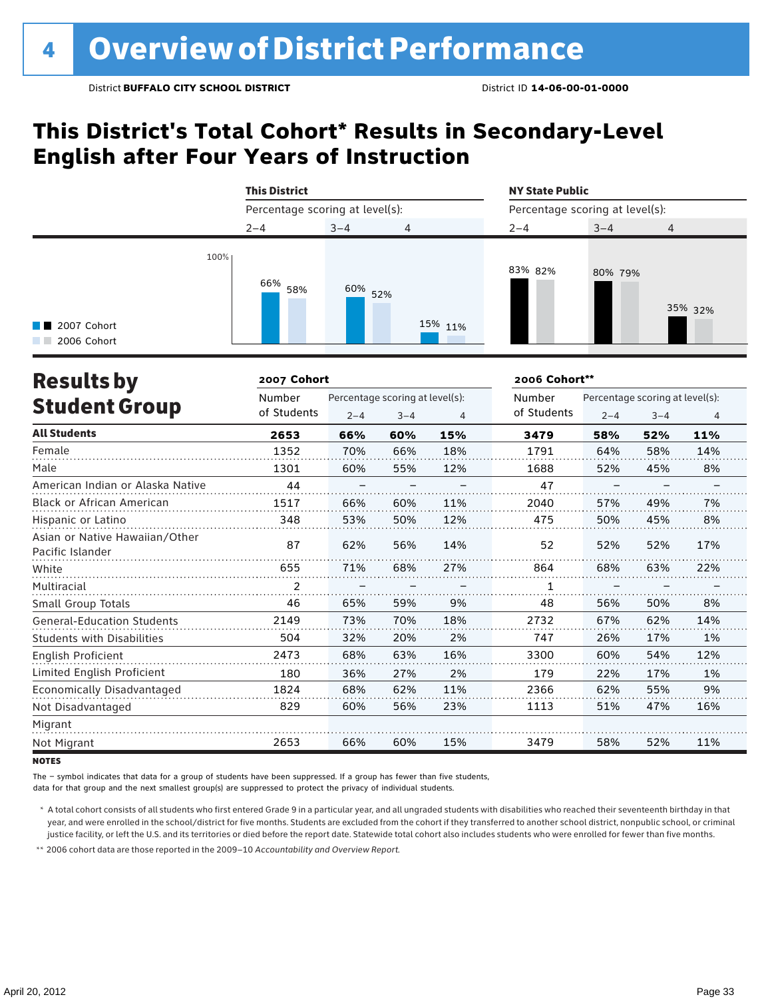## **This District's Total Cohort\* Results in Secondary-Level English after Four Years of Instruction**



| <b>Results by</b>                                  | 2007 Cohort |         |                                 |     | 2006 Cohort** |                                 |         |                |
|----------------------------------------------------|-------------|---------|---------------------------------|-----|---------------|---------------------------------|---------|----------------|
|                                                    | Number      |         | Percentage scoring at level(s): |     |               | Percentage scoring at level(s): |         |                |
| <b>Student Group</b>                               | of Students | $2 - 4$ | $3 - 4$                         | 4   | of Students   | $2 - 4$                         | $3 - 4$ | $\overline{4}$ |
| <b>All Students</b>                                | 2653        | 66%     | 60%                             | 15% | 3479          | 58%                             | 52%     | 11%            |
| Female                                             | 1352        | 70%     | 66%                             | 18% | 1791          | 64%                             | 58%     | 14%            |
| Male                                               | 1301        | 60%     | 55%                             | 12% | 1688          | 52%                             | 45%     | 8%             |
| American Indian or Alaska Native                   | 44          |         |                                 |     | 47            |                                 |         |                |
| <b>Black or African American</b>                   | 1517        | 66%     | 60%                             | 11% | 2040          | 57%                             | 49%     | 7%             |
| Hispanic or Latino                                 | 348         | 53%     | 50%                             | 12% | 475           | 50%                             | 45%     | 8%             |
| Asian or Native Hawaiian/Other<br>Pacific Islander | 87          | 62%     | 56%                             | 14% | 52            | 52%                             | 52%     | 17%            |
| White                                              | 655         | 71%     | 68%                             | 27% | 864           | 68%                             | 63%     | 22%            |
| Multiracial                                        | 2           |         |                                 |     | 1             |                                 |         |                |
| Small Group Totals                                 | 46          | 65%     | 59%                             | 9%  | 48            | 56%                             | 50%     | 8%             |
| <b>General-Education Students</b>                  | 2149        | 73%     | 70%                             | 18% | 2732          | 67%                             | 62%     | 14%            |
| <b>Students with Disabilities</b>                  | 504         | 32%     | 20%                             | 2%  | 747           | 26%                             | 17%     | 1%             |
| English Proficient                                 | 2473        | 68%     | 63%                             | 16% | 3300          | 60%                             | 54%     | 12%            |
| Limited English Proficient                         | 180         | 36%     | 27%                             | 2%  | 179           | 22%                             | 17%     | 1%             |
| Economically Disadvantaged                         | 1824        | 68%     | 62%                             | 11% | 2366          | 62%                             | 55%     | 9%             |
| Not Disadvantaged                                  | 829         | 60%     | 56%                             | 23% | 1113          | 51%                             | 47%     | 16%            |
| Migrant                                            |             |         |                                 |     |               |                                 |         |                |
| Not Migrant                                        | 2653        | 66%     | 60%                             | 15% | 3479          | 58%                             | 52%     | 11%            |

**NOTES** 

The – symbol indicates that data for a group of students have been suppressed. If a group has fewer than five students,

data for that group and the next smallest group(s) are suppressed to protect the privacy of individual students.

\* A total cohort consists of all students who first entered Grade 9 in a particular year, and all ungraded students with disabilities who reached their seventeenth birthday in that year, and were enrolled in the school/district for five months. Students are excluded from the cohort if they transferred to another school district, nonpublic school, or criminal justice facility, or left the U.S. and its territories or died before the report date. Statewide total cohort also includes students who were enrolled for fewer than five months.

\*\* 2006 cohort data are those reported in the 2009–10 *Accountability and Overview Report*.